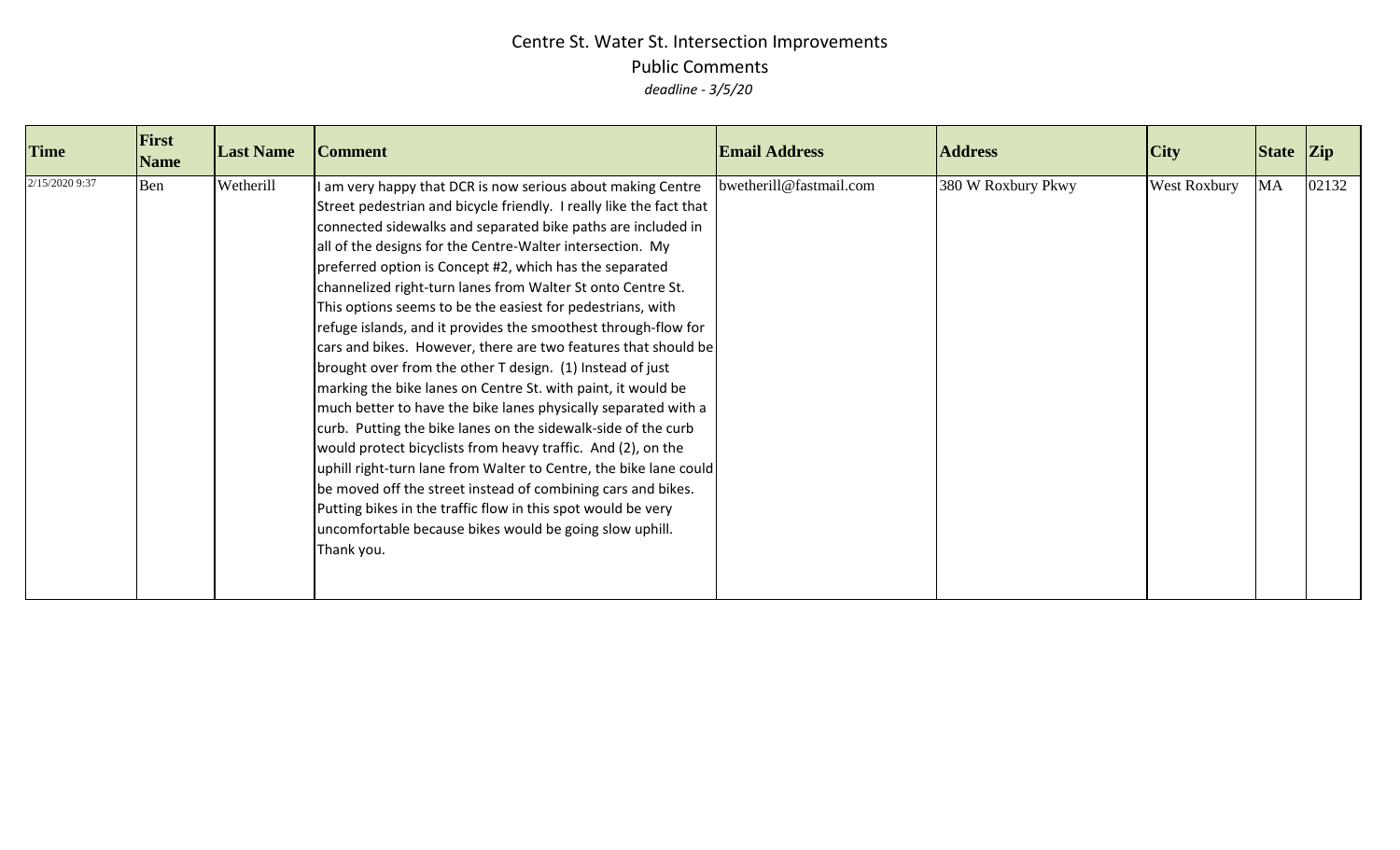| <b>Time</b>    | First<br><b>Name</b> | <b>Last Name</b> | <b>Comment</b>                                                                                                                                                                                                                                                                                                                                                                                                                                                                                                                                                                                                                                                                                                                                                                                                                                                                                                                                                                                                                                                                                                                                                                                            | <b>Email Address</b>    | <b>Address</b>     | City                | State Zip |       |
|----------------|----------------------|------------------|-----------------------------------------------------------------------------------------------------------------------------------------------------------------------------------------------------------------------------------------------------------------------------------------------------------------------------------------------------------------------------------------------------------------------------------------------------------------------------------------------------------------------------------------------------------------------------------------------------------------------------------------------------------------------------------------------------------------------------------------------------------------------------------------------------------------------------------------------------------------------------------------------------------------------------------------------------------------------------------------------------------------------------------------------------------------------------------------------------------------------------------------------------------------------------------------------------------|-------------------------|--------------------|---------------------|-----------|-------|
| 2/15/2020 9:37 | Ben                  | Wetherill        | I am very happy that DCR is now serious about making Centre<br>Street pedestrian and bicycle friendly. I really like the fact that<br>connected sidewalks and separated bike paths are included in<br>all of the designs for the Centre-Walter intersection. My<br>preferred option is Concept #2, which has the separated<br>channelized right-turn lanes from Walter St onto Centre St.<br>This options seems to be the easiest for pedestrians, with<br>refuge islands, and it provides the smoothest through-flow for<br>cars and bikes. However, there are two features that should be<br>brought over from the other T design. (1) Instead of just<br>marking the bike lanes on Centre St. with paint, it would be<br>much better to have the bike lanes physically separated with a<br>curb. Putting the bike lanes on the sidewalk-side of the curb<br>would protect bicyclists from heavy traffic. And (2), on the<br>uphill right-turn lane from Walter to Centre, the bike lane could<br>be moved off the street instead of combining cars and bikes.<br>Putting bikes in the traffic flow in this spot would be very<br>uncomfortable because bikes would be going slow uphill.<br>Thank you. | bwetherill@fastmail.com | 380 W Roxbury Pkwy | <b>West Roxbury</b> | <b>MA</b> | 02132 |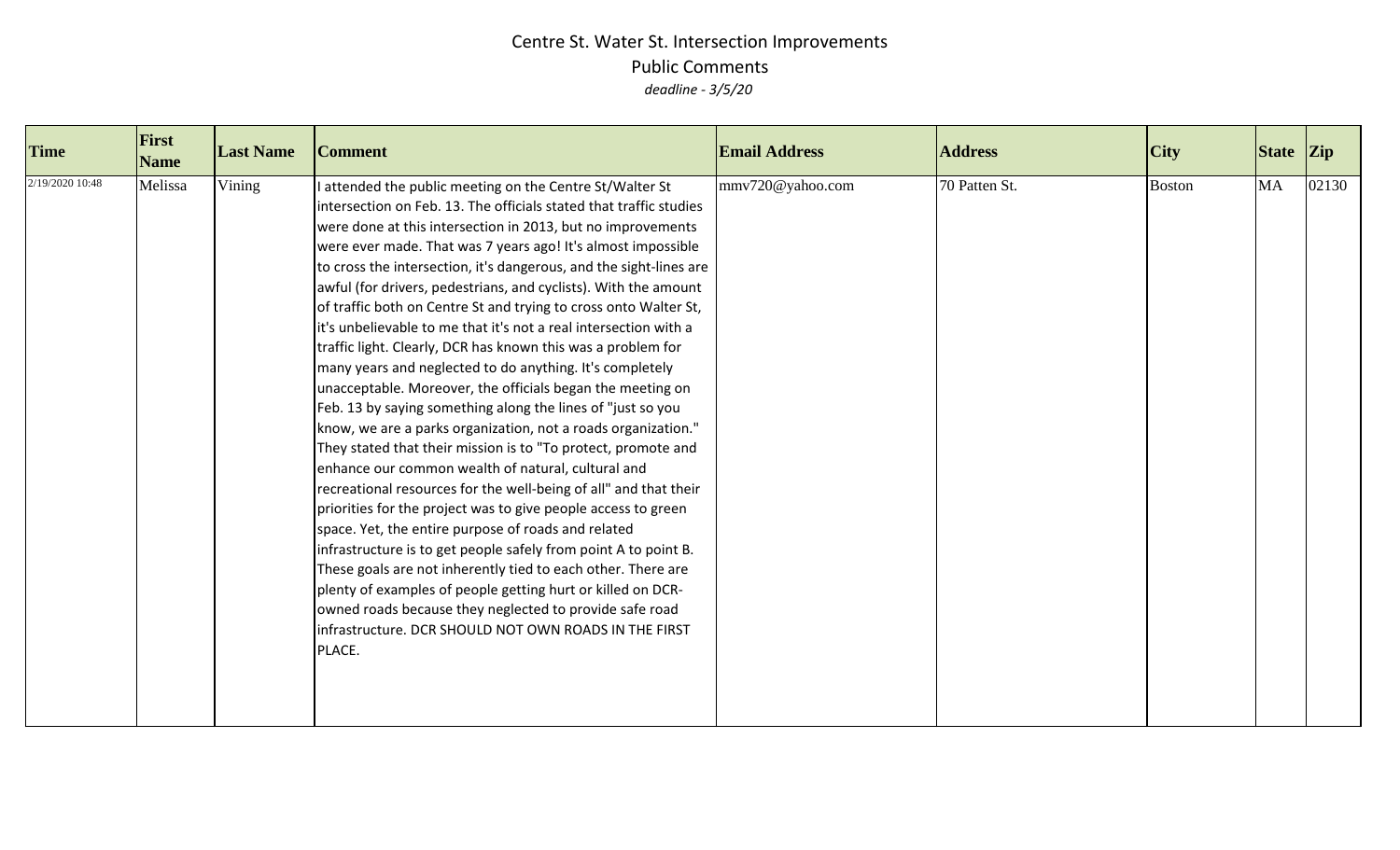| <b>Time</b>     | First<br><b>Name</b> | <b>Last Name</b> | <b>Comment</b>                                                                                                                                                                                                                                                                                                                                                                                                                                                                                                                                                                                                                                                                                                                                                                                                                                                                                                                                                                                                                                                                                                                                                                                                                                                                                                                                                                                                                                                                                                              | <b>Email Address</b> | <b>Address</b> | $\overline{C}$ ity | State Zip |       |
|-----------------|----------------------|------------------|-----------------------------------------------------------------------------------------------------------------------------------------------------------------------------------------------------------------------------------------------------------------------------------------------------------------------------------------------------------------------------------------------------------------------------------------------------------------------------------------------------------------------------------------------------------------------------------------------------------------------------------------------------------------------------------------------------------------------------------------------------------------------------------------------------------------------------------------------------------------------------------------------------------------------------------------------------------------------------------------------------------------------------------------------------------------------------------------------------------------------------------------------------------------------------------------------------------------------------------------------------------------------------------------------------------------------------------------------------------------------------------------------------------------------------------------------------------------------------------------------------------------------------|----------------------|----------------|--------------------|-----------|-------|
| 2/19/2020 10:48 | Melissa              | Vining           | I attended the public meeting on the Centre St/Walter St<br>intersection on Feb. 13. The officials stated that traffic studies<br>were done at this intersection in 2013, but no improvements<br>were ever made. That was 7 years ago! It's almost impossible<br>to cross the intersection, it's dangerous, and the sight-lines are<br>awful (for drivers, pedestrians, and cyclists). With the amount<br>of traffic both on Centre St and trying to cross onto Walter St,<br>it's unbelievable to me that it's not a real intersection with a<br>traffic light. Clearly, DCR has known this was a problem for<br>many years and neglected to do anything. It's completely<br>unacceptable. Moreover, the officials began the meeting on<br>Feb. 13 by saying something along the lines of "just so you<br>know, we are a parks organization, not a roads organization."<br>They stated that their mission is to "To protect, promote and<br>enhance our common wealth of natural, cultural and<br>recreational resources for the well-being of all" and that their<br>priorities for the project was to give people access to green<br>space. Yet, the entire purpose of roads and related<br>infrastructure is to get people safely from point A to point B.<br>These goals are not inherently tied to each other. There are<br>plenty of examples of people getting hurt or killed on DCR-<br>owned roads because they neglected to provide safe road<br>infrastructure. DCR SHOULD NOT OWN ROADS IN THE FIRST<br>PLACE. | mmv720@yahoo.com     | 70 Patten St.  | <b>Boston</b>      | <b>MA</b> | 02130 |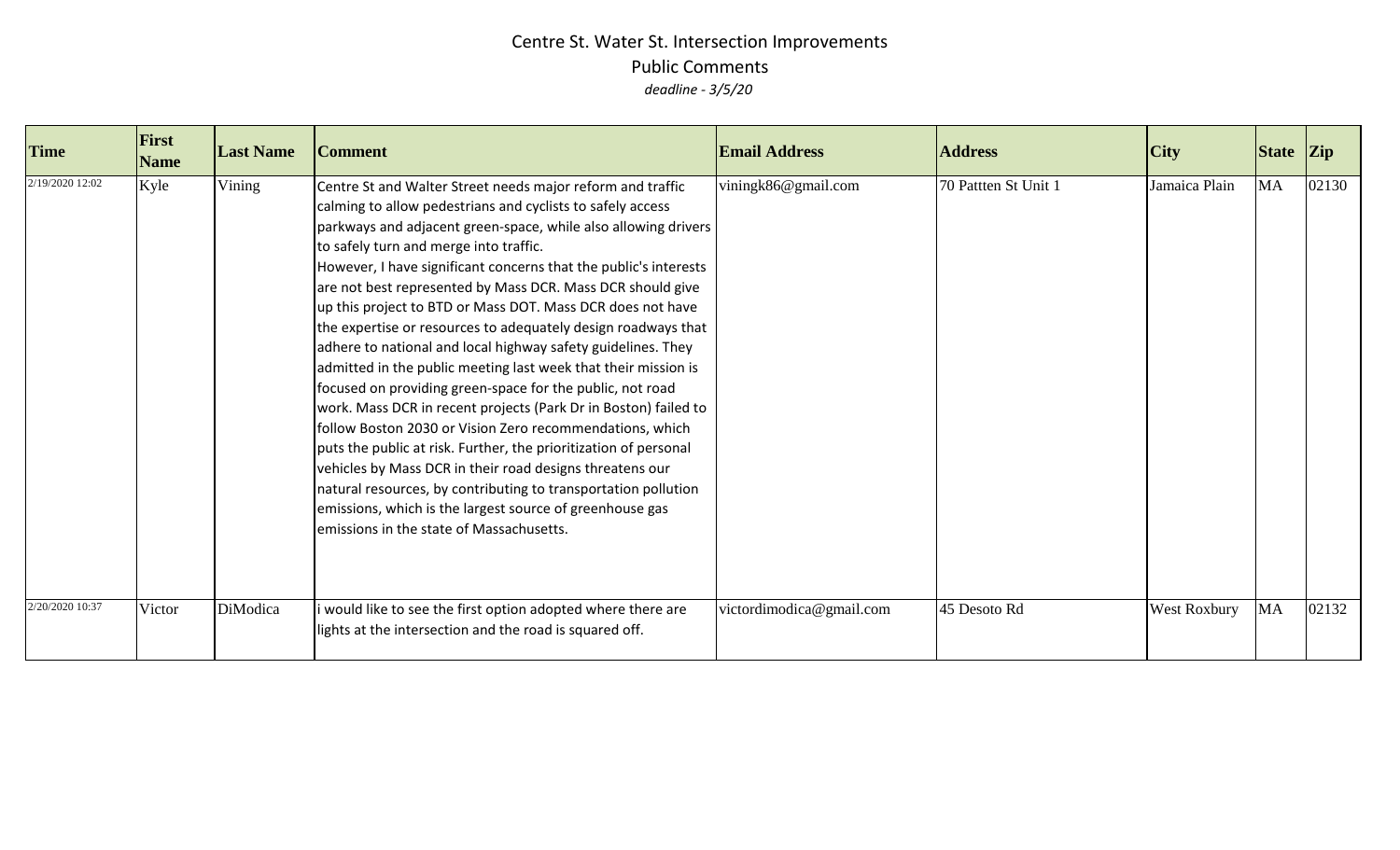| <b>Time</b>     | First<br><b>Name</b> | <b>Last Name</b> | <b>Comment</b>                                                                                                                                                                                                                                                                                                                                                                                                                                                                                                                                                                                                                                                                                                                                                                                                                                                                                                                                                                                                                                                                                                                                | <b>Email Address</b>     | <b>Address</b>       | <b>City</b>         | State Zip |       |
|-----------------|----------------------|------------------|-----------------------------------------------------------------------------------------------------------------------------------------------------------------------------------------------------------------------------------------------------------------------------------------------------------------------------------------------------------------------------------------------------------------------------------------------------------------------------------------------------------------------------------------------------------------------------------------------------------------------------------------------------------------------------------------------------------------------------------------------------------------------------------------------------------------------------------------------------------------------------------------------------------------------------------------------------------------------------------------------------------------------------------------------------------------------------------------------------------------------------------------------|--------------------------|----------------------|---------------------|-----------|-------|
| 2/19/2020 12:02 | Kyle                 | Vining           | Centre St and Walter Street needs major reform and traffic<br>calming to allow pedestrians and cyclists to safely access<br>parkways and adjacent green-space, while also allowing drivers<br>to safely turn and merge into traffic.<br>However, I have significant concerns that the public's interests<br>are not best represented by Mass DCR. Mass DCR should give<br>up this project to BTD or Mass DOT. Mass DCR does not have<br>the expertise or resources to adequately design roadways that<br>adhere to national and local highway safety guidelines. They<br>admitted in the public meeting last week that their mission is<br>focused on providing green-space for the public, not road<br>work. Mass DCR in recent projects (Park Dr in Boston) failed to<br>follow Boston 2030 or Vision Zero recommendations, which<br>puts the public at risk. Further, the prioritization of personal<br>vehicles by Mass DCR in their road designs threatens our<br>natural resources, by contributing to transportation pollution<br>emissions, which is the largest source of greenhouse gas<br>emissions in the state of Massachusetts. | viningk86@gmail.com      | 70 Pattten St Unit 1 | Jamaica Plain       | MA        | 02130 |
| 2/20/2020 10:37 | Victor               | DiModica         | i would like to see the first option adopted where there are<br>lights at the intersection and the road is squared off.                                                                                                                                                                                                                                                                                                                                                                                                                                                                                                                                                                                                                                                                                                                                                                                                                                                                                                                                                                                                                       | victordimodica@gmail.com | 45 Desoto Rd         | <b>West Roxbury</b> | MA        | 02132 |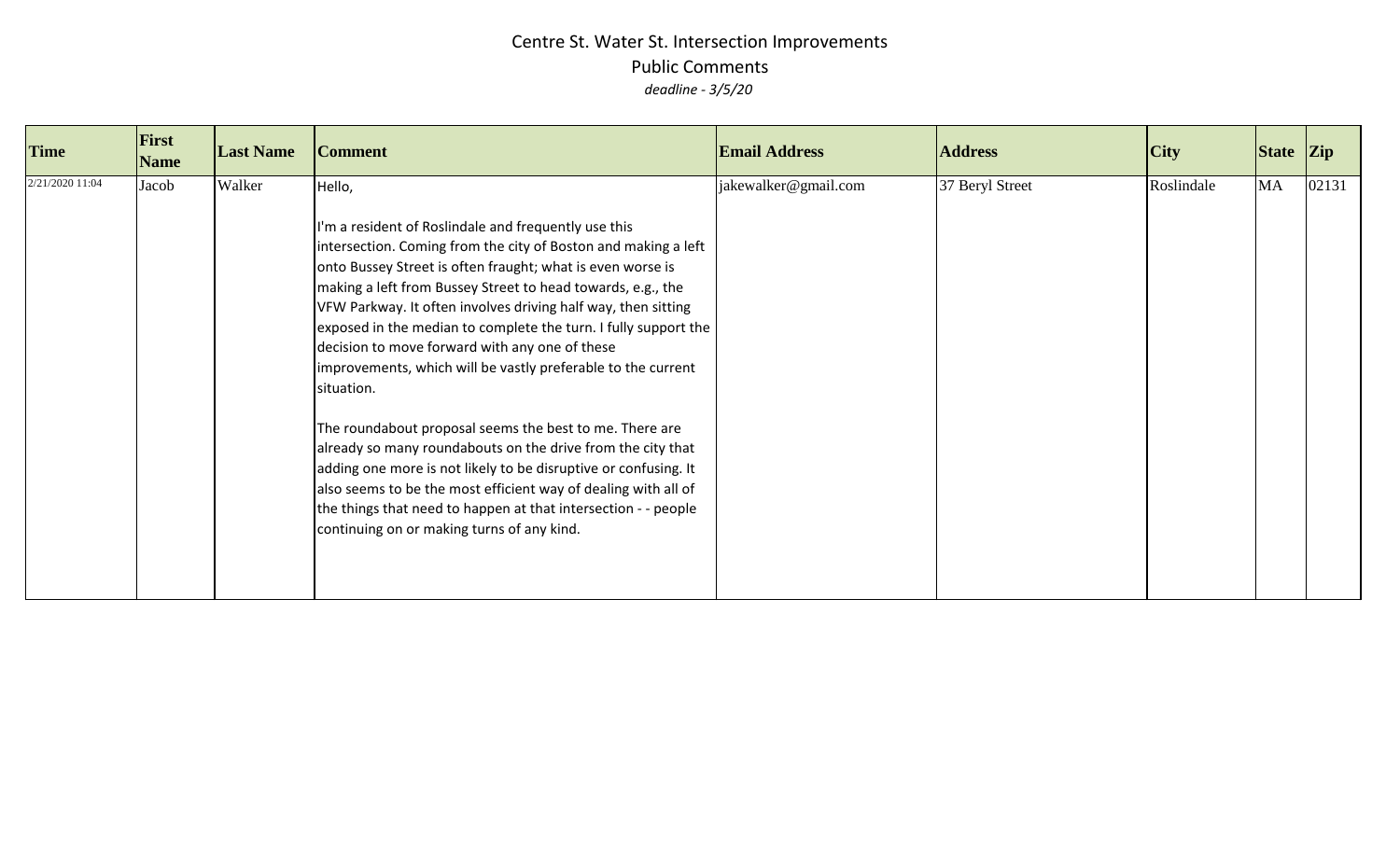| <b>Time</b>     | First<br><b>Name</b> | <b>Last Name</b> | <b>Comment</b>                                                                                                                                                                                                                                                                                                                                                                                                                                                                                                                                                                                                                                                                                                                                                                                                                                                                                                   | <b>Email Address</b> | <b>Address</b>  | City       | State Zip |       |
|-----------------|----------------------|------------------|------------------------------------------------------------------------------------------------------------------------------------------------------------------------------------------------------------------------------------------------------------------------------------------------------------------------------------------------------------------------------------------------------------------------------------------------------------------------------------------------------------------------------------------------------------------------------------------------------------------------------------------------------------------------------------------------------------------------------------------------------------------------------------------------------------------------------------------------------------------------------------------------------------------|----------------------|-----------------|------------|-----------|-------|
| 2/21/2020 11:04 | Jacob                | Walker           | Hello,<br>I'm a resident of Roslindale and frequently use this<br>intersection. Coming from the city of Boston and making a left<br>onto Bussey Street is often fraught; what is even worse is<br>making a left from Bussey Street to head towards, e.g., the<br>VFW Parkway. It often involves driving half way, then sitting<br>exposed in the median to complete the turn. I fully support the<br>decision to move forward with any one of these<br>improvements, which will be vastly preferable to the current<br>situation.<br>The roundabout proposal seems the best to me. There are<br>already so many roundabouts on the drive from the city that<br>adding one more is not likely to be disruptive or confusing. It<br>also seems to be the most efficient way of dealing with all of<br>the things that need to happen at that intersection - - people<br>continuing on or making turns of any kind. | jakewalker@gmail.com | 37 Beryl Street | Roslindale | MA        | 02131 |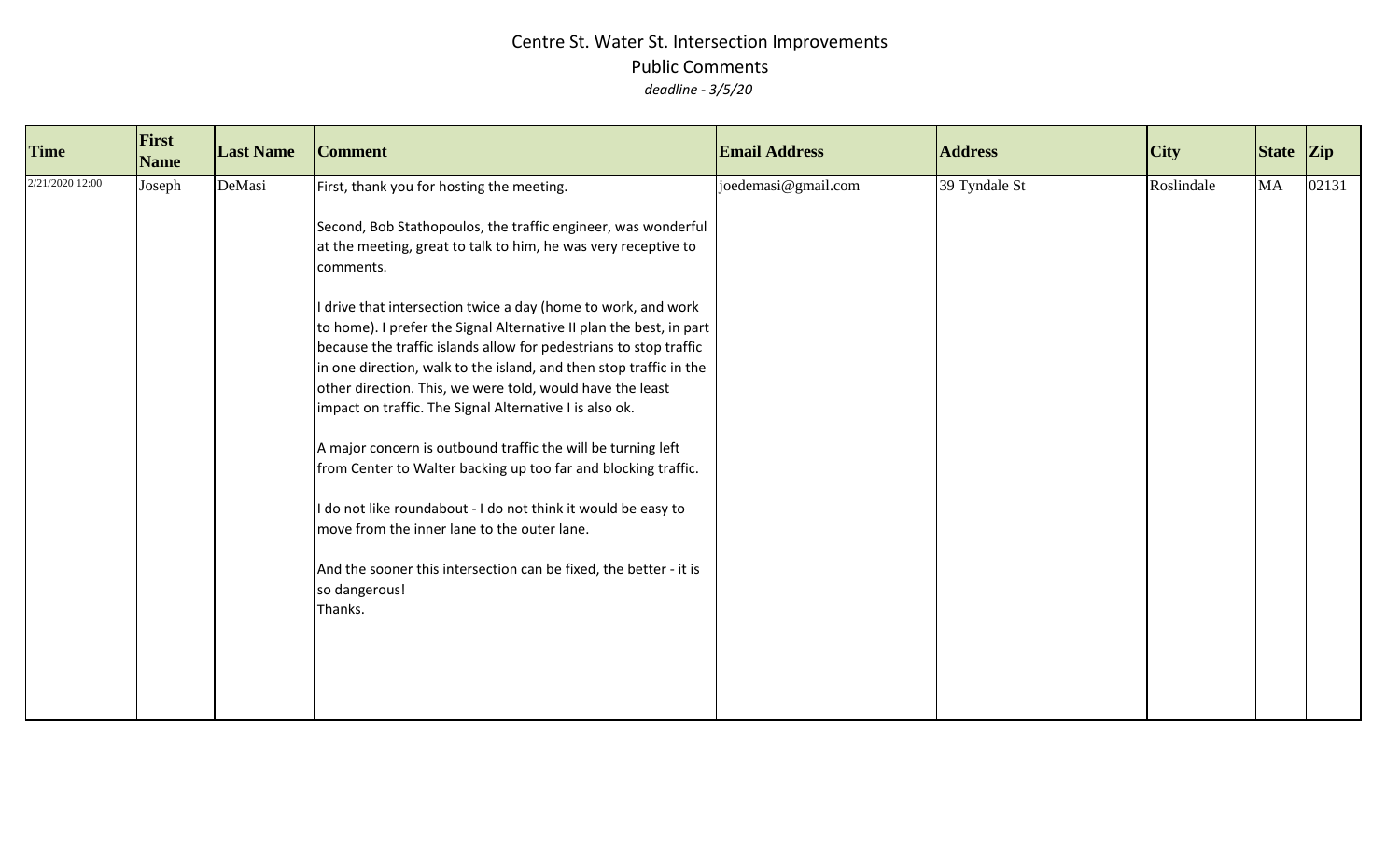| <b>Time</b>     | First<br><b>Name</b> | <b>Last Name</b> | <b>Comment</b>                                                                                                                                                                                                                                                                                                                                                                                                                                                                                                                                                                                                                                                                                                                                                                                                                                                                                                                                      | <b>Email Address</b> | <b>Address</b> | City       | State Zip |       |
|-----------------|----------------------|------------------|-----------------------------------------------------------------------------------------------------------------------------------------------------------------------------------------------------------------------------------------------------------------------------------------------------------------------------------------------------------------------------------------------------------------------------------------------------------------------------------------------------------------------------------------------------------------------------------------------------------------------------------------------------------------------------------------------------------------------------------------------------------------------------------------------------------------------------------------------------------------------------------------------------------------------------------------------------|----------------------|----------------|------------|-----------|-------|
| 2/21/2020 12:00 | Joseph               | DeMasi           | First, thank you for hosting the meeting.<br>Second, Bob Stathopoulos, the traffic engineer, was wonderful<br>at the meeting, great to talk to him, he was very receptive to<br>comments.<br>drive that intersection twice a day (home to work, and work<br>to home). I prefer the Signal Alternative II plan the best, in part<br>because the traffic islands allow for pedestrians to stop traffic<br>in one direction, walk to the island, and then stop traffic in the<br>other direction. This, we were told, would have the least<br>impact on traffic. The Signal Alternative I is also ok.<br>A major concern is outbound traffic the will be turning left<br>from Center to Walter backing up too far and blocking traffic.<br>do not like roundabout - I do not think it would be easy to<br>move from the inner lane to the outer lane.<br>And the sooner this intersection can be fixed, the better - it is<br>so dangerous!<br>Thanks. | joedemasi@gmail.com  | 39 Tyndale St  | Roslindale | MA        | 02131 |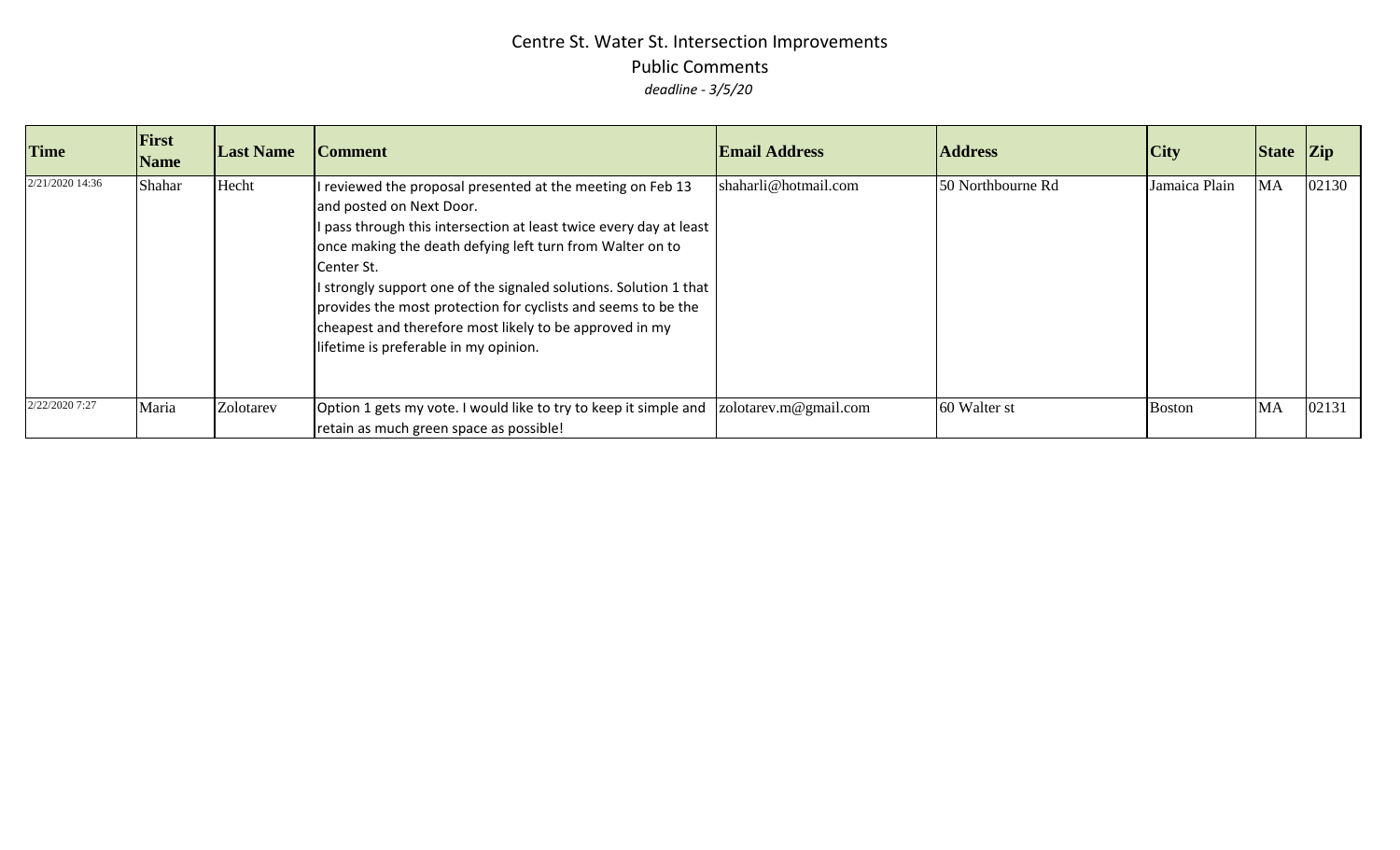| <b>Time</b>     | First<br><b>Name</b> | <b>Last Name</b> | <b>Comment</b>                                                                                                                                                                                                                                                                                                                                                                                                                                                                    | <b>Email Address</b>  | <b>Address</b>    | <b>City</b>   | State Zip |       |
|-----------------|----------------------|------------------|-----------------------------------------------------------------------------------------------------------------------------------------------------------------------------------------------------------------------------------------------------------------------------------------------------------------------------------------------------------------------------------------------------------------------------------------------------------------------------------|-----------------------|-------------------|---------------|-----------|-------|
| 2/21/2020 14:36 | Shahar               | Hecht            | I reviewed the proposal presented at the meeting on Feb 13<br>and posted on Next Door.<br>I pass through this intersection at least twice every day at least<br>once making the death defying left turn from Walter on to<br>Center St.<br>I strongly support one of the signaled solutions. Solution 1 that<br>provides the most protection for cyclists and seems to be the<br>cheapest and therefore most likely to be approved in my<br>lifetime is preferable in my opinion. | shaharli@hotmail.com  | 50 Northbourne Rd | Jamaica Plain | <b>MA</b> | 02130 |
| 2/22/2020 7:27  | Maria                | Zolotarev        | Option 1 gets my vote. I would like to try to keep it simple and<br>retain as much green space as possible!                                                                                                                                                                                                                                                                                                                                                                       | zolotarev.m@gmail.com | 60 Walter st      | <b>Boston</b> | <b>MA</b> | 02131 |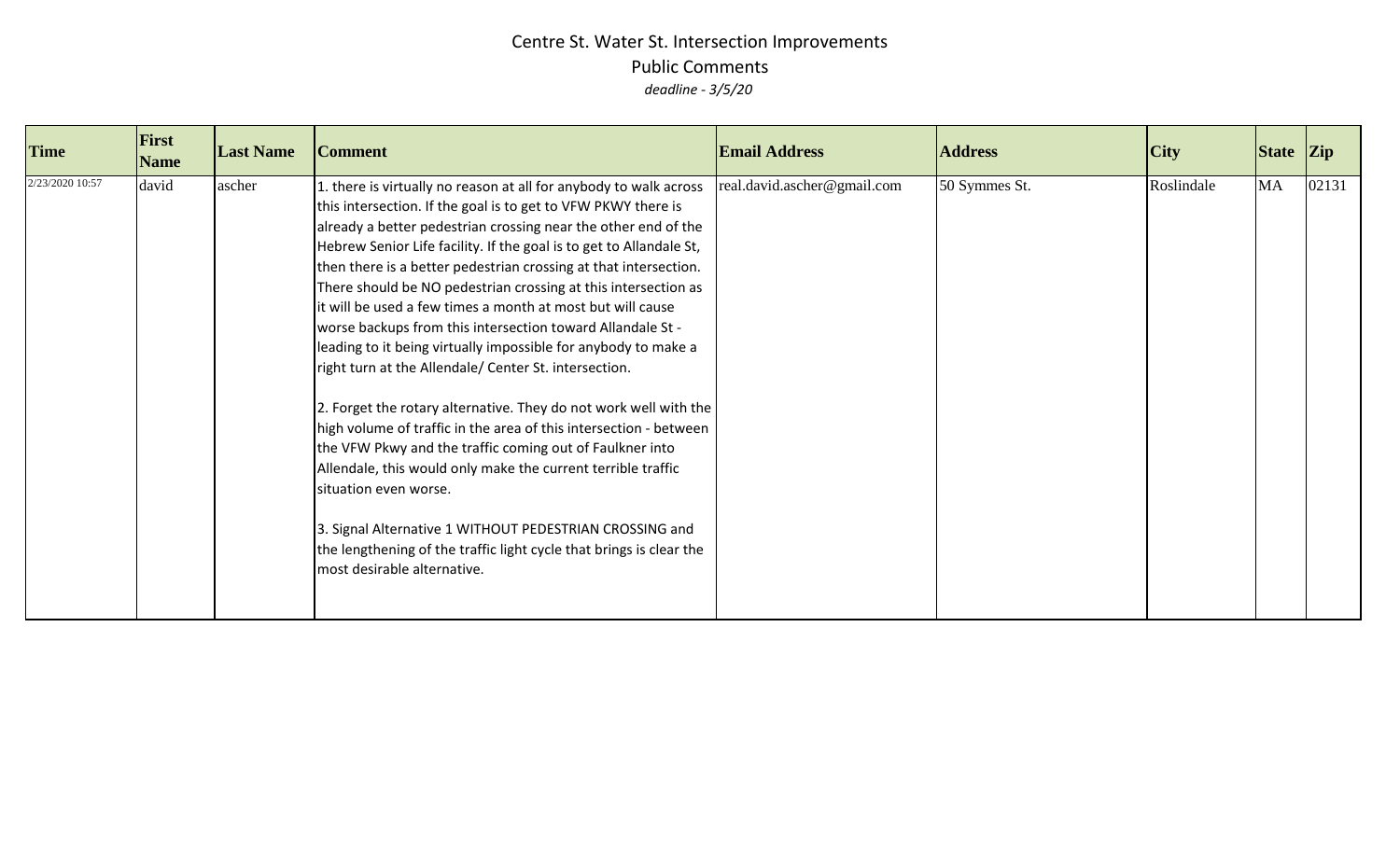| <b>Time</b>     | <b>First</b><br><b>Name</b> | <b>Last Name</b> | <b>Comment</b>                                                                                                                                                                                                                                                                                                                                                                                                                                                                                                                                                                                                                                                                                                                                                                                                                                                                                                                                                                                                                                                                                                                          | <b>Email Address</b>        | <b>Address</b> | City       | State Zip |       |
|-----------------|-----------------------------|------------------|-----------------------------------------------------------------------------------------------------------------------------------------------------------------------------------------------------------------------------------------------------------------------------------------------------------------------------------------------------------------------------------------------------------------------------------------------------------------------------------------------------------------------------------------------------------------------------------------------------------------------------------------------------------------------------------------------------------------------------------------------------------------------------------------------------------------------------------------------------------------------------------------------------------------------------------------------------------------------------------------------------------------------------------------------------------------------------------------------------------------------------------------|-----------------------------|----------------|------------|-----------|-------|
| 2/23/2020 10:57 | david                       | ascher           | 1. there is virtually no reason at all for anybody to walk across<br>this intersection. If the goal is to get to VFW PKWY there is<br>already a better pedestrian crossing near the other end of the<br>Hebrew Senior Life facility. If the goal is to get to Allandale St,<br>then there is a better pedestrian crossing at that intersection.<br>There should be NO pedestrian crossing at this intersection as<br>it will be used a few times a month at most but will cause<br>worse backups from this intersection toward Allandale St -<br>leading to it being virtually impossible for anybody to make a<br>right turn at the Allendale/ Center St. intersection.<br>2. Forget the rotary alternative. They do not work well with the<br>high volume of traffic in the area of this intersection - between<br>the VFW Pkwy and the traffic coming out of Faulkner into<br>Allendale, this would only make the current terrible traffic<br>situation even worse.<br>3. Signal Alternative 1 WITHOUT PEDESTRIAN CROSSING and<br>the lengthening of the traffic light cycle that brings is clear the<br>most desirable alternative. | real.david.ascher@gmail.com | 50 Symmes St.  | Roslindale | <b>MA</b> | 02131 |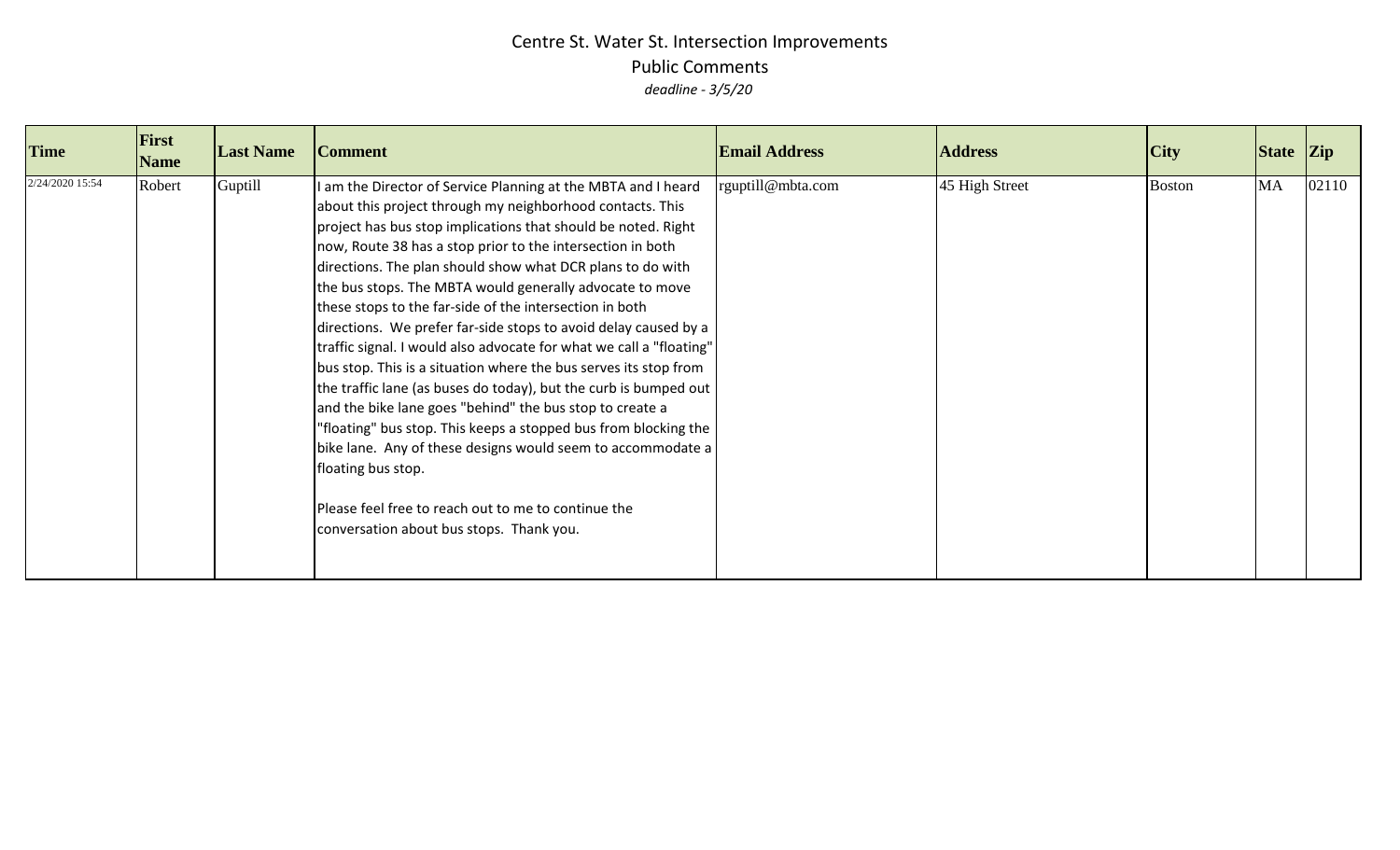| <b>Time</b>     | First<br><b>Name</b> | <b>Last Name</b> | <b>Comment</b>                                                                                                                                                                                                                                                                                                                                                                                                                                                                                                                                                                                                                                                                                                                                                                                                                                                                                                                                                                                                                                          | <b>Email Address</b> | <b>Address</b> | City          | State Zip |       |
|-----------------|----------------------|------------------|---------------------------------------------------------------------------------------------------------------------------------------------------------------------------------------------------------------------------------------------------------------------------------------------------------------------------------------------------------------------------------------------------------------------------------------------------------------------------------------------------------------------------------------------------------------------------------------------------------------------------------------------------------------------------------------------------------------------------------------------------------------------------------------------------------------------------------------------------------------------------------------------------------------------------------------------------------------------------------------------------------------------------------------------------------|----------------------|----------------|---------------|-----------|-------|
| 2/24/2020 15:54 | Robert               | Guptill          | I am the Director of Service Planning at the MBTA and I heard<br>about this project through my neighborhood contacts. This<br>project has bus stop implications that should be noted. Right<br>now, Route 38 has a stop prior to the intersection in both<br>directions. The plan should show what DCR plans to do with<br>the bus stops. The MBTA would generally advocate to move<br>these stops to the far-side of the intersection in both<br>directions. We prefer far-side stops to avoid delay caused by a<br>traffic signal. I would also advocate for what we call a "floating"<br>bus stop. This is a situation where the bus serves its stop from<br>the traffic lane (as buses do today), but the curb is bumped out<br>and the bike lane goes "behind" the bus stop to create a<br>"floating" bus stop. This keeps a stopped bus from blocking the<br>bike lane. Any of these designs would seem to accommodate a<br>floating bus stop.<br>Please feel free to reach out to me to continue the<br>conversation about bus stops. Thank you. | rguptill@mbta.com    | 45 High Street | <b>Boston</b> | MA        | 02110 |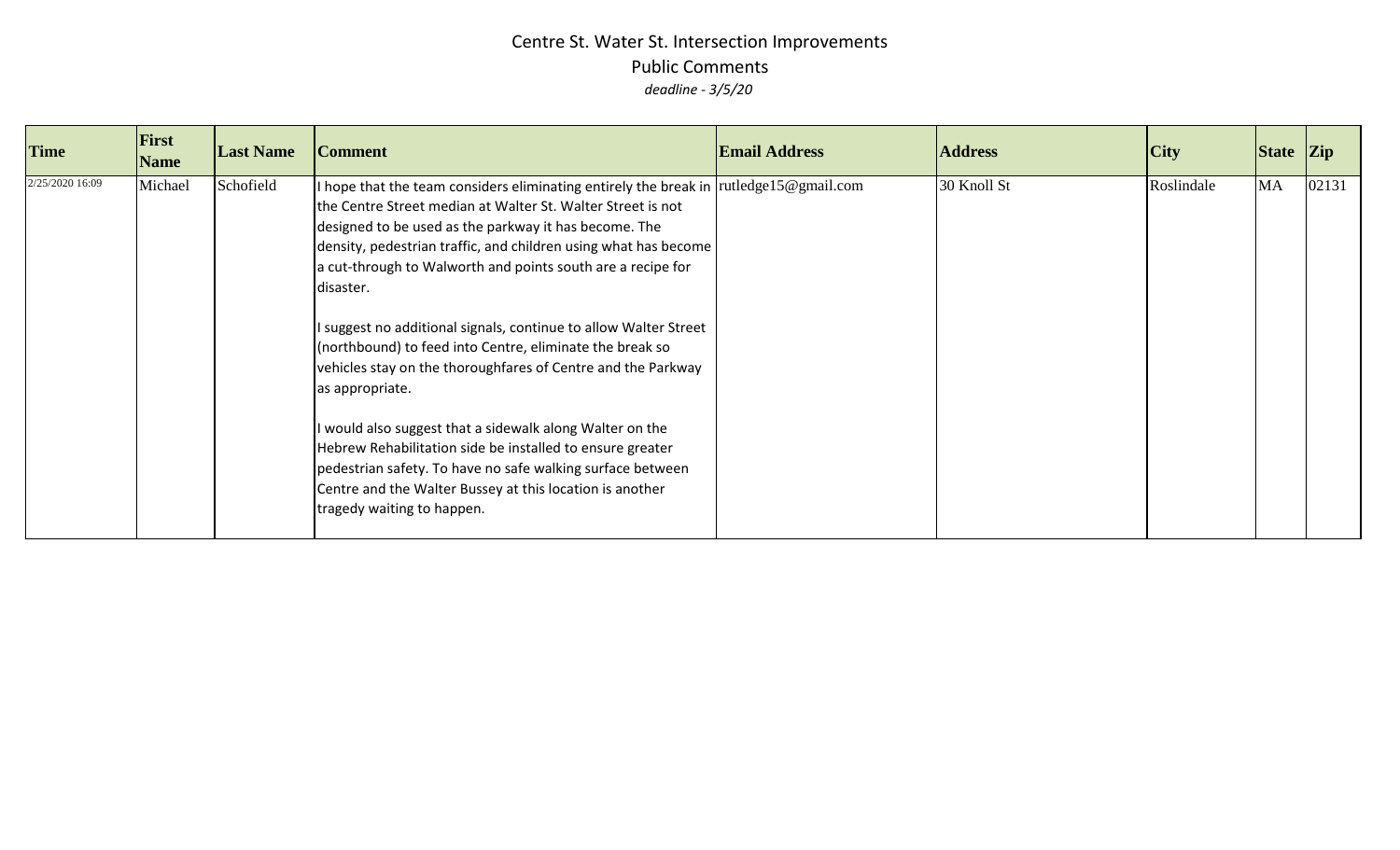| <b>Time</b>     | <b>First</b><br><b>Name</b> | <b>Last Name</b> | <b>Comment</b>                                                                                                                                                                                                                                                                                                                                                                                                                                                                                                                                                                                                                                                                                                                                                                                                                              | <b>Email Address</b> | <b>Address</b> | $\overline{C}$ ity | $\left  \right $ State $\left  \right $ Zip |       |
|-----------------|-----------------------------|------------------|---------------------------------------------------------------------------------------------------------------------------------------------------------------------------------------------------------------------------------------------------------------------------------------------------------------------------------------------------------------------------------------------------------------------------------------------------------------------------------------------------------------------------------------------------------------------------------------------------------------------------------------------------------------------------------------------------------------------------------------------------------------------------------------------------------------------------------------------|----------------------|----------------|--------------------|---------------------------------------------|-------|
| 2/25/2020 16:09 | Michael                     | Schofield        | I hope that the team considers eliminating entirely the break in<br>the Centre Street median at Walter St. Walter Street is not<br>designed to be used as the parkway it has become. The<br>density, pedestrian traffic, and children using what has become<br>a cut-through to Walworth and points south are a recipe for<br>disaster.<br>I suggest no additional signals, continue to allow Walter Street<br>(northbound) to feed into Centre, eliminate the break so<br>vehicles stay on the thoroughfares of Centre and the Parkway<br>as appropriate.<br>I would also suggest that a sidewalk along Walter on the<br>Hebrew Rehabilitation side be installed to ensure greater<br>pedestrian safety. To have no safe walking surface between<br>Centre and the Walter Bussey at this location is another<br>tragedy waiting to happen. | rutledge15@gmail.com | 30 Knoll St    | Roslindale         | MA                                          | 02131 |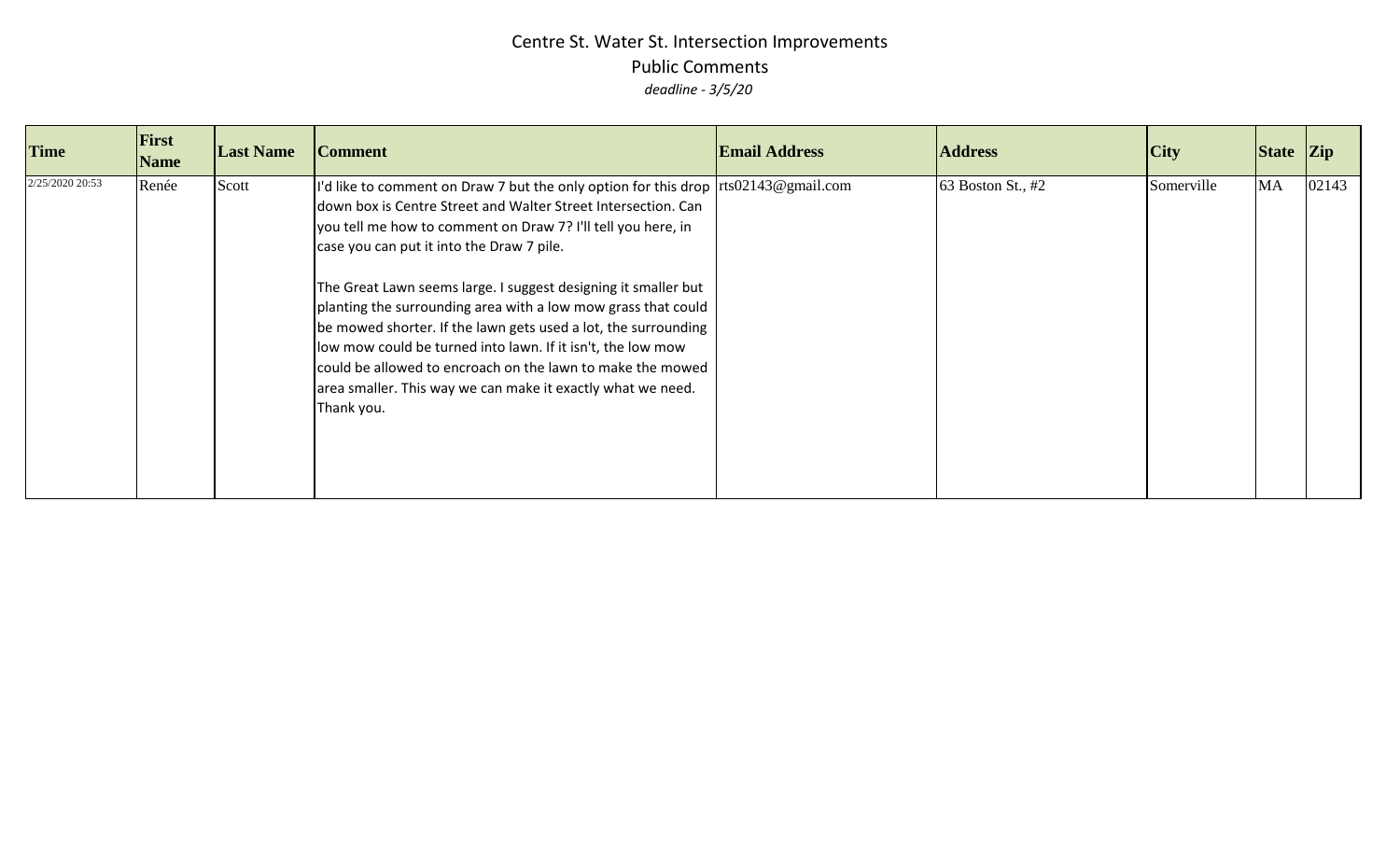| <b>Time</b>     | First<br><b>Name</b> | <b>Last Name</b> | <b>Comment</b>                                                                                                                                                                                                                                                                                                                                                                                                                                                                                                                                                                                                                                                                                                  | <b>Email Address</b> | <b>Address</b>    | $\overline{C}$ ity | State Zip |       |
|-----------------|----------------------|------------------|-----------------------------------------------------------------------------------------------------------------------------------------------------------------------------------------------------------------------------------------------------------------------------------------------------------------------------------------------------------------------------------------------------------------------------------------------------------------------------------------------------------------------------------------------------------------------------------------------------------------------------------------------------------------------------------------------------------------|----------------------|-------------------|--------------------|-----------|-------|
| 2/25/2020 20:53 | Renée                | Scott            | I'd like to comment on Draw 7 but the only option for this drop $\left  \text{rts}02143@ \text{gmail.com} \right $<br>down box is Centre Street and Walter Street Intersection. Can<br>you tell me how to comment on Draw 7? I'll tell you here, in<br>case you can put it into the Draw 7 pile.<br>The Great Lawn seems large. I suggest designing it smaller but<br>planting the surrounding area with a low mow grass that could<br>be mowed shorter. If the lawn gets used a lot, the surrounding<br>low mow could be turned into lawn. If it isn't, the low mow<br>could be allowed to encroach on the lawn to make the mowed<br>area smaller. This way we can make it exactly what we need.<br>Thank you. |                      | 63 Boston St., #2 | Somerville         | <b>MA</b> | 02143 |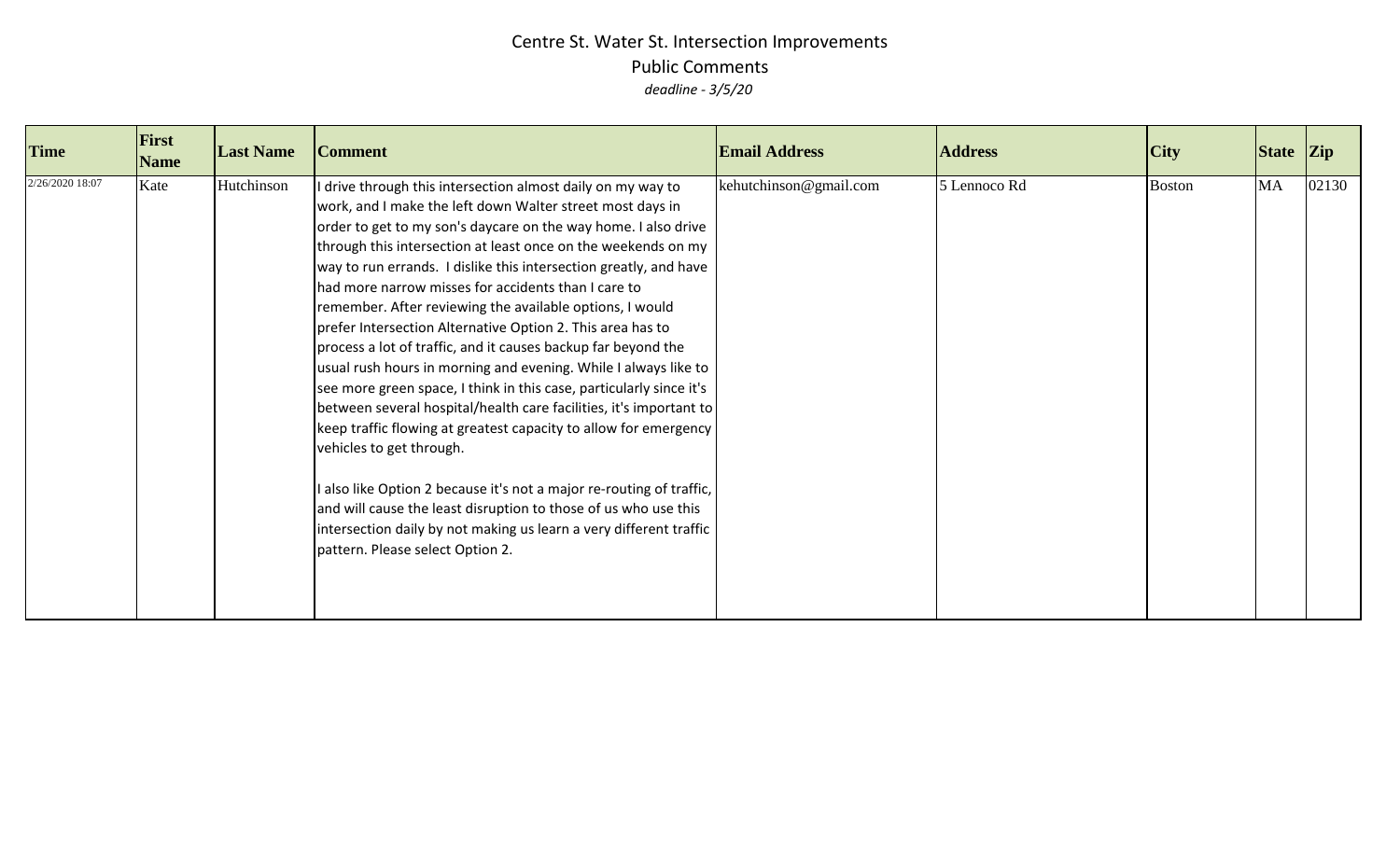| <b>Time</b>     | First<br><b>Name</b> | <b>Last Name</b> | <b>Comment</b>                                                                                                                                                                                                                                                                                                                                                                                                                                                                                                                                                                                                                                                                                                                                                                                                                                                                                                                                                                                                                                                                                                                                      | <b>Email Address</b>   | <b>Address</b> | City          | State Zip |       |
|-----------------|----------------------|------------------|-----------------------------------------------------------------------------------------------------------------------------------------------------------------------------------------------------------------------------------------------------------------------------------------------------------------------------------------------------------------------------------------------------------------------------------------------------------------------------------------------------------------------------------------------------------------------------------------------------------------------------------------------------------------------------------------------------------------------------------------------------------------------------------------------------------------------------------------------------------------------------------------------------------------------------------------------------------------------------------------------------------------------------------------------------------------------------------------------------------------------------------------------------|------------------------|----------------|---------------|-----------|-------|
| 2/26/2020 18:07 | Kate                 | Hutchinson       | drive through this intersection almost daily on my way to<br>work, and I make the left down Walter street most days in<br>order to get to my son's daycare on the way home. I also drive<br>through this intersection at least once on the weekends on my<br>way to run errands. I dislike this intersection greatly, and have<br>had more narrow misses for accidents than I care to<br>remember. After reviewing the available options, I would<br>prefer Intersection Alternative Option 2. This area has to<br>process a lot of traffic, and it causes backup far beyond the<br>usual rush hours in morning and evening. While I always like to<br>see more green space, I think in this case, particularly since it's<br>between several hospital/health care facilities, it's important to<br>keep traffic flowing at greatest capacity to allow for emergency<br>vehicles to get through.<br>also like Option 2 because it's not a major re-routing of traffic,<br>and will cause the least disruption to those of us who use this<br>intersection daily by not making us learn a very different traffic<br>pattern. Please select Option 2. | kehutchinson@gmail.com | 5 Lennoco Rd   | <b>Boston</b> | <b>MA</b> | 02130 |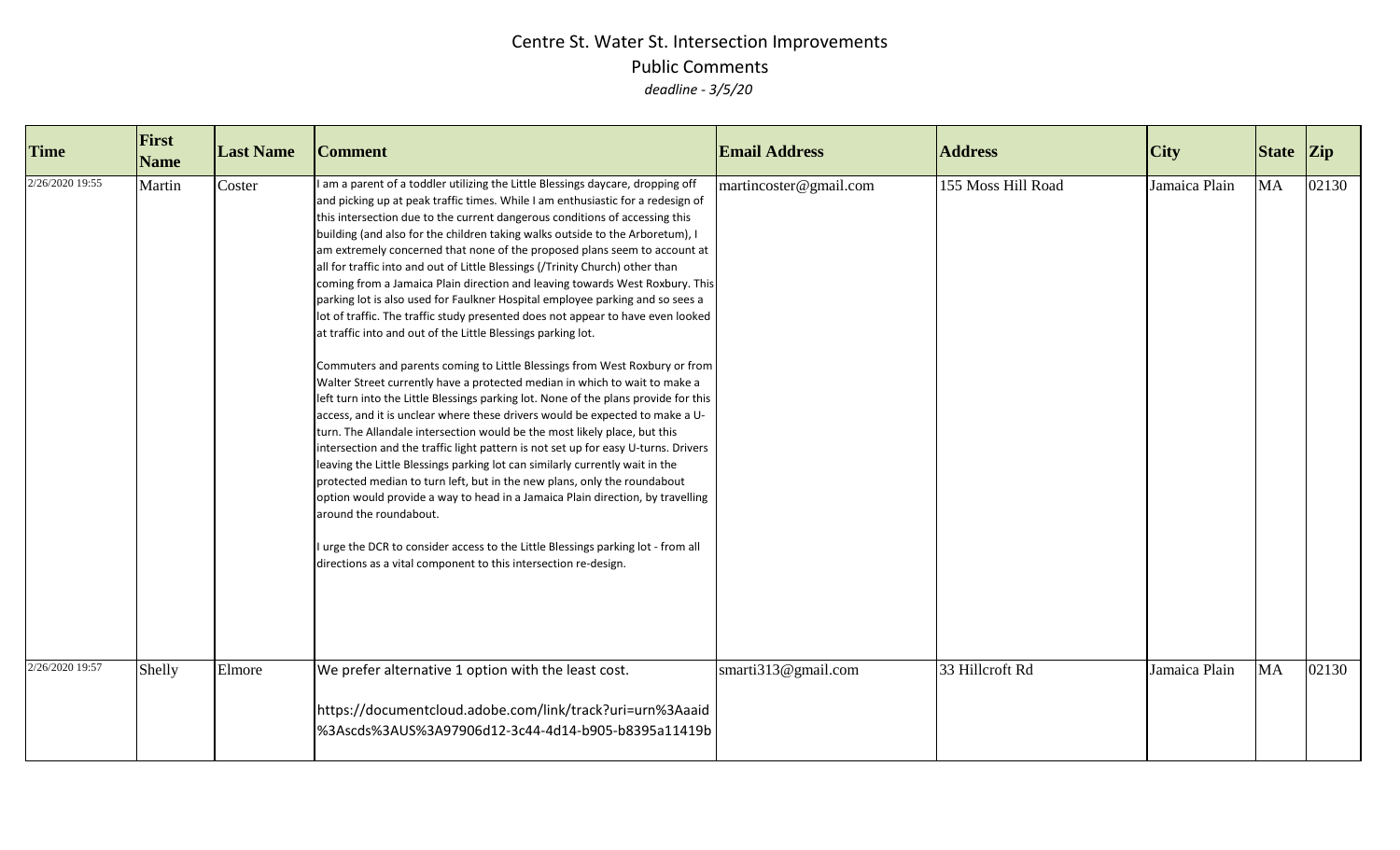| <b>Time</b>                        | First<br><b>Name</b> | <b>Last Name</b> | <b>Comment</b>                                                                                                                                                                                                                                                                                                                                                                                                                                                                                                                                                                                                                                                                                                                                                                                                                                                                                                                                                                                                                                                                                                                                                                                                                                                                                                                                                                                                                                                                                                                                                                                                                                                                                                                                          | <b>Email Address</b>   | <b>Address</b>     | $\overline{C}$ ity | <b>State</b> | $ _{\mathrm{Zip}}$ |
|------------------------------------|----------------------|------------------|---------------------------------------------------------------------------------------------------------------------------------------------------------------------------------------------------------------------------------------------------------------------------------------------------------------------------------------------------------------------------------------------------------------------------------------------------------------------------------------------------------------------------------------------------------------------------------------------------------------------------------------------------------------------------------------------------------------------------------------------------------------------------------------------------------------------------------------------------------------------------------------------------------------------------------------------------------------------------------------------------------------------------------------------------------------------------------------------------------------------------------------------------------------------------------------------------------------------------------------------------------------------------------------------------------------------------------------------------------------------------------------------------------------------------------------------------------------------------------------------------------------------------------------------------------------------------------------------------------------------------------------------------------------------------------------------------------------------------------------------------------|------------------------|--------------------|--------------------|--------------|--------------------|
| 2/26/2020 19:55<br>2/26/2020 19:57 | Martin               | Coster           | I am a parent of a toddler utilizing the Little Blessings daycare, dropping off<br>and picking up at peak traffic times. While I am enthusiastic for a redesign of<br>this intersection due to the current dangerous conditions of accessing this<br>building (and also for the children taking walks outside to the Arboretum), I<br>am extremely concerned that none of the proposed plans seem to account at<br>all for traffic into and out of Little Blessings (/Trinity Church) other than<br>coming from a Jamaica Plain direction and leaving towards West Roxbury. This<br>parking lot is also used for Faulkner Hospital employee parking and so sees a<br>lot of traffic. The traffic study presented does not appear to have even looked<br>at traffic into and out of the Little Blessings parking lot.<br>Commuters and parents coming to Little Blessings from West Roxbury or from<br>Walter Street currently have a protected median in which to wait to make a<br>left turn into the Little Blessings parking lot. None of the plans provide for this<br>access, and it is unclear where these drivers would be expected to make a U-<br>turn. The Allandale intersection would be the most likely place, but this<br>intersection and the traffic light pattern is not set up for easy U-turns. Drivers<br>leaving the Little Blessings parking lot can similarly currently wait in the<br>protected median to turn left, but in the new plans, only the roundabout<br>option would provide a way to head in a Jamaica Plain direction, by travelling<br>around the roundabout.<br>urge the DCR to consider access to the Little Blessings parking lot - from all<br>directions as a vital component to this intersection re-design. | martincoster@gmail.com | 155 Moss Hill Road | Jamaica Plain      | <b>MA</b>    | 02130              |
|                                    | Shelly               | Elmore           | We prefer alternative 1 option with the least cost.<br>https://documentcloud.adobe.com/link/track?uri=urn%3Aaaid<br>%3Ascds%3AUS%3A97906d12-3c44-4d14-b905-b8395a11419b                                                                                                                                                                                                                                                                                                                                                                                                                                                                                                                                                                                                                                                                                                                                                                                                                                                                                                                                                                                                                                                                                                                                                                                                                                                                                                                                                                                                                                                                                                                                                                                 | smarti313@gmail.com    | 33 Hillcroft Rd    | Jamaica Plain      | <b>MA</b>    | 02130              |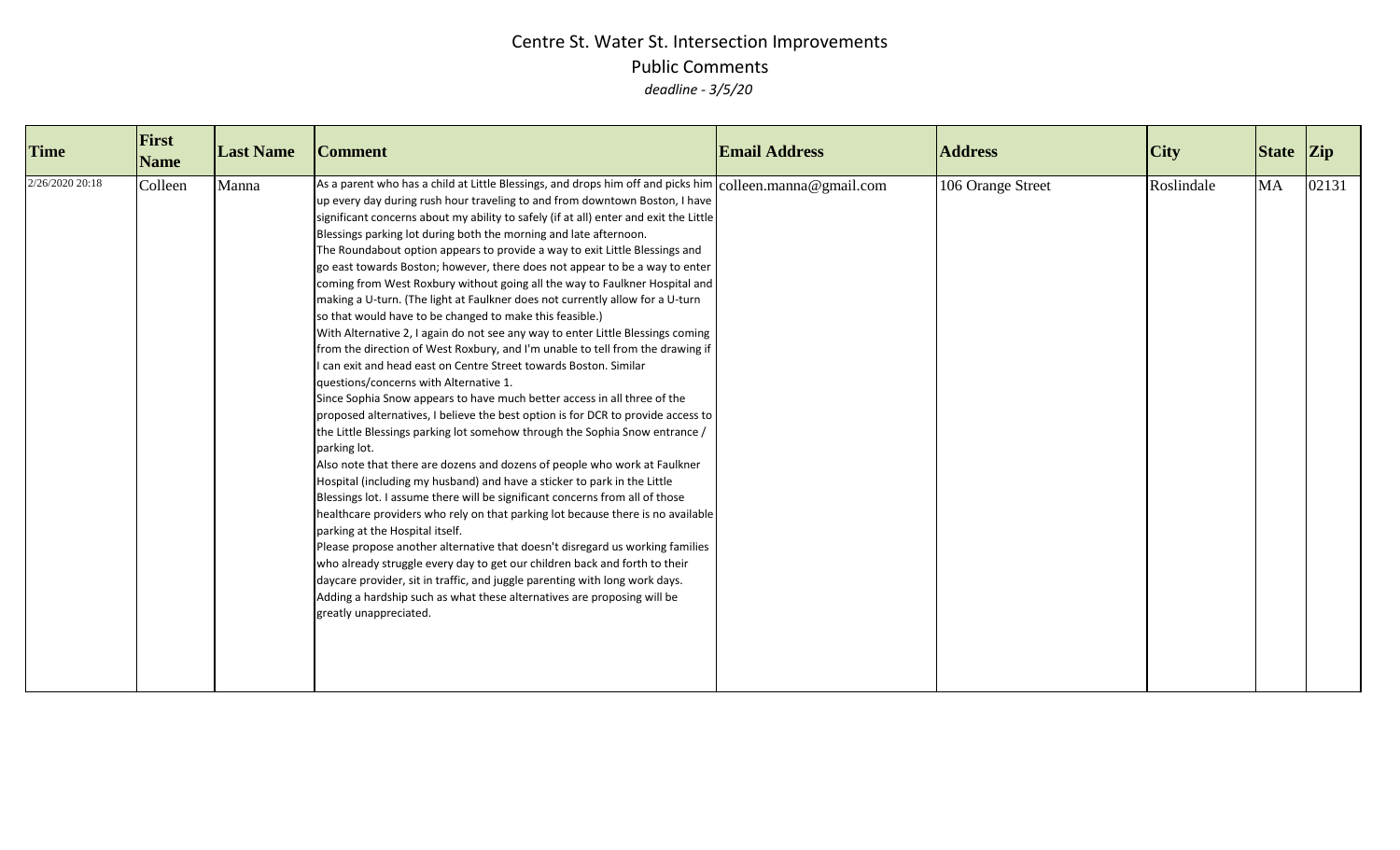| <b>Time</b>     | First<br><b>Name</b> | <b>Last Name</b> | <b>Comment</b>                                                                                                                                                                                                                                                                                                                                                                                                                                                                                                                                                                                                                                                                                                                                                                                                                                                                                                                                                                                                                                                                                                                                                                                                                                                                                                                                                                                                                                                                                                                                                                                                                                                                                                                                                                                                                                                                                                                                                                                                            | <b>Email Address</b> | <b>Address</b>    | <b>City</b> | State Zip |       |
|-----------------|----------------------|------------------|---------------------------------------------------------------------------------------------------------------------------------------------------------------------------------------------------------------------------------------------------------------------------------------------------------------------------------------------------------------------------------------------------------------------------------------------------------------------------------------------------------------------------------------------------------------------------------------------------------------------------------------------------------------------------------------------------------------------------------------------------------------------------------------------------------------------------------------------------------------------------------------------------------------------------------------------------------------------------------------------------------------------------------------------------------------------------------------------------------------------------------------------------------------------------------------------------------------------------------------------------------------------------------------------------------------------------------------------------------------------------------------------------------------------------------------------------------------------------------------------------------------------------------------------------------------------------------------------------------------------------------------------------------------------------------------------------------------------------------------------------------------------------------------------------------------------------------------------------------------------------------------------------------------------------------------------------------------------------------------------------------------------------|----------------------|-------------------|-------------|-----------|-------|
| 2/26/2020 20:18 | Colleen              | Manna            | As a parent who has a child at Little Blessings, and drops him off and picks him $ $ colleen.manna @gmail.com<br>up every day during rush hour traveling to and from downtown Boston, I have<br>significant concerns about my ability to safely (if at all) enter and exit the Little<br>Blessings parking lot during both the morning and late afternoon.<br>The Roundabout option appears to provide a way to exit Little Blessings and<br>go east towards Boston; however, there does not appear to be a way to enter<br>coming from West Roxbury without going all the way to Faulkner Hospital and<br>making a U-turn. (The light at Faulkner does not currently allow for a U-turn<br>so that would have to be changed to make this feasible.)<br>With Alternative 2, I again do not see any way to enter Little Blessings coming<br>from the direction of West Roxbury, and I'm unable to tell from the drawing if<br>I can exit and head east on Centre Street towards Boston. Similar<br>questions/concerns with Alternative 1.<br>Since Sophia Snow appears to have much better access in all three of the<br>proposed alternatives, I believe the best option is for DCR to provide access to<br>the Little Blessings parking lot somehow through the Sophia Snow entrance /<br>parking lot.<br>Also note that there are dozens and dozens of people who work at Faulkner<br>Hospital (including my husband) and have a sticker to park in the Little<br>Blessings lot. I assume there will be significant concerns from all of those<br>healthcare providers who rely on that parking lot because there is no available<br>parking at the Hospital itself.<br>Please propose another alternative that doesn't disregard us working families<br>who already struggle every day to get our children back and forth to their<br>daycare provider, sit in traffic, and juggle parenting with long work days.<br>Adding a hardship such as what these alternatives are proposing will be<br>greatly unappreciated. |                      | 106 Orange Street | Roslindale  | <b>MA</b> | 02131 |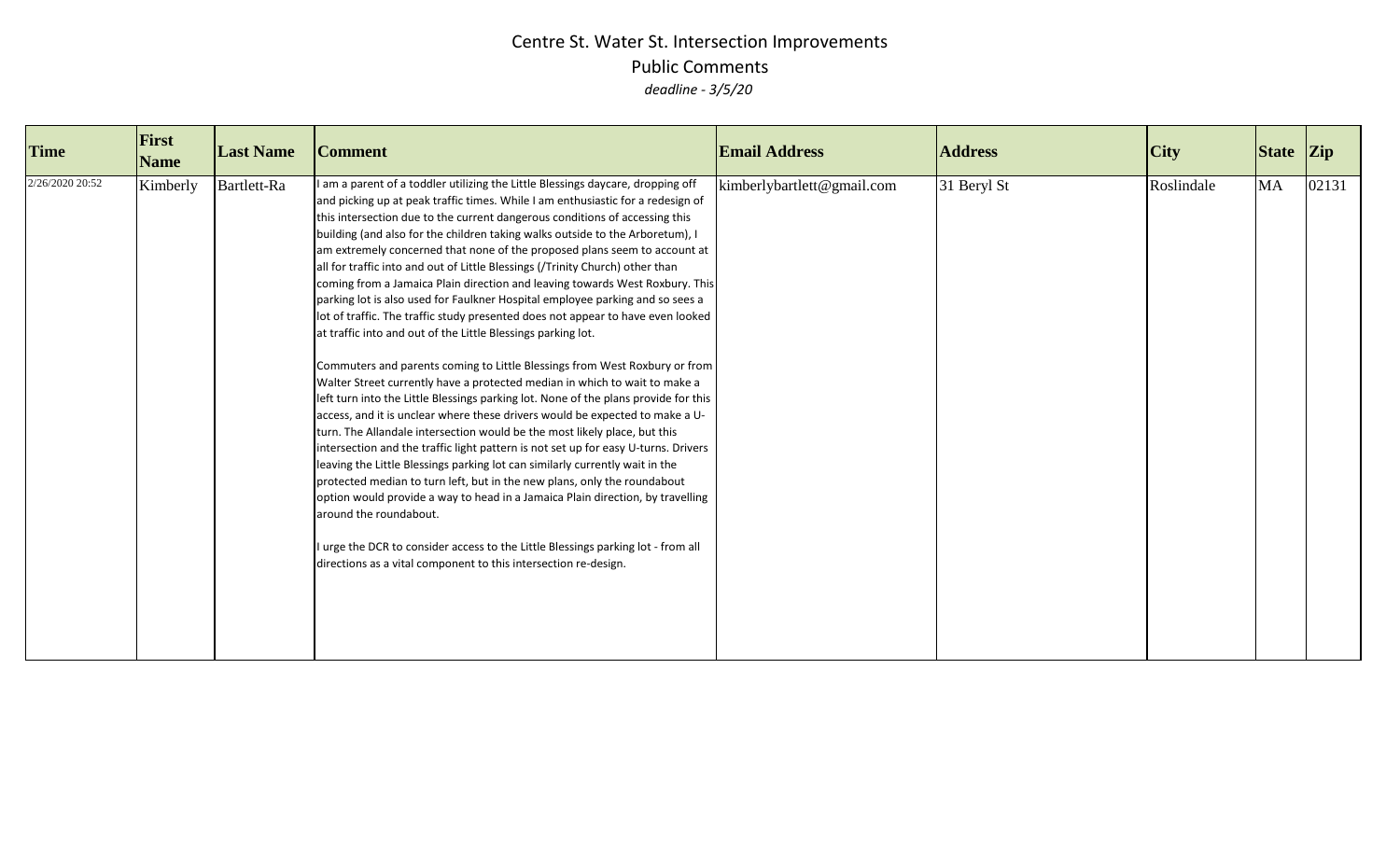| <b>Time</b>     | First<br><b>Name</b> | <b>Last Name</b> | <b>Comment</b>                                                                                                                                                                                                                                                                                                                                                                                                                                                                                                                                                                                                                                                                                                                                                                                                                                                                                                                                                                                                                                                                                                                                                                                                                                                                                                                                                                                                                                                                                                                                                                                                                                                                                                                                            | <b>Email Address</b>       | <b>Address</b> | <b>City</b> | State Zip |       |
|-----------------|----------------------|------------------|-----------------------------------------------------------------------------------------------------------------------------------------------------------------------------------------------------------------------------------------------------------------------------------------------------------------------------------------------------------------------------------------------------------------------------------------------------------------------------------------------------------------------------------------------------------------------------------------------------------------------------------------------------------------------------------------------------------------------------------------------------------------------------------------------------------------------------------------------------------------------------------------------------------------------------------------------------------------------------------------------------------------------------------------------------------------------------------------------------------------------------------------------------------------------------------------------------------------------------------------------------------------------------------------------------------------------------------------------------------------------------------------------------------------------------------------------------------------------------------------------------------------------------------------------------------------------------------------------------------------------------------------------------------------------------------------------------------------------------------------------------------|----------------------------|----------------|-------------|-----------|-------|
| 2/26/2020 20:52 | Kimberly             | Bartlett-Ra      | I am a parent of a toddler utilizing the Little Blessings daycare, dropping off<br>and picking up at peak traffic times. While I am enthusiastic for a redesign of<br>this intersection due to the current dangerous conditions of accessing this<br>building (and also for the children taking walks outside to the Arboretum), I<br>am extremely concerned that none of the proposed plans seem to account at<br>all for traffic into and out of Little Blessings (/Trinity Church) other than<br>coming from a Jamaica Plain direction and leaving towards West Roxbury. This<br>parking lot is also used for Faulkner Hospital employee parking and so sees a<br>lot of traffic. The traffic study presented does not appear to have even looked<br>at traffic into and out of the Little Blessings parking lot.<br>Commuters and parents coming to Little Blessings from West Roxbury or from<br>Walter Street currently have a protected median in which to wait to make a<br>left turn into the Little Blessings parking lot. None of the plans provide for this<br>access, and it is unclear where these drivers would be expected to make a U-<br>turn. The Allandale intersection would be the most likely place, but this<br>intersection and the traffic light pattern is not set up for easy U-turns. Drivers<br>leaving the Little Blessings parking lot can similarly currently wait in the<br>protected median to turn left, but in the new plans, only the roundabout<br>option would provide a way to head in a Jamaica Plain direction, by travelling<br>around the roundabout.<br>I urge the DCR to consider access to the Little Blessings parking lot - from all<br>directions as a vital component to this intersection re-design. | kimberlybartlett@gmail.com | 31 Beryl St    | Roslindale  | <b>MA</b> | 02131 |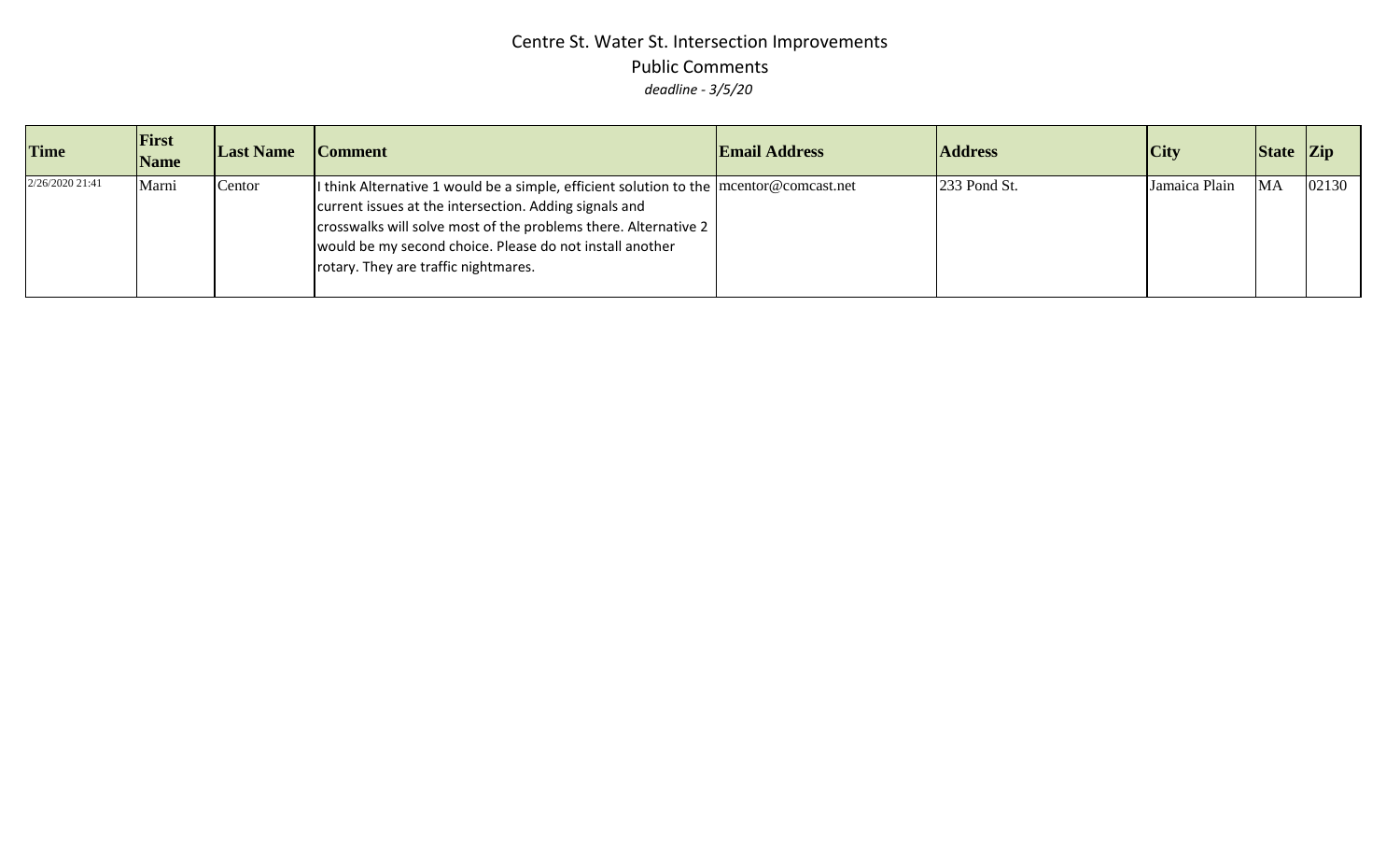| <b>Time</b>     | <b>First</b><br><b>Name</b> | <b>Last Name</b> | <b>Comment</b>                                                                                                                                                                                                                                                                                                               | <b>Email Address</b> | <b>Address</b> | <b>City</b>   | State Zip |       |
|-----------------|-----------------------------|------------------|------------------------------------------------------------------------------------------------------------------------------------------------------------------------------------------------------------------------------------------------------------------------------------------------------------------------------|----------------------|----------------|---------------|-----------|-------|
| 2/26/2020 21:41 | Marni                       | Centor           | If think Alternative 1 would be a simple, efficient solution to the $ $ mcentor@comcast.net<br>current issues at the intersection. Adding signals and<br>crosswalks will solve most of the problems there. Alternative 2<br>would be my second choice. Please do not install another<br>rotary. They are traffic nightmares. |                      | 233 Pond St.   | Jamaica Plain | <b>MA</b> | 02130 |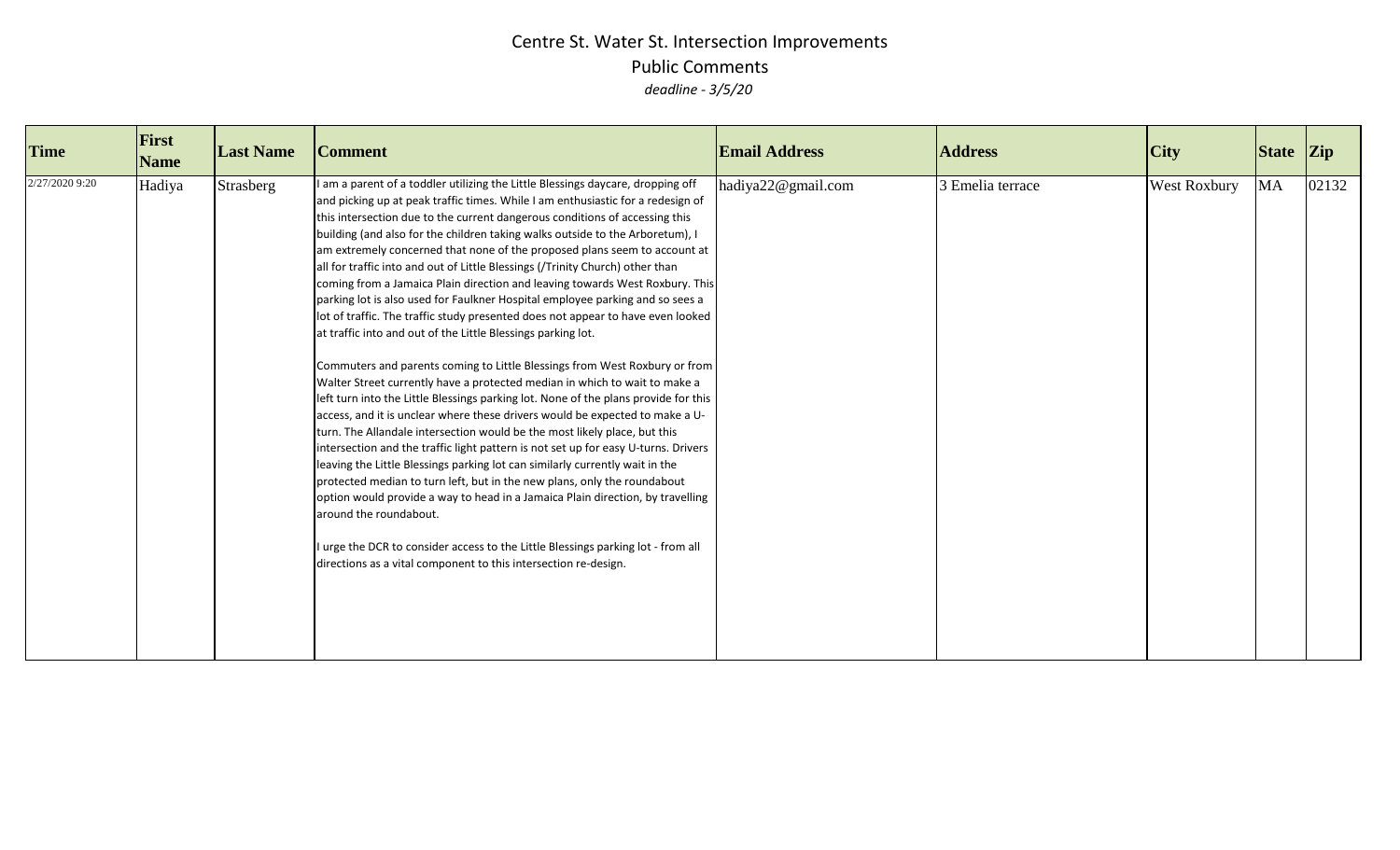| <b>Time</b>    | First<br><b>Name</b> | <b>Last Name</b> | <b>Comment</b>                                                                                                                                                                                                                                                                                                                                                                                                                                                                                                                                                                                                                                                                                                                                                                                                                                                                                                                                                                                                                                                                                                                                                                                                                                                                                                                                                                                                                                                                                                                                                                                                                                                                                                                                            | <b>Email Address</b> | <b>Address</b>   | <b>City</b>         | State Zip |       |
|----------------|----------------------|------------------|-----------------------------------------------------------------------------------------------------------------------------------------------------------------------------------------------------------------------------------------------------------------------------------------------------------------------------------------------------------------------------------------------------------------------------------------------------------------------------------------------------------------------------------------------------------------------------------------------------------------------------------------------------------------------------------------------------------------------------------------------------------------------------------------------------------------------------------------------------------------------------------------------------------------------------------------------------------------------------------------------------------------------------------------------------------------------------------------------------------------------------------------------------------------------------------------------------------------------------------------------------------------------------------------------------------------------------------------------------------------------------------------------------------------------------------------------------------------------------------------------------------------------------------------------------------------------------------------------------------------------------------------------------------------------------------------------------------------------------------------------------------|----------------------|------------------|---------------------|-----------|-------|
| 2/27/2020 9:20 | Hadiya               | Strasberg        | I am a parent of a toddler utilizing the Little Blessings daycare, dropping off<br>and picking up at peak traffic times. While I am enthusiastic for a redesign of<br>this intersection due to the current dangerous conditions of accessing this<br>building (and also for the children taking walks outside to the Arboretum), I<br>am extremely concerned that none of the proposed plans seem to account at<br>all for traffic into and out of Little Blessings (/Trinity Church) other than<br>coming from a Jamaica Plain direction and leaving towards West Roxbury. This<br>parking lot is also used for Faulkner Hospital employee parking and so sees a<br>lot of traffic. The traffic study presented does not appear to have even looked<br>at traffic into and out of the Little Blessings parking lot.<br>Commuters and parents coming to Little Blessings from West Roxbury or from<br>Walter Street currently have a protected median in which to wait to make a<br>left turn into the Little Blessings parking lot. None of the plans provide for this<br>access, and it is unclear where these drivers would be expected to make a U-<br>turn. The Allandale intersection would be the most likely place, but this<br>intersection and the traffic light pattern is not set up for easy U-turns. Drivers<br>leaving the Little Blessings parking lot can similarly currently wait in the<br>protected median to turn left, but in the new plans, only the roundabout<br>option would provide a way to head in a Jamaica Plain direction, by travelling<br>around the roundabout.<br>I urge the DCR to consider access to the Little Blessings parking lot - from all<br>directions as a vital component to this intersection re-design. | hadiya22@gmail.com   | 3 Emelia terrace | <b>West Roxbury</b> | MA        | 02132 |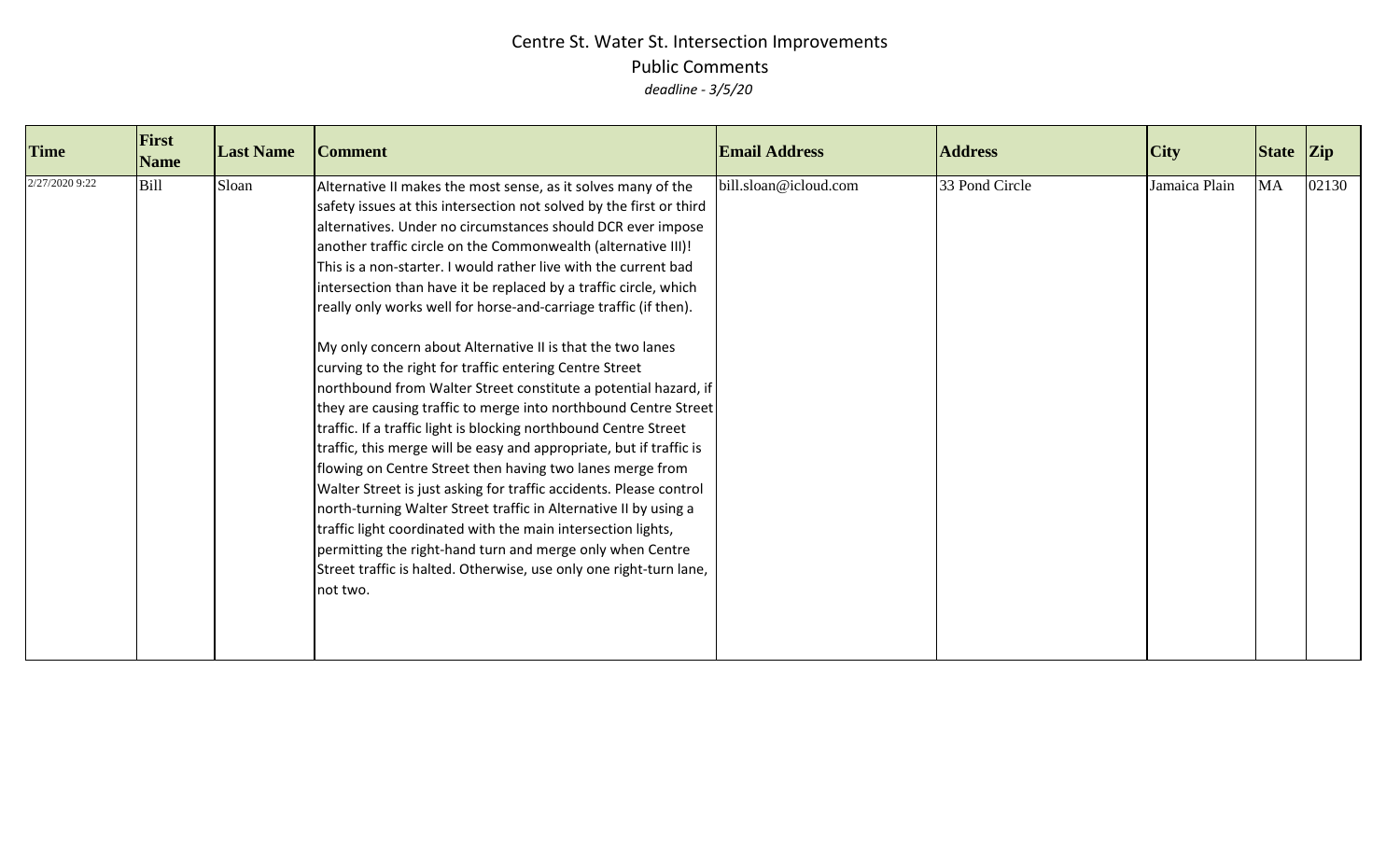| <b>Time</b>    | First<br><b>Name</b> | <b>Last Name</b> | <b>Comment</b>                                                                                                                                                                                                                                                                                                                                                                                                                                                                                                                                                                                                                                                                                                                                                                                                                                                                                                                                                                                                                                                                                                                                                                                                                                                                                                  | <b>Email Address</b>  | <b>Address</b> | $\overline{C}$ ity | State Zip |       |
|----------------|----------------------|------------------|-----------------------------------------------------------------------------------------------------------------------------------------------------------------------------------------------------------------------------------------------------------------------------------------------------------------------------------------------------------------------------------------------------------------------------------------------------------------------------------------------------------------------------------------------------------------------------------------------------------------------------------------------------------------------------------------------------------------------------------------------------------------------------------------------------------------------------------------------------------------------------------------------------------------------------------------------------------------------------------------------------------------------------------------------------------------------------------------------------------------------------------------------------------------------------------------------------------------------------------------------------------------------------------------------------------------|-----------------------|----------------|--------------------|-----------|-------|
| 2/27/2020 9:22 | <b>Bill</b>          | Sloan            | Alternative II makes the most sense, as it solves many of the<br>safety issues at this intersection not solved by the first or third<br>alternatives. Under no circumstances should DCR ever impose<br>another traffic circle on the Commonwealth (alternative III)!<br>This is a non-starter. I would rather live with the current bad<br>intersection than have it be replaced by a traffic circle, which<br>really only works well for horse-and-carriage traffic (if then).<br>My only concern about Alternative II is that the two lanes<br>curving to the right for traffic entering Centre Street<br>northbound from Walter Street constitute a potential hazard, if<br>they are causing traffic to merge into northbound Centre Street<br>traffic. If a traffic light is blocking northbound Centre Street<br>traffic, this merge will be easy and appropriate, but if traffic is<br>flowing on Centre Street then having two lanes merge from<br>Walter Street is just asking for traffic accidents. Please control<br>north-turning Walter Street traffic in Alternative II by using a<br>traffic light coordinated with the main intersection lights,<br>permitting the right-hand turn and merge only when Centre<br>Street traffic is halted. Otherwise, use only one right-turn lane,<br>not two. | bill.sloan@icloud.com | 33 Pond Circle | Jamaica Plain      | <b>MA</b> | 02130 |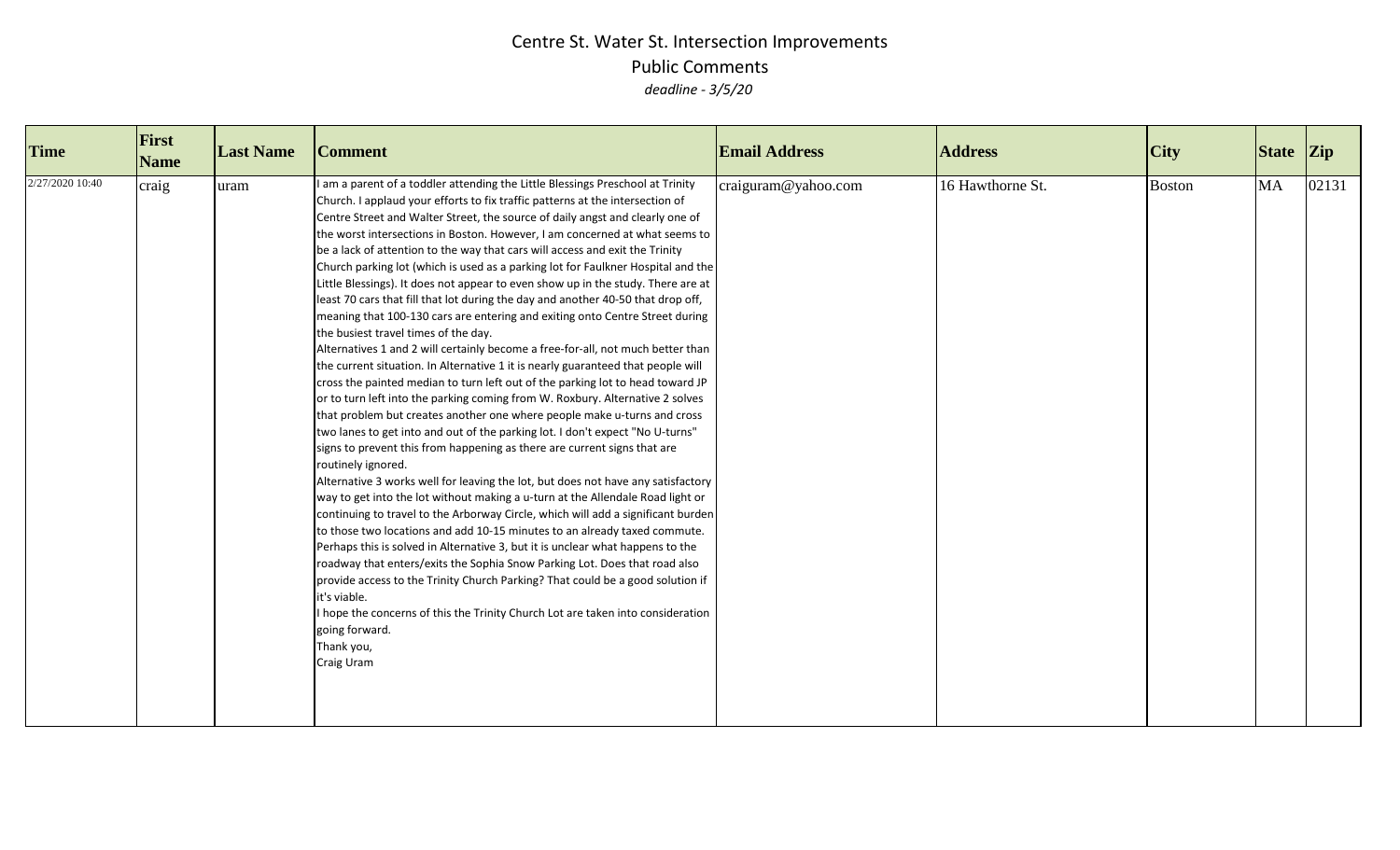| <b>Time</b>     | First<br><b>Name</b> | <b>Last Name</b> | <b>Comment</b>                                                                                                                                                                                                                                                                                                                                                                                                                                                                                                                                                                                                                                                                                                                                                                                                                                                                                                                                                                                                                                                                                                                                                                                                                                                                                                                                                                                                                                                                                                                                                                                                                                                                                                                                                                                                                                                                                                                                                                                                                                                                                                                                       | <b>Email Address</b> | <b>Address</b>   | $\overline{C}$ ity | $\left  \right $ State $\left  \right $ Zip |       |
|-----------------|----------------------|------------------|------------------------------------------------------------------------------------------------------------------------------------------------------------------------------------------------------------------------------------------------------------------------------------------------------------------------------------------------------------------------------------------------------------------------------------------------------------------------------------------------------------------------------------------------------------------------------------------------------------------------------------------------------------------------------------------------------------------------------------------------------------------------------------------------------------------------------------------------------------------------------------------------------------------------------------------------------------------------------------------------------------------------------------------------------------------------------------------------------------------------------------------------------------------------------------------------------------------------------------------------------------------------------------------------------------------------------------------------------------------------------------------------------------------------------------------------------------------------------------------------------------------------------------------------------------------------------------------------------------------------------------------------------------------------------------------------------------------------------------------------------------------------------------------------------------------------------------------------------------------------------------------------------------------------------------------------------------------------------------------------------------------------------------------------------------------------------------------------------------------------------------------------------|----------------------|------------------|--------------------|---------------------------------------------|-------|
| 2/27/2020 10:40 | craig                | uram             | am a parent of a toddler attending the Little Blessings Preschool at Trinity<br>Church. I applaud your efforts to fix traffic patterns at the intersection of<br>Centre Street and Walter Street, the source of daily angst and clearly one of<br>the worst intersections in Boston. However, I am concerned at what seems to<br>be a lack of attention to the way that cars will access and exit the Trinity<br>Church parking lot (which is used as a parking lot for Faulkner Hospital and the<br>Little Blessings). It does not appear to even show up in the study. There are at<br>least 70 cars that fill that lot during the day and another 40-50 that drop off,<br>meaning that 100-130 cars are entering and exiting onto Centre Street during<br>the busiest travel times of the day.<br>Alternatives 1 and 2 will certainly become a free-for-all, not much better than<br>the current situation. In Alternative 1 it is nearly guaranteed that people will<br>cross the painted median to turn left out of the parking lot to head toward JP<br>or to turn left into the parking coming from W. Roxbury. Alternative 2 solves<br>that problem but creates another one where people make u-turns and cross<br>two lanes to get into and out of the parking lot. I don't expect "No U-turns"<br>signs to prevent this from happening as there are current signs that are<br>routinely ignored.<br>Alternative 3 works well for leaving the lot, but does not have any satisfactory<br>way to get into the lot without making a u-turn at the Allendale Road light or<br>continuing to travel to the Arborway Circle, which will add a significant burden<br>to those two locations and add 10-15 minutes to an already taxed commute.<br>Perhaps this is solved in Alternative 3, but it is unclear what happens to the<br>roadway that enters/exits the Sophia Snow Parking Lot. Does that road also<br>provide access to the Trinity Church Parking? That could be a good solution if<br>it's viable.<br>I hope the concerns of this the Trinity Church Lot are taken into consideration<br>going forward.<br>Thank you,<br>Craig Uram | craiguram@yahoo.com  | 16 Hawthorne St. | <b>Boston</b>      | <b>MA</b>                                   | 02131 |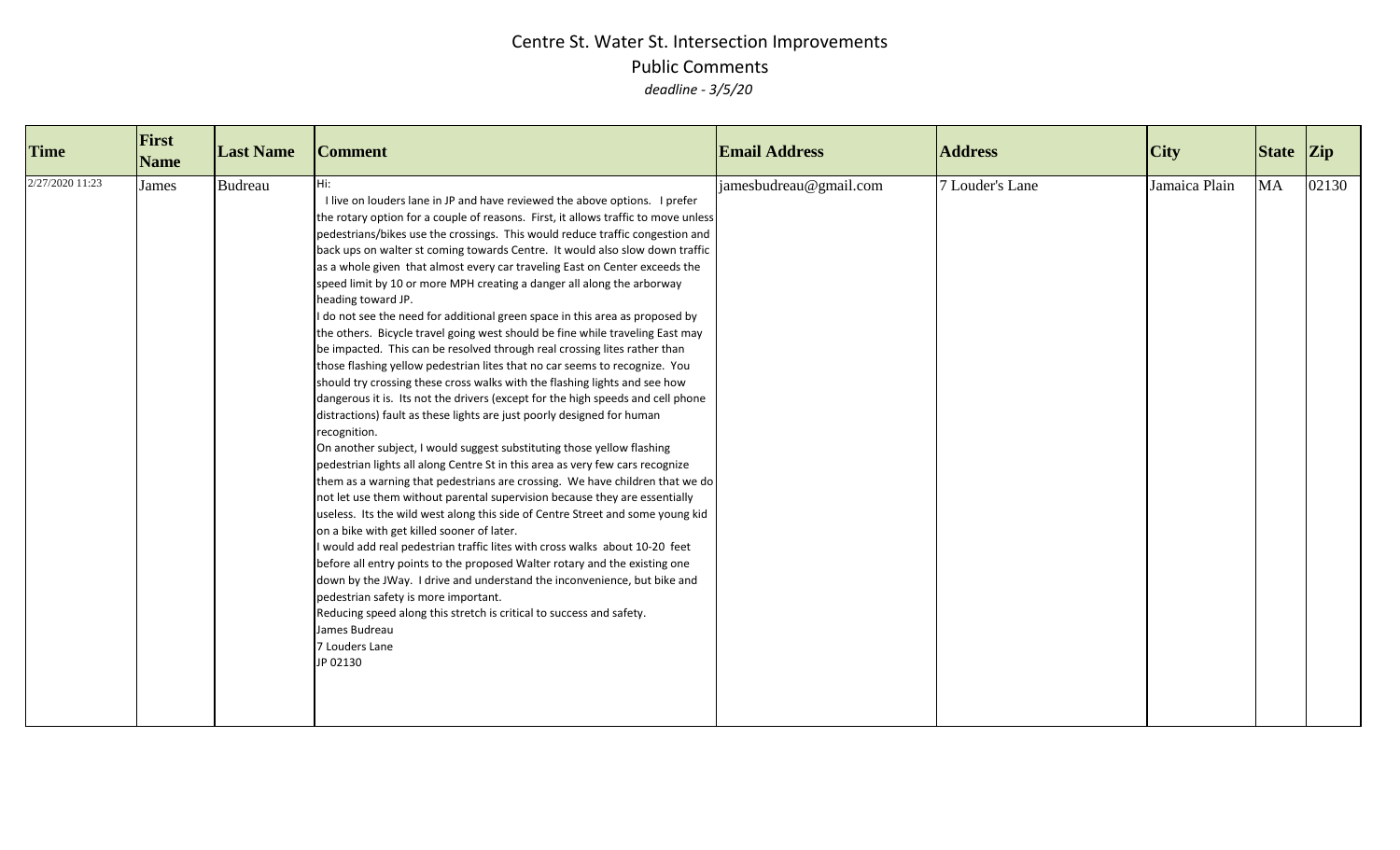| <b>Time</b>     | First<br><b>Name</b> | <b>Last Name</b> | <b>Comment</b>                                                                                                                                                                                                                                                                                                                                                                                                                                                                                                                                                                                                                                                                                                                                                                                                                                                                                                                                                                                                                                                                                                                                                                                                                                                                                                                                                                                                                                                                                                                                                                                                                                                                                                                                                                                                                                                                                                                                                                | <b>Email Address</b>   | <b>Address</b>  | $\overline{C}$ ity | State Zip |       |
|-----------------|----------------------|------------------|-------------------------------------------------------------------------------------------------------------------------------------------------------------------------------------------------------------------------------------------------------------------------------------------------------------------------------------------------------------------------------------------------------------------------------------------------------------------------------------------------------------------------------------------------------------------------------------------------------------------------------------------------------------------------------------------------------------------------------------------------------------------------------------------------------------------------------------------------------------------------------------------------------------------------------------------------------------------------------------------------------------------------------------------------------------------------------------------------------------------------------------------------------------------------------------------------------------------------------------------------------------------------------------------------------------------------------------------------------------------------------------------------------------------------------------------------------------------------------------------------------------------------------------------------------------------------------------------------------------------------------------------------------------------------------------------------------------------------------------------------------------------------------------------------------------------------------------------------------------------------------------------------------------------------------------------------------------------------------|------------------------|-----------------|--------------------|-----------|-------|
| 2/27/2020 11:23 | James                | Budreau          | Hi:<br>I live on louders lane in JP and have reviewed the above options. I prefer<br>the rotary option for a couple of reasons. First, it allows traffic to move unless<br>pedestrians/bikes use the crossings. This would reduce traffic congestion and<br>back ups on walter st coming towards Centre. It would also slow down traffic<br>as a whole given that almost every car traveling East on Center exceeds the<br>speed limit by 10 or more MPH creating a danger all along the arborway<br>heading toward JP.<br>I do not see the need for additional green space in this area as proposed by<br>the others. Bicycle travel going west should be fine while traveling East may<br>be impacted. This can be resolved through real crossing lites rather than<br>those flashing yellow pedestrian lites that no car seems to recognize. You<br>should try crossing these cross walks with the flashing lights and see how<br>dangerous it is. Its not the drivers (except for the high speeds and cell phone<br>distractions) fault as these lights are just poorly designed for human<br>recognition.<br>On another subject, I would suggest substituting those yellow flashing<br>pedestrian lights all along Centre St in this area as very few cars recognize<br>them as a warning that pedestrians are crossing. We have children that we do<br>not let use them without parental supervision because they are essentially<br>useless. Its the wild west along this side of Centre Street and some young kid<br>on a bike with get killed sooner of later.<br>would add real pedestrian traffic lites with cross walks about 10-20 feet<br>before all entry points to the proposed Walter rotary and the existing one<br>down by the JWay. I drive and understand the inconvenience, but bike and<br>pedestrian safety is more important.<br>Reducing speed along this stretch is critical to success and safety.<br>James Budreau<br>7 Louders Lane<br>JP 02130 | jamesbudreau@gmail.com | 7 Louder's Lane | Jamaica Plain      | <b>MA</b> | 02130 |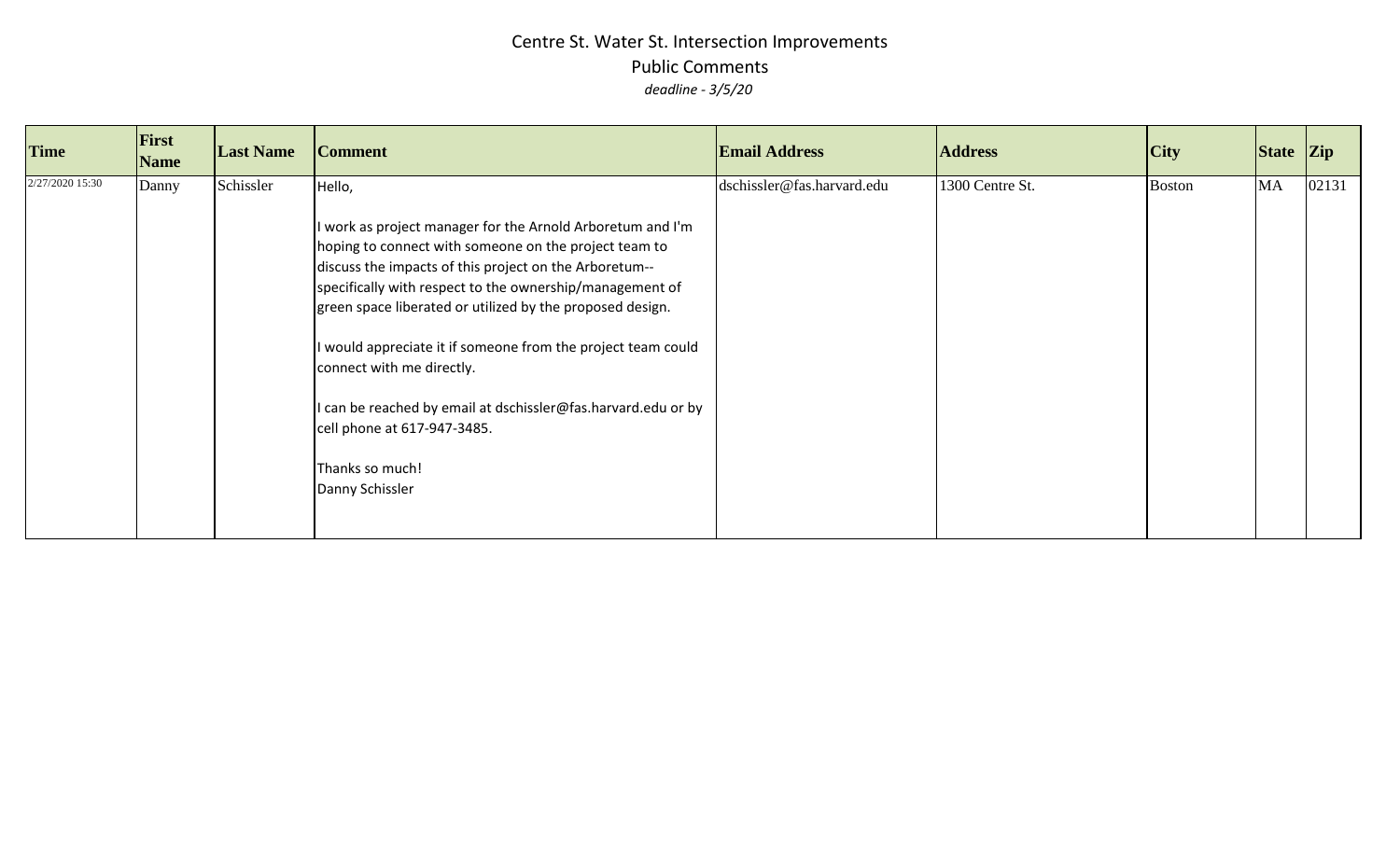| <b>Time</b>     | First<br><b>Name</b> | <b>Last Name</b> | <b>Comment</b>                                                                                                                                                                                                                                                                                                                                                                                                                                                                                                                                  | <b>Email Address</b>       | <b>Address</b>  | City          | State Zip |       |
|-----------------|----------------------|------------------|-------------------------------------------------------------------------------------------------------------------------------------------------------------------------------------------------------------------------------------------------------------------------------------------------------------------------------------------------------------------------------------------------------------------------------------------------------------------------------------------------------------------------------------------------|----------------------------|-----------------|---------------|-----------|-------|
| 2/27/2020 15:30 | Danny                | Schissler        | Hello,<br>work as project manager for the Arnold Arboretum and I'm<br>hoping to connect with someone on the project team to<br>discuss the impacts of this project on the Arboretum--<br>specifically with respect to the ownership/management of<br>green space liberated or utilized by the proposed design.<br>would appreciate it if someone from the project team could<br>connect with me directly.<br>I can be reached by email at dschissler@fas.harvard.edu or by<br>cell phone at 617-947-3485.<br>Thanks so much!<br>Danny Schissler | dschissler@fas.harvard.edu | 1300 Centre St. | <b>Boston</b> | MA        | 02131 |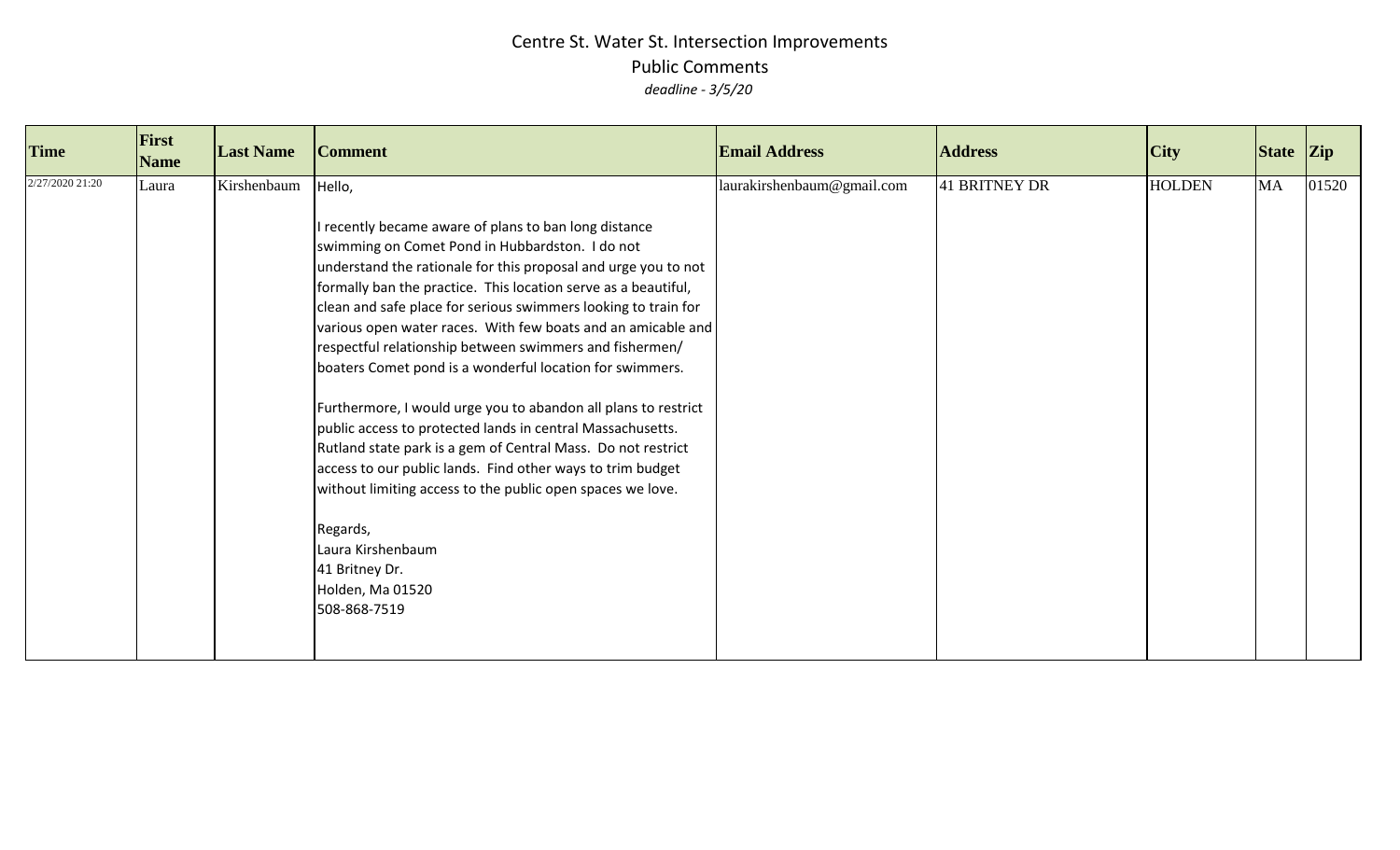| <b>Time</b>     | First<br><b>Name</b> | <b>Last Name</b> | <b>Comment</b>                                                                                                                                                                                                                                                                                                                                                                                                                                                                                                                                                                                                                                                                                                                                                                                                                                                                                                                     | <b>Email Address</b>       | <b>Address</b> | <b>City</b>   | State Zip |       |
|-----------------|----------------------|------------------|------------------------------------------------------------------------------------------------------------------------------------------------------------------------------------------------------------------------------------------------------------------------------------------------------------------------------------------------------------------------------------------------------------------------------------------------------------------------------------------------------------------------------------------------------------------------------------------------------------------------------------------------------------------------------------------------------------------------------------------------------------------------------------------------------------------------------------------------------------------------------------------------------------------------------------|----------------------------|----------------|---------------|-----------|-------|
| 2/27/2020 21:20 | Laura                | Kirshenbaum      | Hello,<br>I recently became aware of plans to ban long distance<br>swimming on Comet Pond in Hubbardston. I do not<br>understand the rationale for this proposal and urge you to not<br>formally ban the practice. This location serve as a beautiful,<br>clean and safe place for serious swimmers looking to train for<br>various open water races. With few boats and an amicable and<br>respectful relationship between swimmers and fishermen/<br>boaters Comet pond is a wonderful location for swimmers.<br>Furthermore, I would urge you to abandon all plans to restrict<br>public access to protected lands in central Massachusetts.<br>Rutland state park is a gem of Central Mass. Do not restrict<br>access to our public lands. Find other ways to trim budget<br>without limiting access to the public open spaces we love.<br>Regards,<br>Laura Kirshenbaum<br>41 Britney Dr.<br>Holden, Ma 01520<br>508-868-7519 | laurakirshenbaum@gmail.com | 41 BRITNEY DR  | <b>HOLDEN</b> | MA        | 01520 |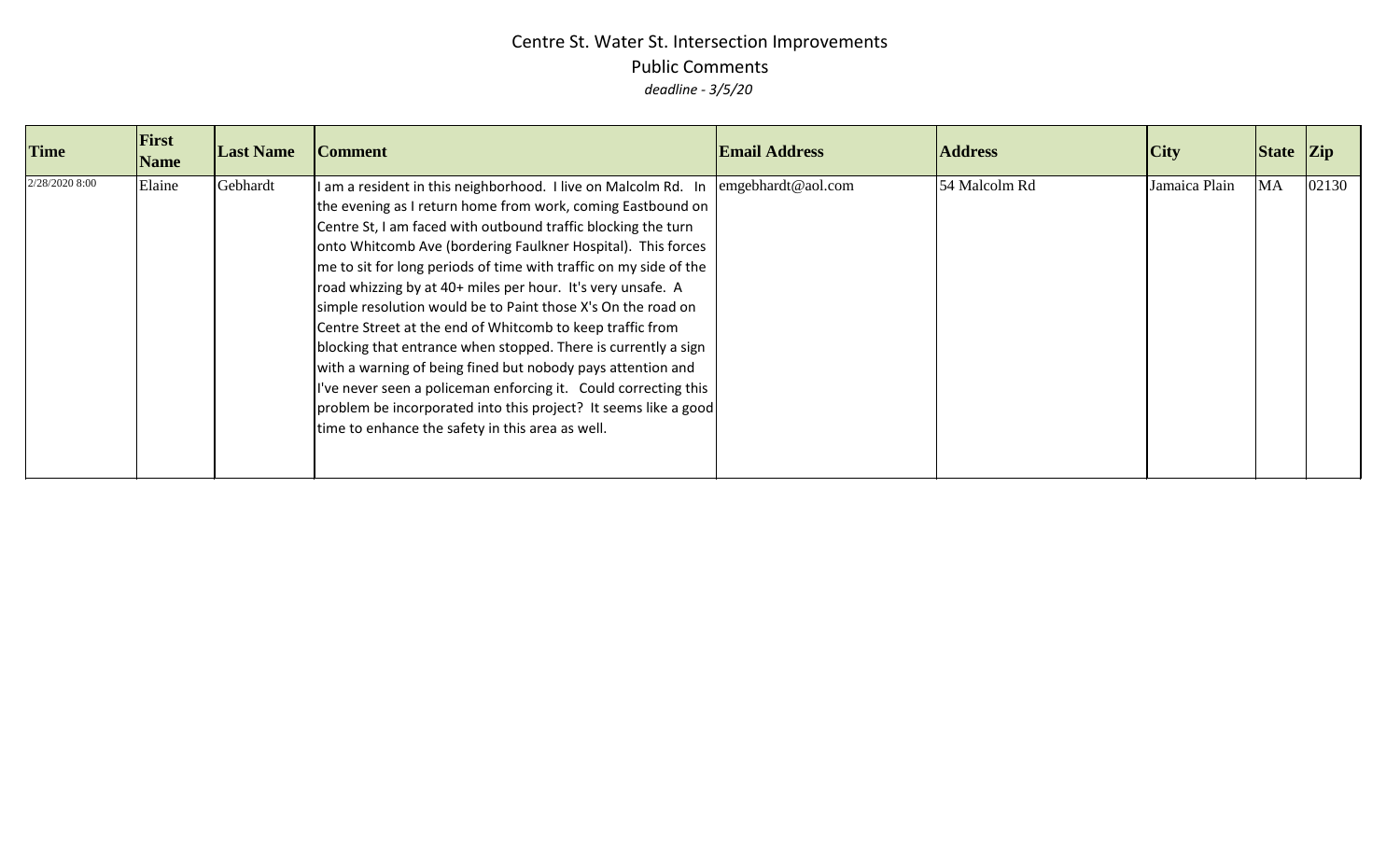| <b>Time</b>    | First<br><b>Name</b> | <b>Last Name</b> | <b>Comment</b>                                                                                                                                                                                                                                                                                                                                                                                                                                                                                                                                                                                                                                                                                                                                                                                                                                           | <b>Email Address</b> | <b>Address</b> | City          | $\left  \right $ State $\left  \right $ Zip |       |
|----------------|----------------------|------------------|----------------------------------------------------------------------------------------------------------------------------------------------------------------------------------------------------------------------------------------------------------------------------------------------------------------------------------------------------------------------------------------------------------------------------------------------------------------------------------------------------------------------------------------------------------------------------------------------------------------------------------------------------------------------------------------------------------------------------------------------------------------------------------------------------------------------------------------------------------|----------------------|----------------|---------------|---------------------------------------------|-------|
| 2/28/2020 8:00 | Elaine               | Gebhardt         | am a resident in this neighborhood. I live on Malcolm Rd. In<br>the evening as I return home from work, coming Eastbound on<br>Centre St, I am faced with outbound traffic blocking the turn<br>onto Whitcomb Ave (bordering Faulkner Hospital). This forces<br>me to sit for long periods of time with traffic on my side of the<br>road whizzing by at 40+ miles per hour. It's very unsafe. A<br>simple resolution would be to Paint those X's On the road on<br>Centre Street at the end of Whitcomb to keep traffic from<br>blocking that entrance when stopped. There is currently a sign<br>with a warning of being fined but nobody pays attention and<br>I've never seen a policeman enforcing it. Could correcting this<br>problem be incorporated into this project? It seems like a good<br>time to enhance the safety in this area as well. | emgebhardt@aol.com   | 54 Malcolm Rd  | Jamaica Plain | <b>MA</b>                                   | 02130 |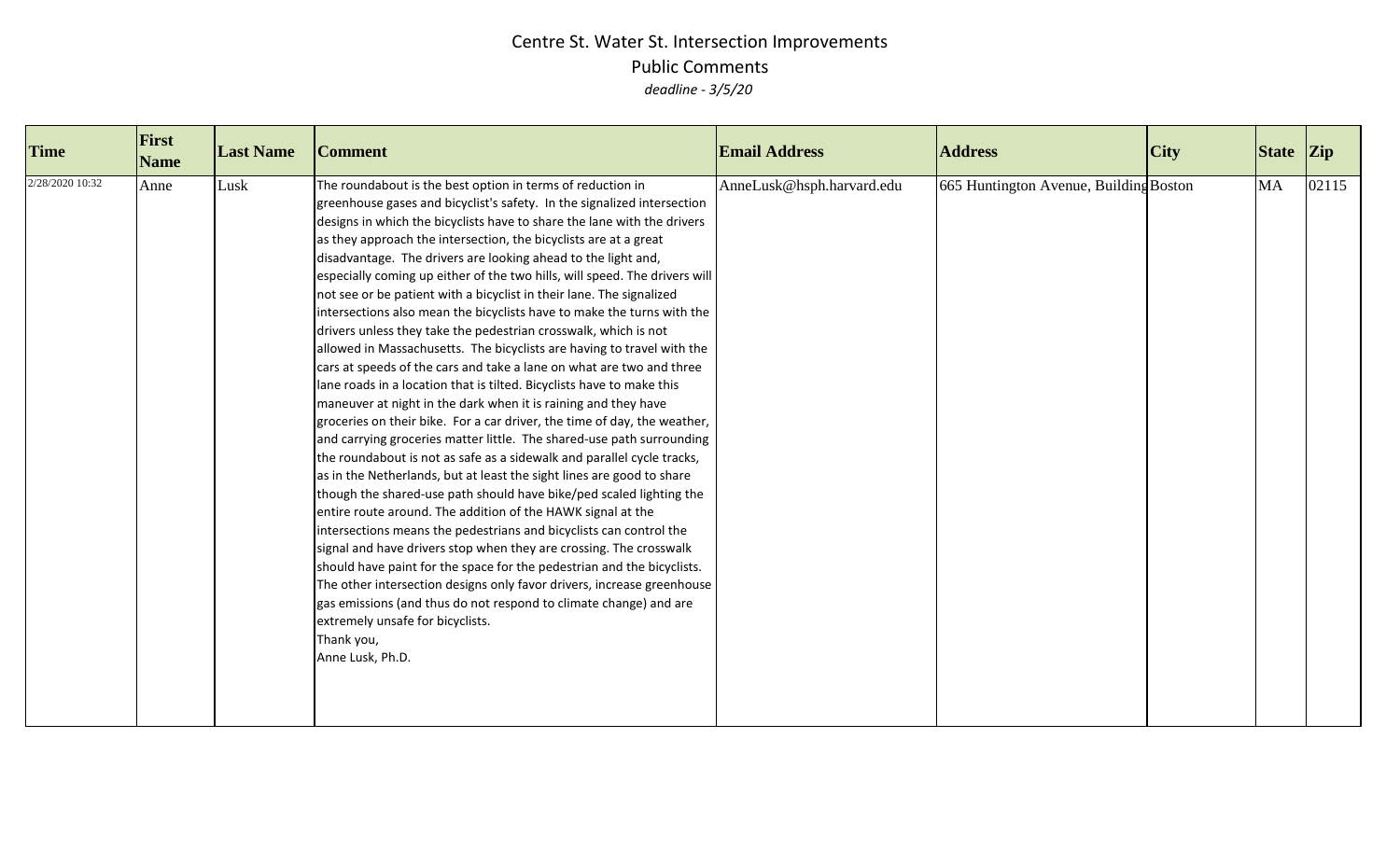| <b>Time</b>     | First<br><b>Name</b> | <b>Last Name</b> | <b>Comment</b>                                                                                                                                                                                                                                                                                                                                                                                                                                                                                                                                                                                                                                                                                                                                                                                                                                                                                                                                                                                                                                                                                                                                                                                                                                                                                                                                                                                                                                                                                                                                                                                                                                                                                                                                                                                                                                 | <b>Email Address</b>      | <b>Address</b>                         | <b>City</b> | $\left  \right $ State $\left  \right $ Zip |       |
|-----------------|----------------------|------------------|------------------------------------------------------------------------------------------------------------------------------------------------------------------------------------------------------------------------------------------------------------------------------------------------------------------------------------------------------------------------------------------------------------------------------------------------------------------------------------------------------------------------------------------------------------------------------------------------------------------------------------------------------------------------------------------------------------------------------------------------------------------------------------------------------------------------------------------------------------------------------------------------------------------------------------------------------------------------------------------------------------------------------------------------------------------------------------------------------------------------------------------------------------------------------------------------------------------------------------------------------------------------------------------------------------------------------------------------------------------------------------------------------------------------------------------------------------------------------------------------------------------------------------------------------------------------------------------------------------------------------------------------------------------------------------------------------------------------------------------------------------------------------------------------------------------------------------------------|---------------------------|----------------------------------------|-------------|---------------------------------------------|-------|
| 2/28/2020 10:32 | Anne                 | Lusk             | The roundabout is the best option in terms of reduction in<br>greenhouse gases and bicyclist's safety. In the signalized intersection<br>designs in which the bicyclists have to share the lane with the drivers<br>as they approach the intersection, the bicyclists are at a great<br>disadvantage. The drivers are looking ahead to the light and,<br>especially coming up either of the two hills, will speed. The drivers will<br>not see or be patient with a bicyclist in their lane. The signalized<br>intersections also mean the bicyclists have to make the turns with the<br>drivers unless they take the pedestrian crosswalk, which is not<br>allowed in Massachusetts. The bicyclists are having to travel with the<br>cars at speeds of the cars and take a lane on what are two and three<br>lane roads in a location that is tilted. Bicyclists have to make this<br>maneuver at night in the dark when it is raining and they have<br>groceries on their bike. For a car driver, the time of day, the weather,<br>and carrying groceries matter little. The shared-use path surrounding<br>the roundabout is not as safe as a sidewalk and parallel cycle tracks,<br>as in the Netherlands, but at least the sight lines are good to share<br>though the shared-use path should have bike/ped scaled lighting the<br>entire route around. The addition of the HAWK signal at the<br>intersections means the pedestrians and bicyclists can control the<br>signal and have drivers stop when they are crossing. The crosswalk<br>should have paint for the space for the pedestrian and the bicyclists.<br>The other intersection designs only favor drivers, increase greenhouse<br>gas emissions (and thus do not respond to climate change) and are<br>extremely unsafe for bicyclists.<br>Thank you,<br>Anne Lusk, Ph.D. | AnneLusk@hsph.harvard.edu | 665 Huntington Avenue, Building Boston |             | <b>MA</b>                                   | 02115 |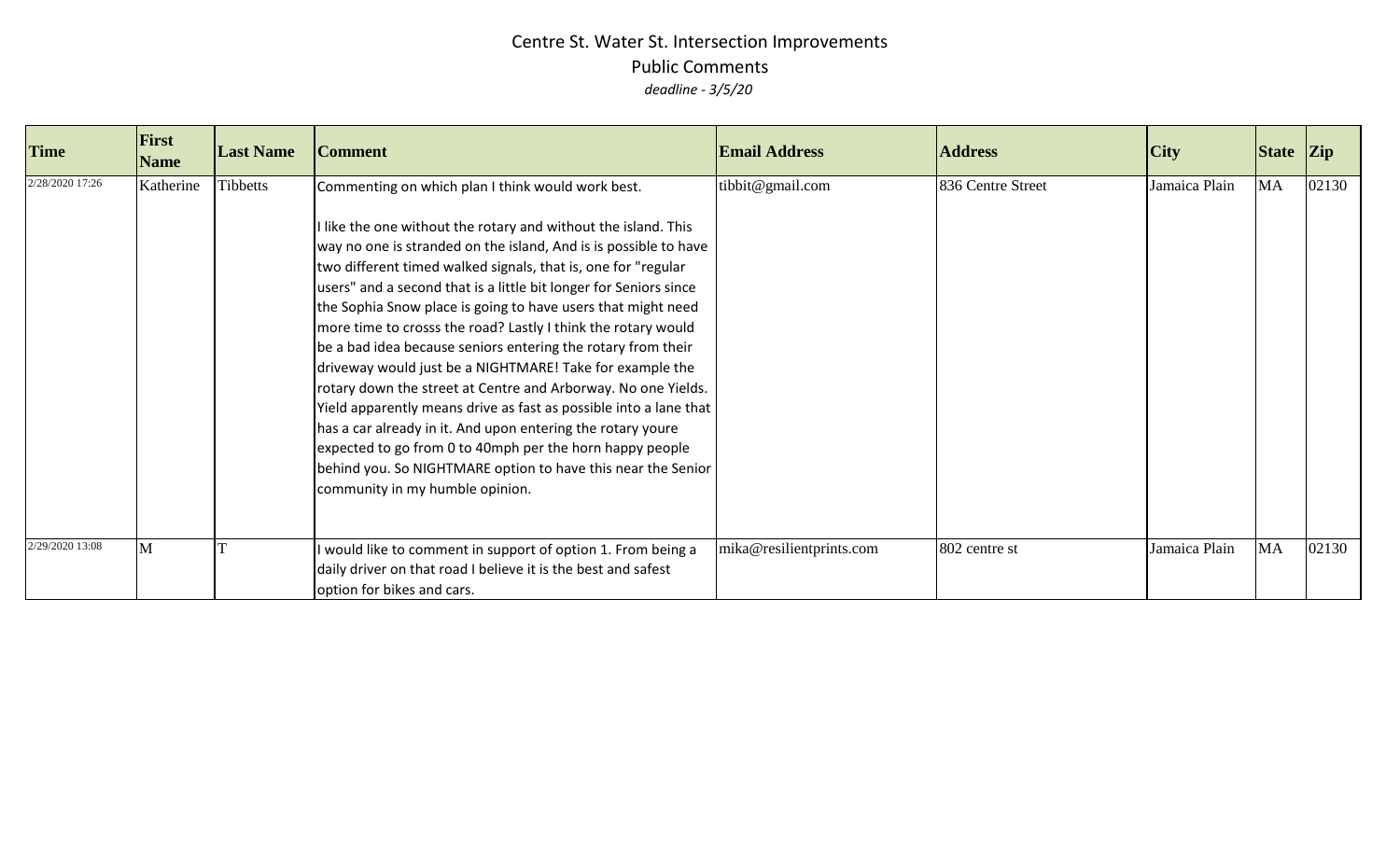| <b>Time</b>     | First<br><b>Name</b> | <b>Last Name</b> | <b>Comment</b>                                                                                                                                                                                                                                                                                                                                                                                                                                                                                                                                                                                                                                                                                                                                                                                                                                                                                                                                                 | <b>Email Address</b>     | <b>Address</b>    | <b>City</b>   | State Zip |       |
|-----------------|----------------------|------------------|----------------------------------------------------------------------------------------------------------------------------------------------------------------------------------------------------------------------------------------------------------------------------------------------------------------------------------------------------------------------------------------------------------------------------------------------------------------------------------------------------------------------------------------------------------------------------------------------------------------------------------------------------------------------------------------------------------------------------------------------------------------------------------------------------------------------------------------------------------------------------------------------------------------------------------------------------------------|--------------------------|-------------------|---------------|-----------|-------|
| 2/28/2020 17:26 | Katherine            | <b>Tibbetts</b>  | Commenting on which plan I think would work best.<br>like the one without the rotary and without the island. This<br>way no one is stranded on the island, And is is possible to have<br>two different timed walked signals, that is, one for "regular<br>users" and a second that is a little bit longer for Seniors since<br>the Sophia Snow place is going to have users that might need<br>more time to crosss the road? Lastly I think the rotary would<br>be a bad idea because seniors entering the rotary from their<br>driveway would just be a NIGHTMARE! Take for example the<br>rotary down the street at Centre and Arborway. No one Yields.<br>Yield apparently means drive as fast as possible into a lane that  <br>has a car already in it. And upon entering the rotary youre<br>expected to go from 0 to 40mph per the horn happy people<br>behind you. So NIGHTMARE option to have this near the Senior<br>community in my humble opinion. | tibbit@gmail.com         | 836 Centre Street | Jamaica Plain | <b>MA</b> | 02130 |
| 2/29/2020 13:08 | M                    |                  | would like to comment in support of option 1. From being a<br>daily driver on that road I believe it is the best and safest<br>option for bikes and cars.                                                                                                                                                                                                                                                                                                                                                                                                                                                                                                                                                                                                                                                                                                                                                                                                      | mika@resilientprints.com | 802 centre st     | Jamaica Plain | MA        | 02130 |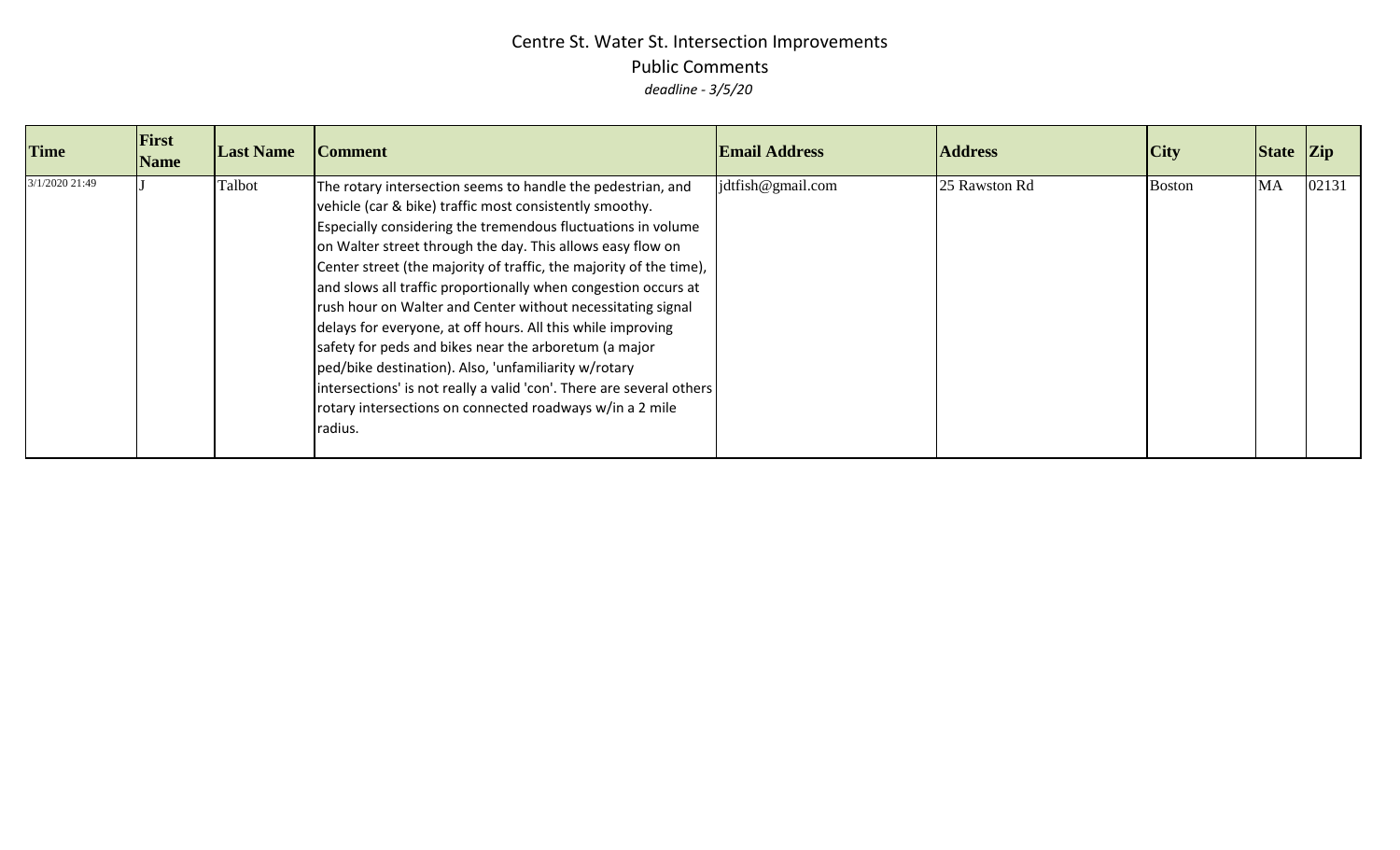| <b>Time</b>    | <b>First</b><br><b>Name</b> | <b>Last Name</b> | <b>Comment</b>                                                                                                                                                                                                                                                                                                                                                                                                                                                                                                                                                                                                                                                                                                                                                                             | <b>Email Address</b>       | <b>Address</b> | City          | State Zip |       |
|----------------|-----------------------------|------------------|--------------------------------------------------------------------------------------------------------------------------------------------------------------------------------------------------------------------------------------------------------------------------------------------------------------------------------------------------------------------------------------------------------------------------------------------------------------------------------------------------------------------------------------------------------------------------------------------------------------------------------------------------------------------------------------------------------------------------------------------------------------------------------------------|----------------------------|----------------|---------------|-----------|-------|
| 3/1/2020 21:49 |                             | Talbot           | The rotary intersection seems to handle the pedestrian, and<br>vehicle (car & bike) traffic most consistently smoothy.<br>Especially considering the tremendous fluctuations in volume<br>on Walter street through the day. This allows easy flow on<br>Center street (the majority of traffic, the majority of the time),<br>and slows all traffic proportionally when congestion occurs at<br>rush hour on Walter and Center without necessitating signal<br>delays for everyone, at off hours. All this while improving<br>safety for peds and bikes near the arboretum (a major<br>ped/bike destination). Also, 'unfamiliarity w/rotary<br>intersections' is not really a valid 'con'. There are several others<br>rotary intersections on connected roadways w/in a 2 mile<br>radius. | $\text{idtfish@gmail.com}$ | 25 Rawston Rd  | <b>Boston</b> | <b>MA</b> | 02131 |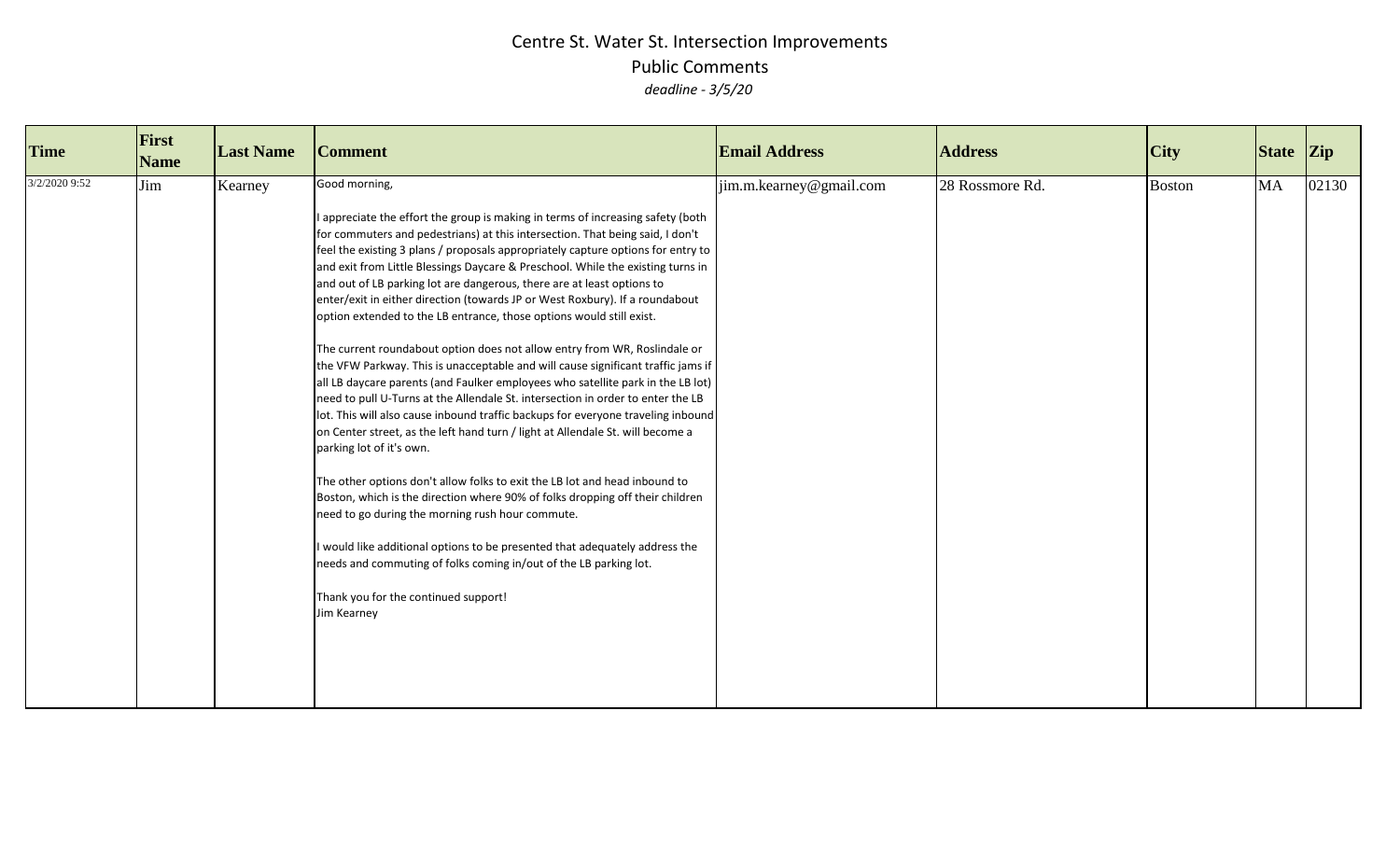| <b>Time</b>   | First<br><b>Name</b> | <b>Last Name</b> | <b>Comment</b>                                                                                                                                                                                                                                                                                                                                                                                                                                                                                                                                                                                                                                                                                                                                                                                                                                                                                                                                                                                                                                                                                                                                                                                                                                                                                                                                                                                                                                                                                                                                                  | <b>Email Address</b>    | <b>Address</b>  | <b>City</b>   | State Zip |       |
|---------------|----------------------|------------------|-----------------------------------------------------------------------------------------------------------------------------------------------------------------------------------------------------------------------------------------------------------------------------------------------------------------------------------------------------------------------------------------------------------------------------------------------------------------------------------------------------------------------------------------------------------------------------------------------------------------------------------------------------------------------------------------------------------------------------------------------------------------------------------------------------------------------------------------------------------------------------------------------------------------------------------------------------------------------------------------------------------------------------------------------------------------------------------------------------------------------------------------------------------------------------------------------------------------------------------------------------------------------------------------------------------------------------------------------------------------------------------------------------------------------------------------------------------------------------------------------------------------------------------------------------------------|-------------------------|-----------------|---------------|-----------|-------|
| 3/2/2020 9:52 | Jim                  | Kearney          | Good morning,<br>I appreciate the effort the group is making in terms of increasing safety (both<br>for commuters and pedestrians) at this intersection. That being said, I don't<br>feel the existing 3 plans / proposals appropriately capture options for entry to<br>and exit from Little Blessings Daycare & Preschool. While the existing turns in<br>and out of LB parking lot are dangerous, there are at least options to<br>enter/exit in either direction (towards JP or West Roxbury). If a roundabout<br>option extended to the LB entrance, those options would still exist.<br>The current roundabout option does not allow entry from WR, Roslindale or<br>the VFW Parkway. This is unacceptable and will cause significant traffic jams if<br>all LB daycare parents (and Faulker employees who satellite park in the LB lot)<br>need to pull U-Turns at the Allendale St. intersection in order to enter the LB<br>lot. This will also cause inbound traffic backups for everyone traveling inbound<br>on Center street, as the left hand turn / light at Allendale St. will become a<br>parking lot of it's own.<br>The other options don't allow folks to exit the LB lot and head inbound to<br>Boston, which is the direction where 90% of folks dropping off their children<br>need to go during the morning rush hour commute.<br>would like additional options to be presented that adequately address the<br>needs and commuting of folks coming in/out of the LB parking lot.<br>Thank you for the continued support!<br>Jim Kearney | jim.m.kearney@gmail.com | 28 Rossmore Rd. | <b>Boston</b> | <b>MA</b> | 02130 |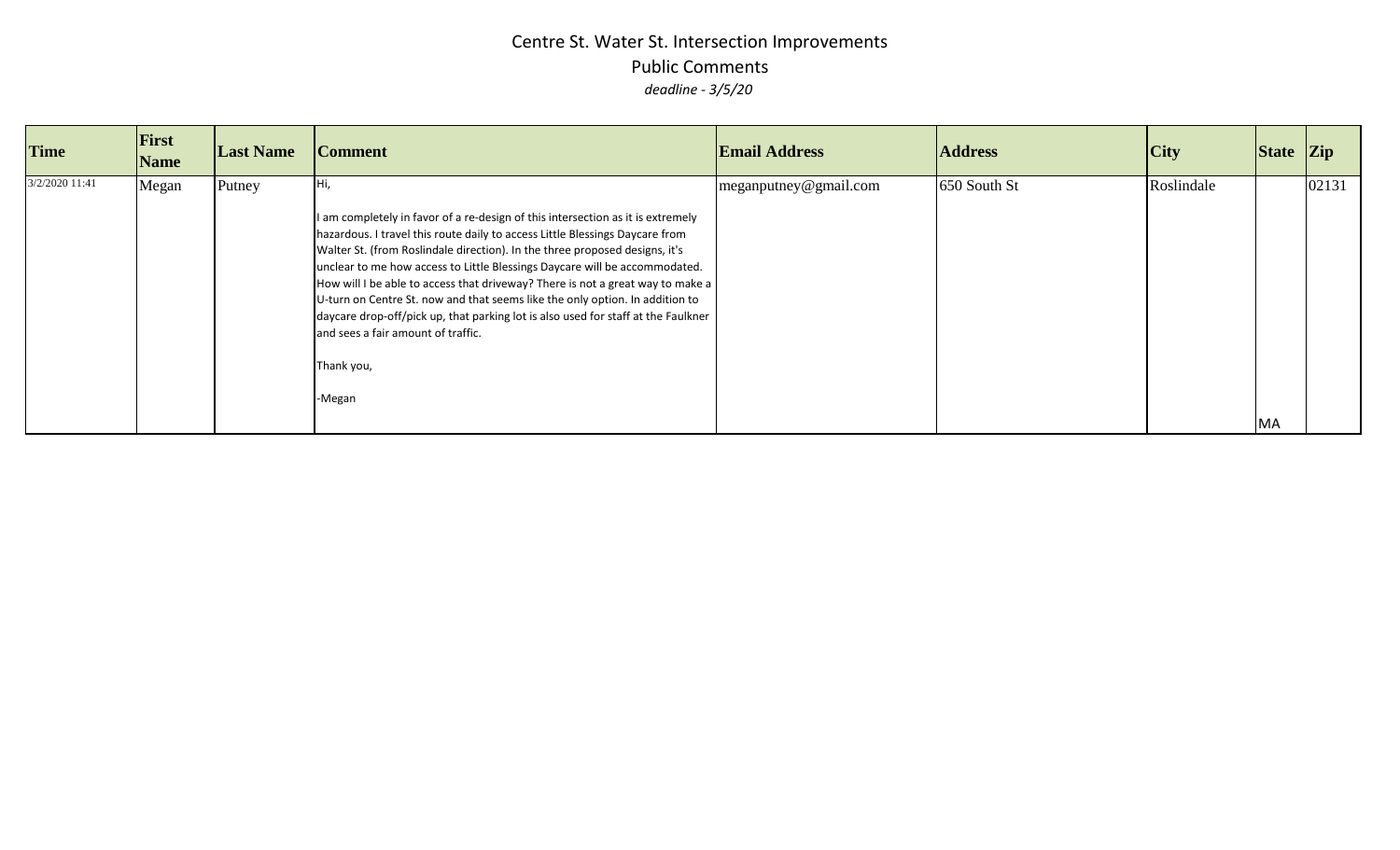| <b>Time</b>    | First<br><b>Name</b> | <b>Last Name</b> | <b>Comment</b>                                                                                                                                                                                                                                                                                                                                                                                                                                                                                                                                                                                                                                    | <b>Email Address</b>  | <b>Address</b> | City       | State Zip |       |
|----------------|----------------------|------------------|---------------------------------------------------------------------------------------------------------------------------------------------------------------------------------------------------------------------------------------------------------------------------------------------------------------------------------------------------------------------------------------------------------------------------------------------------------------------------------------------------------------------------------------------------------------------------------------------------------------------------------------------------|-----------------------|----------------|------------|-----------|-------|
| 3/2/2020 11:41 | Megan                | Putney           | I am completely in favor of a re-design of this intersection as it is extremely<br>hazardous. I travel this route daily to access Little Blessings Daycare from<br>Walter St. (from Roslindale direction). In the three proposed designs, it's<br>unclear to me how access to Little Blessings Daycare will be accommodated.<br>How will I be able to access that driveway? There is not a great way to make a<br>U-turn on Centre St. now and that seems like the only option. In addition to<br>daycare drop-off/pick up, that parking lot is also used for staff at the Faulkner<br>and sees a fair amount of traffic.<br>Thank you,<br>-Megan | meganputney@gmail.com | 650 South St   | Roslindale | <b>MA</b> | 02131 |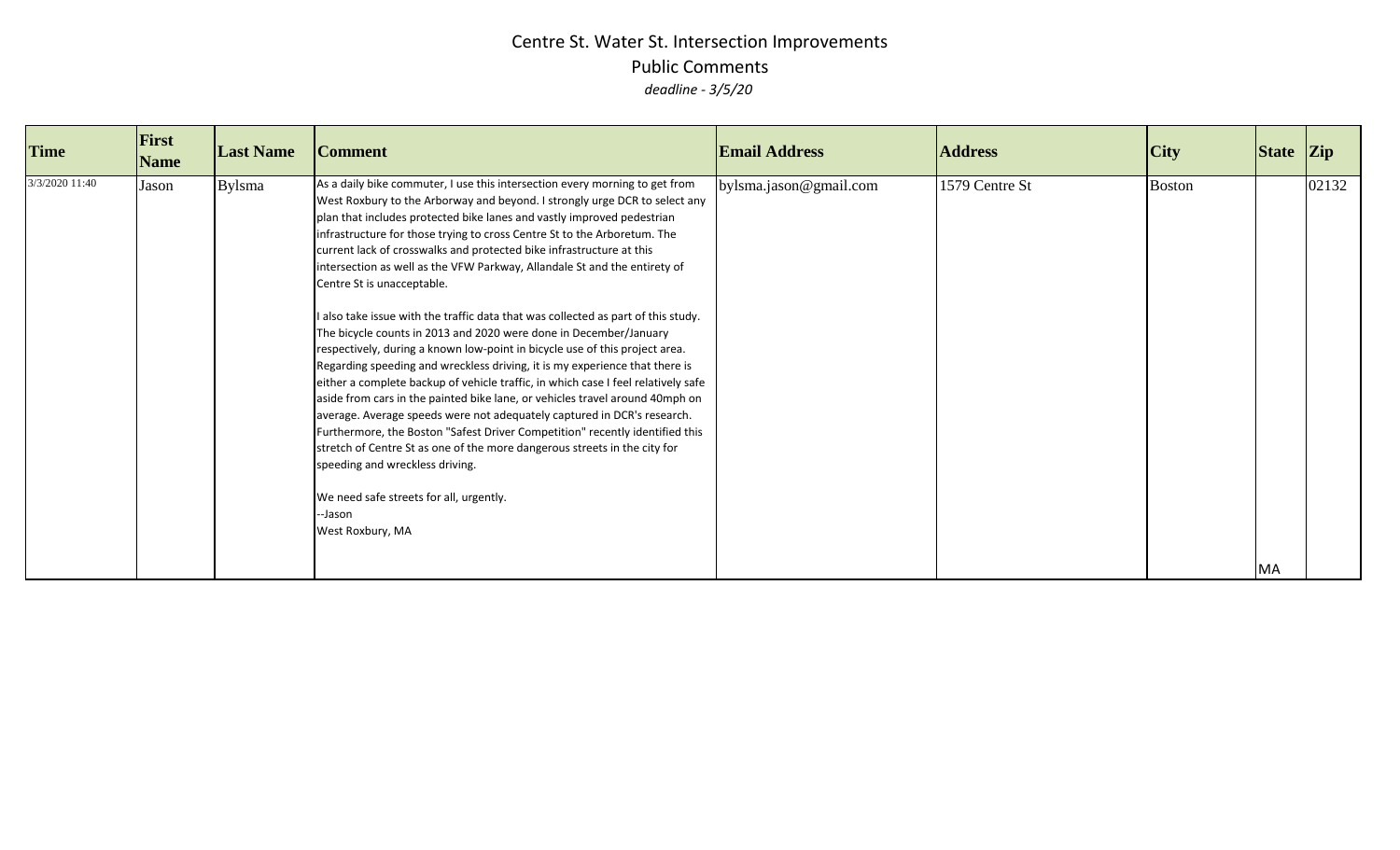| <b>Time</b>    | First<br><b>Name</b> | <b>Last Name</b> | <b>Comment</b>                                                                                                                                                                                                                                                                                                                                                                                                                                                                                                                                                                                                                                                                                                                                                                                                                                                                                                                                                                                                                                                                                                                                                                                                                                                                                                                                       | <b>Email Address</b>   | <b>Address</b> | City          | $\left  \right $ State $\left  \right $ Zip |       |
|----------------|----------------------|------------------|------------------------------------------------------------------------------------------------------------------------------------------------------------------------------------------------------------------------------------------------------------------------------------------------------------------------------------------------------------------------------------------------------------------------------------------------------------------------------------------------------------------------------------------------------------------------------------------------------------------------------------------------------------------------------------------------------------------------------------------------------------------------------------------------------------------------------------------------------------------------------------------------------------------------------------------------------------------------------------------------------------------------------------------------------------------------------------------------------------------------------------------------------------------------------------------------------------------------------------------------------------------------------------------------------------------------------------------------------|------------------------|----------------|---------------|---------------------------------------------|-------|
| 3/3/2020 11:40 | Jason                | <b>Bylsma</b>    | As a daily bike commuter, I use this intersection every morning to get from<br>West Roxbury to the Arborway and beyond. I strongly urge DCR to select any<br>plan that includes protected bike lanes and vastly improved pedestrian<br>infrastructure for those trying to cross Centre St to the Arboretum. The<br>current lack of crosswalks and protected bike infrastructure at this<br>intersection as well as the VFW Parkway, Allandale St and the entirety of<br>Centre St is unacceptable.<br>I also take issue with the traffic data that was collected as part of this study.<br>The bicycle counts in 2013 and 2020 were done in December/January<br>respectively, during a known low-point in bicycle use of this project area.<br>Regarding speeding and wreckless driving, it is my experience that there is<br>either a complete backup of vehicle traffic, in which case I feel relatively safe<br>aside from cars in the painted bike lane, or vehicles travel around 40mph on<br>average. Average speeds were not adequately captured in DCR's research.<br>Furthermore, the Boston "Safest Driver Competition" recently identified this<br>stretch of Centre St as one of the more dangerous streets in the city for<br>speeding and wreckless driving.<br>We need safe streets for all, urgently.<br>--Jason<br>West Roxbury, MA | bylsma.jason@gmail.com | 1579 Centre St | <b>Boston</b> | MA                                          | 02132 |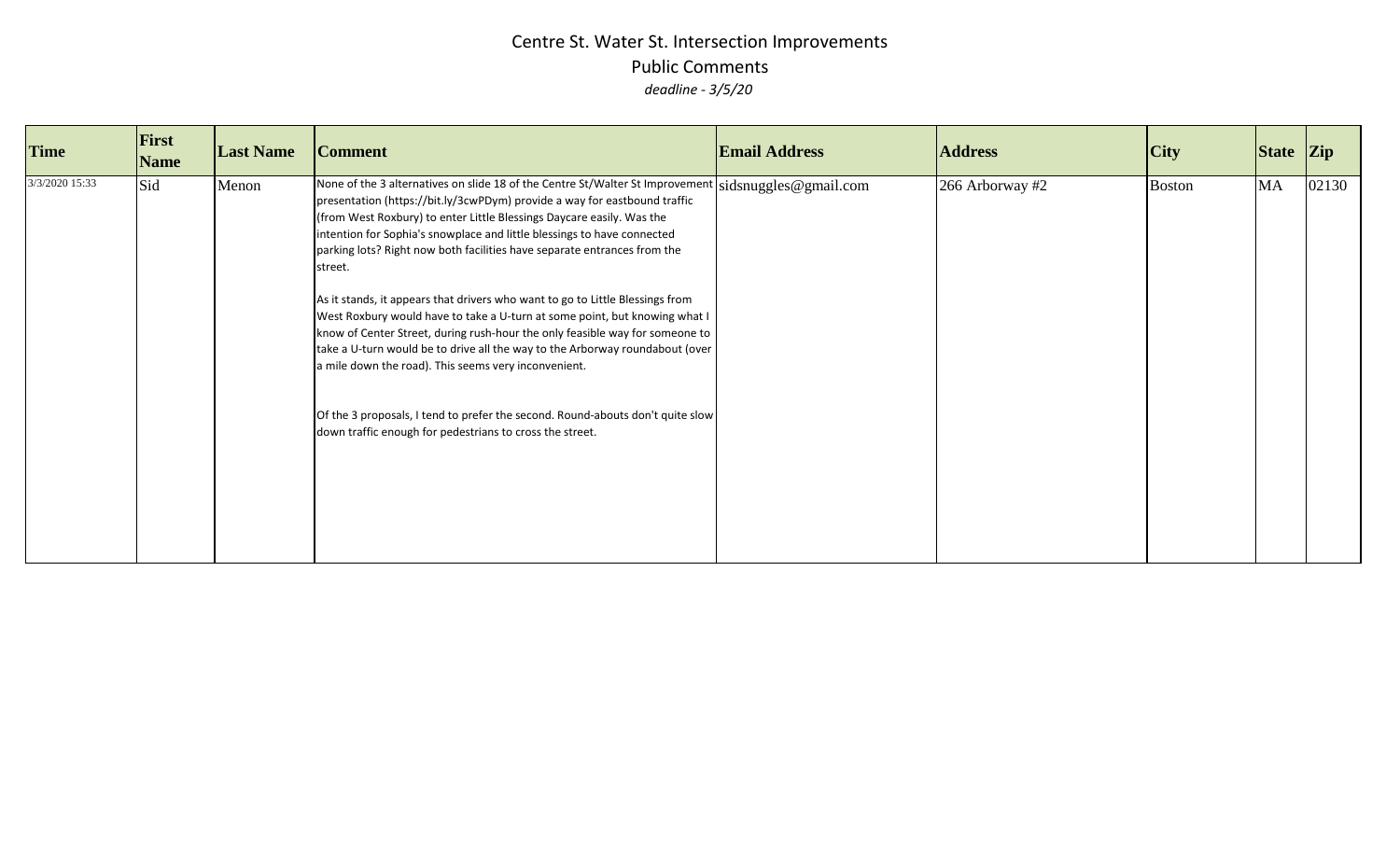| <b>Time</b>    | First<br><b>Name</b> | <b>Last Name</b> | <b>Comment</b>                                                                                                                                                                                                                                                                                                                                                                                                                                                                                                                                                                                                                                                                                                                                                                                                                                                                                                                                                      | <b>Email Address</b> | <b>Address</b>  | City          | State Zip |       |
|----------------|----------------------|------------------|---------------------------------------------------------------------------------------------------------------------------------------------------------------------------------------------------------------------------------------------------------------------------------------------------------------------------------------------------------------------------------------------------------------------------------------------------------------------------------------------------------------------------------------------------------------------------------------------------------------------------------------------------------------------------------------------------------------------------------------------------------------------------------------------------------------------------------------------------------------------------------------------------------------------------------------------------------------------|----------------------|-----------------|---------------|-----------|-------|
| 3/3/2020 15:33 | Sid                  | Menon            | None of the 3 alternatives on slide 18 of the Centre St/Walter St Improvement $ sidsnuggles@gmail.com$<br>presentation (https://bit.ly/3cwPDym) provide a way for eastbound traffic<br>(from West Roxbury) to enter Little Blessings Daycare easily. Was the<br>intention for Sophia's snowplace and little blessings to have connected<br>parking lots? Right now both facilities have separate entrances from the<br>street.<br>As it stands, it appears that drivers who want to go to Little Blessings from<br>West Roxbury would have to take a U-turn at some point, but knowing what I<br>know of Center Street, during rush-hour the only feasible way for someone to<br>take a U-turn would be to drive all the way to the Arborway roundabout (over<br>a mile down the road). This seems very inconvenient.<br>Of the 3 proposals, I tend to prefer the second. Round-abouts don't quite slow<br>down traffic enough for pedestrians to cross the street. |                      | 266 Arborway #2 | <b>Boston</b> | MA        | 02130 |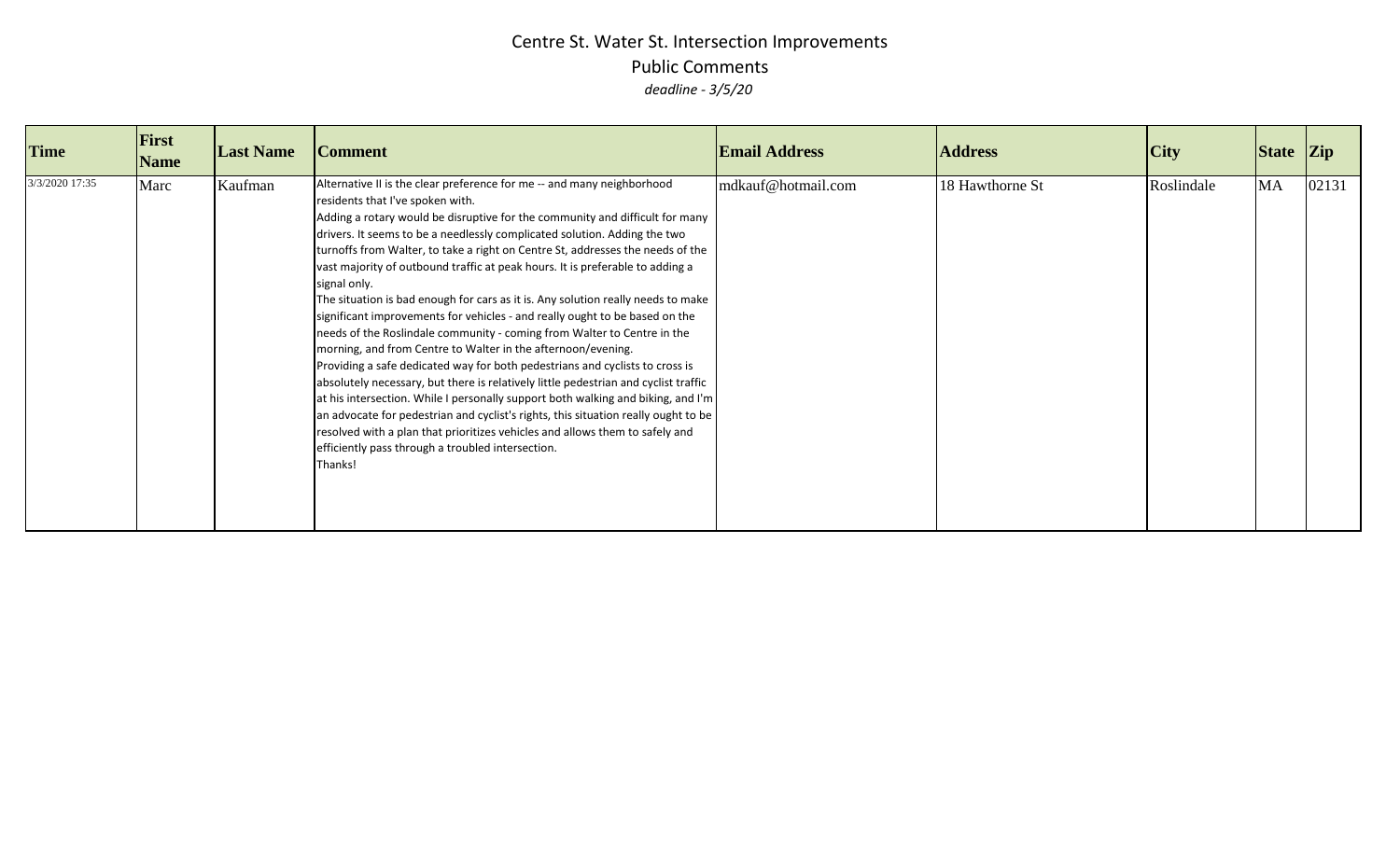| <b>Time</b>    | First<br><b>Name</b> | <b>Last Name</b> | <b>Comment</b>                                                                                                                                                                                                                                                                                                                                                                                                                                                                                                                                                                                                                                                                                                                                                                                                                                                                                                                                                                                                                                                                                                                                                                                                                                                            | <b>Email Address</b> | <b>Address</b>  | <b>City</b> | State Zip |       |
|----------------|----------------------|------------------|---------------------------------------------------------------------------------------------------------------------------------------------------------------------------------------------------------------------------------------------------------------------------------------------------------------------------------------------------------------------------------------------------------------------------------------------------------------------------------------------------------------------------------------------------------------------------------------------------------------------------------------------------------------------------------------------------------------------------------------------------------------------------------------------------------------------------------------------------------------------------------------------------------------------------------------------------------------------------------------------------------------------------------------------------------------------------------------------------------------------------------------------------------------------------------------------------------------------------------------------------------------------------|----------------------|-----------------|-------------|-----------|-------|
| 3/3/2020 17:35 | Marc                 | Kaufman          | Alternative II is the clear preference for me -- and many neighborhood<br>residents that I've spoken with.<br>Adding a rotary would be disruptive for the community and difficult for many<br>drivers. It seems to be a needlessly complicated solution. Adding the two<br>turnoffs from Walter, to take a right on Centre St, addresses the needs of the<br>vast majority of outbound traffic at peak hours. It is preferable to adding a<br>signal only.<br>The situation is bad enough for cars as it is. Any solution really needs to make<br>significant improvements for vehicles - and really ought to be based on the<br>needs of the Roslindale community - coming from Walter to Centre in the<br>morning, and from Centre to Walter in the afternoon/evening.<br>Providing a safe dedicated way for both pedestrians and cyclists to cross is<br>absolutely necessary, but there is relatively little pedestrian and cyclist traffic<br>at his intersection. While I personally support both walking and biking, and I'm<br>an advocate for pedestrian and cyclist's rights, this situation really ought to be<br>resolved with a plan that prioritizes vehicles and allows them to safely and<br>efficiently pass through a troubled intersection.<br>Thanks! | mdkauf@hotmail.com   | 18 Hawthorne St | Roslindale  | <b>MA</b> | 02131 |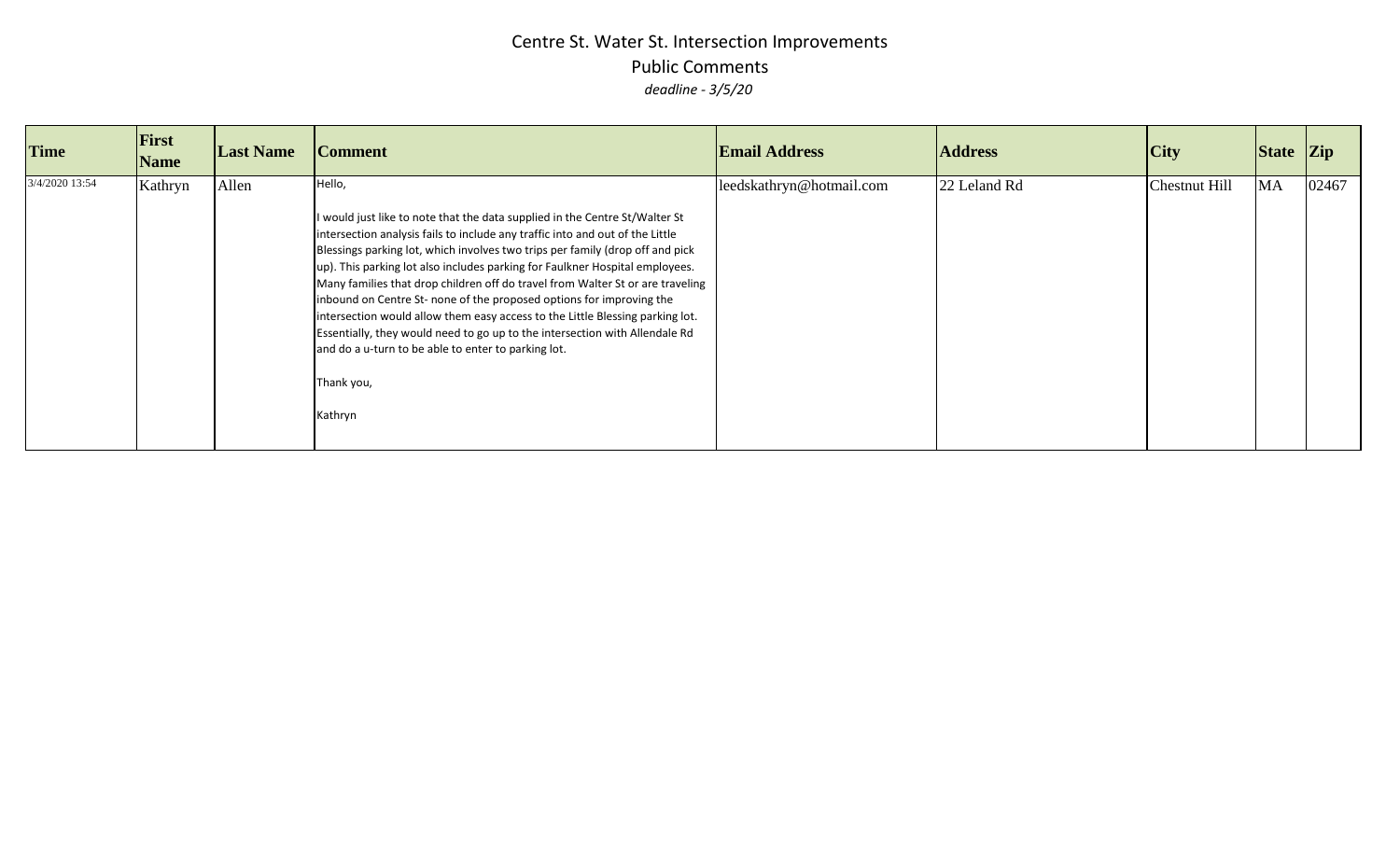| <b>Time</b>    | First<br><b>Name</b> | <b>Last Name</b> | <b>Comment</b>                                                                                                                                                                                                                                                                                                                                                                                                                                                                                                                                                                                                                                                                                                                                    | <b>Email Address</b>     | <b>Address</b> | <b>City</b>   | State Zip |       |
|----------------|----------------------|------------------|---------------------------------------------------------------------------------------------------------------------------------------------------------------------------------------------------------------------------------------------------------------------------------------------------------------------------------------------------------------------------------------------------------------------------------------------------------------------------------------------------------------------------------------------------------------------------------------------------------------------------------------------------------------------------------------------------------------------------------------------------|--------------------------|----------------|---------------|-----------|-------|
| 3/4/2020 13:54 | Kathryn              | Allen            | Hello,<br>I would just like to note that the data supplied in the Centre St/Walter St<br>intersection analysis fails to include any traffic into and out of the Little<br>Blessings parking lot, which involves two trips per family (drop off and pick<br>up). This parking lot also includes parking for Faulkner Hospital employees.<br>Many families that drop children off do travel from Walter St or are traveling<br>inbound on Centre St- none of the proposed options for improving the<br>intersection would allow them easy access to the Little Blessing parking lot.<br>Essentially, they would need to go up to the intersection with Allendale Rd<br>and do a u-turn to be able to enter to parking lot.<br>Thank you,<br>Kathryn | leedskathryn@hotmail.com | 22 Leland Rd   | Chestnut Hill | <b>MA</b> | 02467 |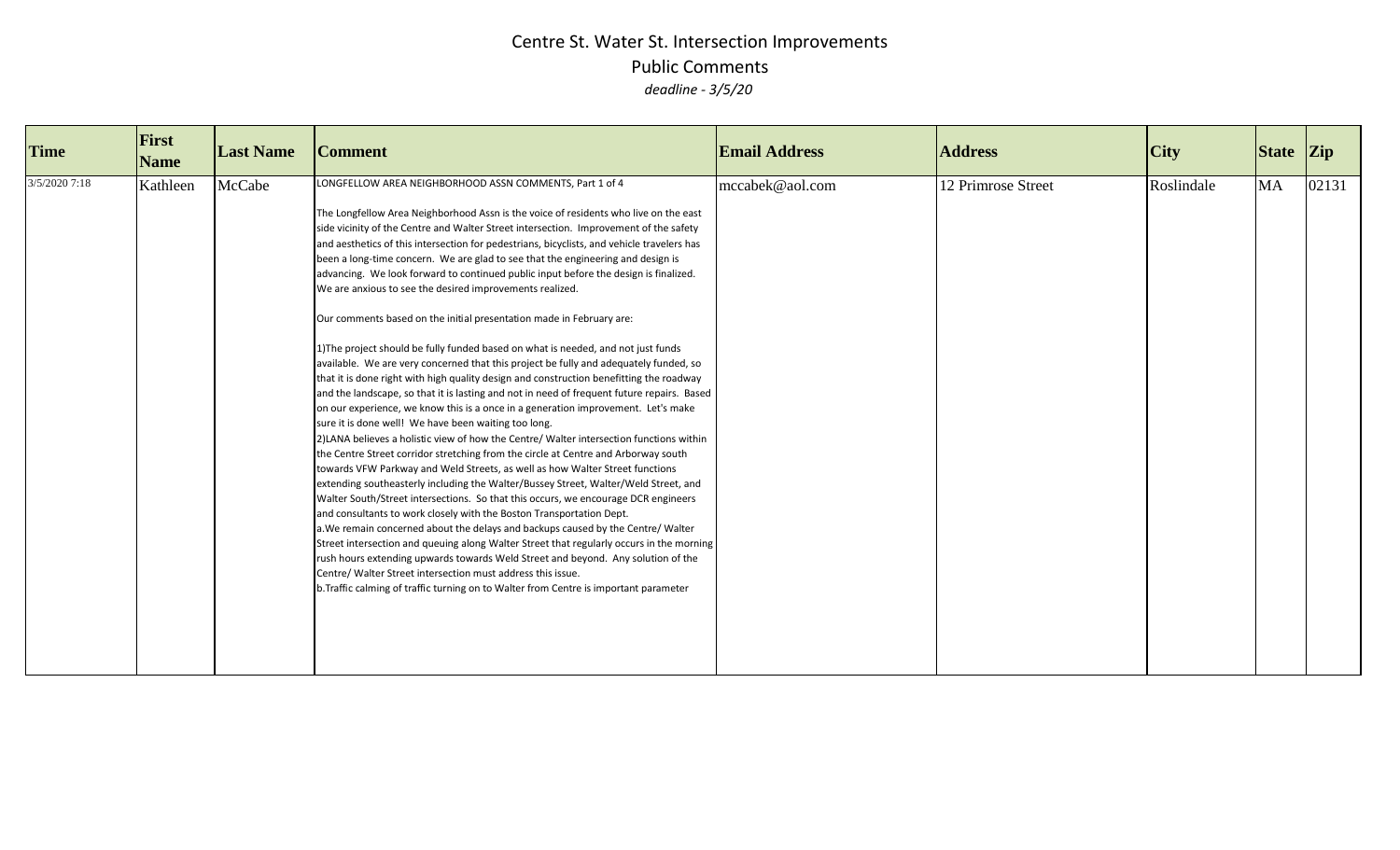| <b>Time</b>   | First<br><b>Name</b> | <b>Last Name</b> | <b>Comment</b>                                                                                                                                                                                                                                                                                                                                                                                                                                                                                                                                                                                                                                                                                                                                                                                                                                                                                                                                                                                                                                                                                                                                                                                                                                                                                                                                                                                                                                                                                                                                                                                                                                                                                                                                                                                                                                                                                                                                                                                                                                                                                                              | <b>Email Address</b> | <b>Address</b>     | <b>City</b> | State Zip |       |
|---------------|----------------------|------------------|-----------------------------------------------------------------------------------------------------------------------------------------------------------------------------------------------------------------------------------------------------------------------------------------------------------------------------------------------------------------------------------------------------------------------------------------------------------------------------------------------------------------------------------------------------------------------------------------------------------------------------------------------------------------------------------------------------------------------------------------------------------------------------------------------------------------------------------------------------------------------------------------------------------------------------------------------------------------------------------------------------------------------------------------------------------------------------------------------------------------------------------------------------------------------------------------------------------------------------------------------------------------------------------------------------------------------------------------------------------------------------------------------------------------------------------------------------------------------------------------------------------------------------------------------------------------------------------------------------------------------------------------------------------------------------------------------------------------------------------------------------------------------------------------------------------------------------------------------------------------------------------------------------------------------------------------------------------------------------------------------------------------------------------------------------------------------------------------------------------------------------|----------------------|--------------------|-------------|-----------|-------|
| 3/5/2020 7:18 | Kathleen             | McCabe           | LONGFELLOW AREA NEIGHBORHOOD ASSN COMMENTS, Part 1 of 4<br>The Longfellow Area Neighborhood Assn is the voice of residents who live on the east<br>side vicinity of the Centre and Walter Street intersection. Improvement of the safety<br>and aesthetics of this intersection for pedestrians, bicyclists, and vehicle travelers has<br>been a long-time concern. We are glad to see that the engineering and design is<br>advancing. We look forward to continued public input before the design is finalized.<br>We are anxious to see the desired improvements realized.<br>Our comments based on the initial presentation made in February are:<br>1) The project should be fully funded based on what is needed, and not just funds<br>available. We are very concerned that this project be fully and adequately funded, so<br>that it is done right with high quality design and construction benefitting the roadway<br>and the landscape, so that it is lasting and not in need of frequent future repairs. Based<br>on our experience, we know this is a once in a generation improvement. Let's make<br>sure it is done well! We have been waiting too long.<br>2) LANA believes a holistic view of how the Centre/ Walter intersection functions within<br>the Centre Street corridor stretching from the circle at Centre and Arborway south<br>towards VFW Parkway and Weld Streets, as well as how Walter Street functions<br>extending southeasterly including the Walter/Bussey Street, Walter/Weld Street, and<br>Walter South/Street intersections. So that this occurs, we encourage DCR engineers<br>and consultants to work closely with the Boston Transportation Dept.<br>a. We remain concerned about the delays and backups caused by the Centre/Walter<br>Street intersection and queuing along Walter Street that regularly occurs in the morning<br>rush hours extending upwards towards Weld Street and beyond. Any solution of the<br>Centre/ Walter Street intersection must address this issue.<br>b. Traffic calming of traffic turning on to Walter from Centre is important parameter | mccabek@aol.com      | 12 Primrose Street | Roslindale  | <b>MA</b> | 02131 |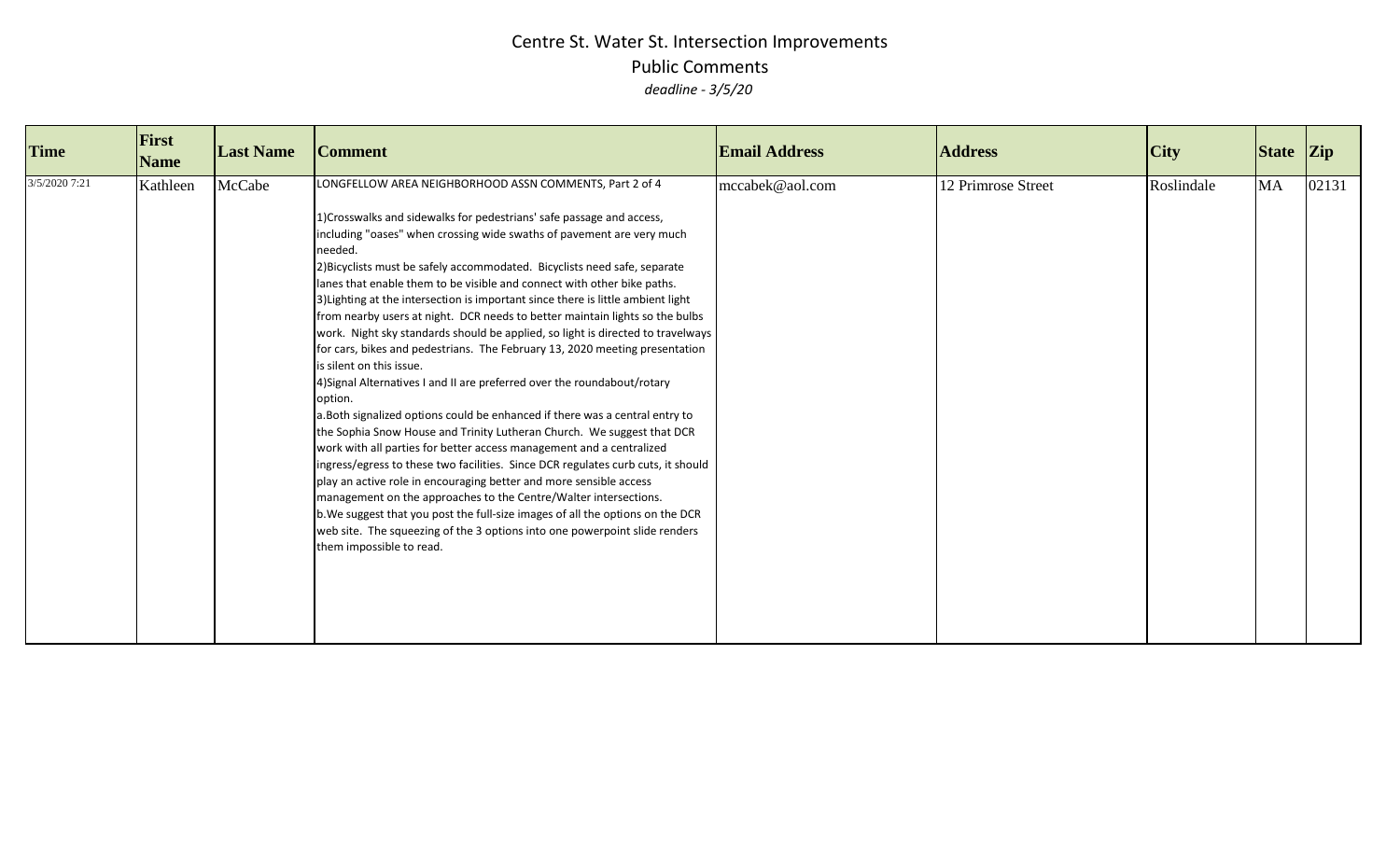| <b>Time</b>   | First<br><b>Name</b> | <b>Last Name</b> | <b>Comment</b>                                                                                                                                                                                                                                                                                                                                                                                                                                                                                                                                                                                                                                                                                                                                                                                                                                                                                                                                                                                                                                                                                                                                                                                                                                                                                                                                                                                                                                                                                   | <b>Email Address</b> | <b>Address</b>     | <b>City</b> | State Zip |       |
|---------------|----------------------|------------------|--------------------------------------------------------------------------------------------------------------------------------------------------------------------------------------------------------------------------------------------------------------------------------------------------------------------------------------------------------------------------------------------------------------------------------------------------------------------------------------------------------------------------------------------------------------------------------------------------------------------------------------------------------------------------------------------------------------------------------------------------------------------------------------------------------------------------------------------------------------------------------------------------------------------------------------------------------------------------------------------------------------------------------------------------------------------------------------------------------------------------------------------------------------------------------------------------------------------------------------------------------------------------------------------------------------------------------------------------------------------------------------------------------------------------------------------------------------------------------------------------|----------------------|--------------------|-------------|-----------|-------|
| 3/5/2020 7:21 | Kathleen             | McCabe           | LONGFELLOW AREA NEIGHBORHOOD ASSN COMMENTS, Part 2 of 4<br>1) Crosswalks and sidewalks for pedestrians' safe passage and access,<br>including "oases" when crossing wide swaths of pavement are very much<br>needed.<br>2) Bicyclists must be safely accommodated. Bicyclists need safe, separate<br>lanes that enable them to be visible and connect with other bike paths.<br>3) Lighting at the intersection is important since there is little ambient light<br>from nearby users at night. DCR needs to better maintain lights so the bulbs<br>work. Night sky standards should be applied, so light is directed to travelways<br>for cars, bikes and pedestrians. The February 13, 2020 meeting presentation<br>is silent on this issue.<br>4) Signal Alternatives I and II are preferred over the roundabout/rotary<br>option.<br>a.Both signalized options could be enhanced if there was a central entry to<br>the Sophia Snow House and Trinity Lutheran Church. We suggest that DCR<br>work with all parties for better access management and a centralized<br>ingress/egress to these two facilities. Since DCR regulates curb cuts, it should<br>play an active role in encouraging better and more sensible access<br>management on the approaches to the Centre/Walter intersections.<br>b. We suggest that you post the full-size images of all the options on the DCR<br>web site. The squeezing of the 3 options into one powerpoint slide renders<br>them impossible to read. | mccabek@aol.com      | 12 Primrose Street | Roslindale  | <b>MA</b> | 02131 |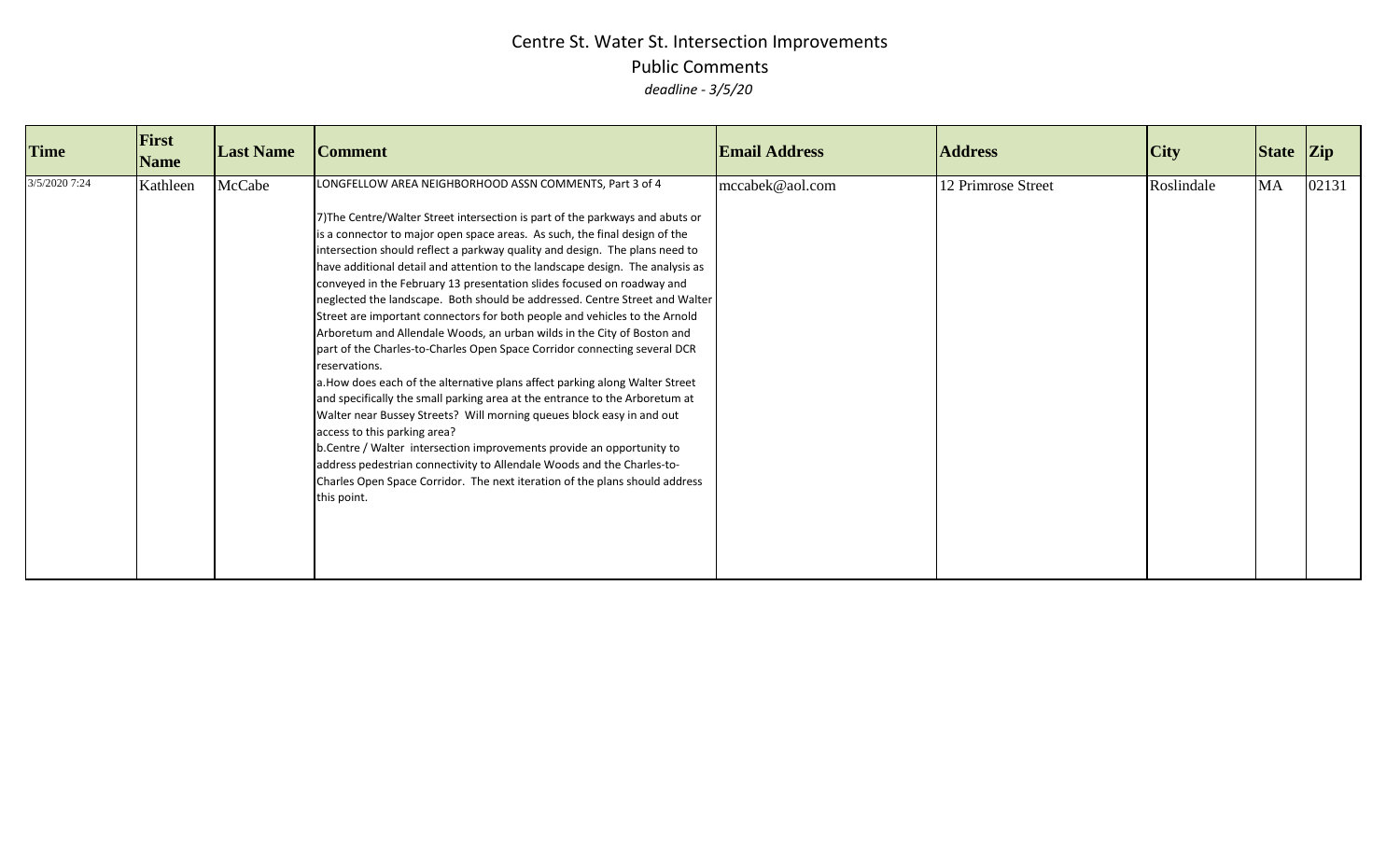| <b>Time</b>   | First<br><b>Name</b> | <b>Last Name</b> | <b>Comment</b>                                                                                                                                                                                                                                                                                                                                                                                                                                                                                                                                                                                                                                                                                                                                                                                                                                                                                                                                                                                                                                                                                                                                                                                                                                                                                                                   | <b>Email Address</b> | <b>Address</b>     | City       | State Zip |       |
|---------------|----------------------|------------------|----------------------------------------------------------------------------------------------------------------------------------------------------------------------------------------------------------------------------------------------------------------------------------------------------------------------------------------------------------------------------------------------------------------------------------------------------------------------------------------------------------------------------------------------------------------------------------------------------------------------------------------------------------------------------------------------------------------------------------------------------------------------------------------------------------------------------------------------------------------------------------------------------------------------------------------------------------------------------------------------------------------------------------------------------------------------------------------------------------------------------------------------------------------------------------------------------------------------------------------------------------------------------------------------------------------------------------|----------------------|--------------------|------------|-----------|-------|
| 3/5/2020 7:24 | Kathleen             | McCabe           | LONGFELLOW AREA NEIGHBORHOOD ASSN COMMENTS, Part 3 of 4<br>7) The Centre/Walter Street intersection is part of the parkways and abuts or<br>is a connector to major open space areas. As such, the final design of the<br>intersection should reflect a parkway quality and design. The plans need to<br>have additional detail and attention to the landscape design. The analysis as<br>conveyed in the February 13 presentation slides focused on roadway and<br>neglected the landscape. Both should be addressed. Centre Street and Walter<br>Street are important connectors for both people and vehicles to the Arnold<br>Arboretum and Allendale Woods, an urban wilds in the City of Boston and<br>part of the Charles-to-Charles Open Space Corridor connecting several DCR<br>reservations.<br>a. How does each of the alternative plans affect parking along Walter Street<br>and specifically the small parking area at the entrance to the Arboretum at<br>Walter near Bussey Streets? Will morning queues block easy in and out<br>access to this parking area?<br>b. Centre / Walter intersection improvements provide an opportunity to<br>address pedestrian connectivity to Allendale Woods and the Charles-to-<br>Charles Open Space Corridor. The next iteration of the plans should address<br>this point. | mccabek@aol.com      | 12 Primrose Street | Roslindale | MA        | 02131 |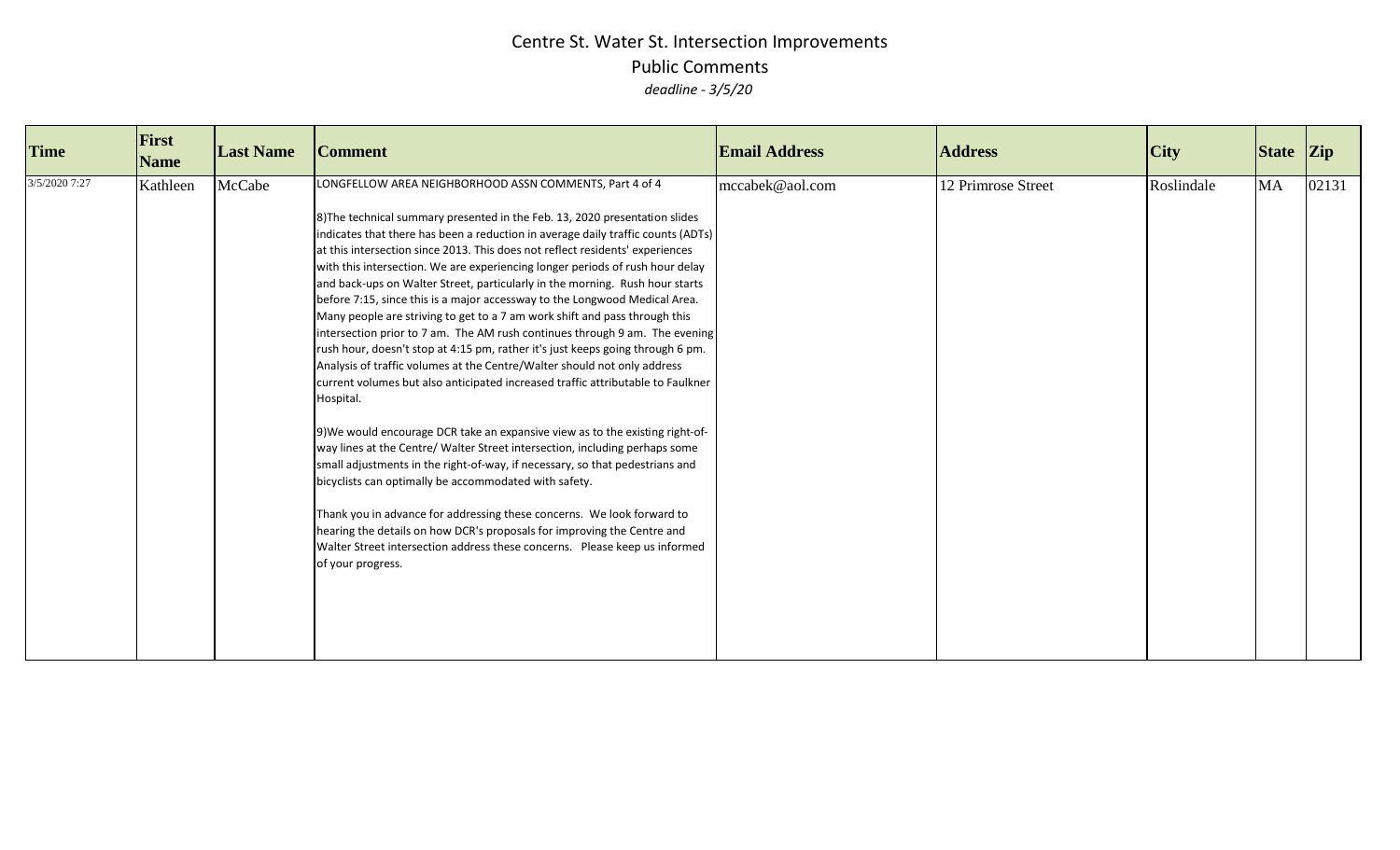| <b>Time</b>   | First<br><b>Name</b> | <b>Last Name</b> | <b>Comment</b>                                                                                                                                                                                                                                                                                                                                                                                                                                                                                                                                                                                                                                                                                                                                                                                                                                                                                                                                                                                                                                                                                                                                                                                                                                                                                                                                                                                                                                                                                                                                         | <b>Email Address</b> | <b>Address</b>     | <b>City</b> | State Zip |       |
|---------------|----------------------|------------------|--------------------------------------------------------------------------------------------------------------------------------------------------------------------------------------------------------------------------------------------------------------------------------------------------------------------------------------------------------------------------------------------------------------------------------------------------------------------------------------------------------------------------------------------------------------------------------------------------------------------------------------------------------------------------------------------------------------------------------------------------------------------------------------------------------------------------------------------------------------------------------------------------------------------------------------------------------------------------------------------------------------------------------------------------------------------------------------------------------------------------------------------------------------------------------------------------------------------------------------------------------------------------------------------------------------------------------------------------------------------------------------------------------------------------------------------------------------------------------------------------------------------------------------------------------|----------------------|--------------------|-------------|-----------|-------|
| 3/5/2020 7:27 | Kathleen             | McCabe           | LONGFELLOW AREA NEIGHBORHOOD ASSN COMMENTS, Part 4 of 4<br>8) The technical summary presented in the Feb. 13, 2020 presentation slides<br>indicates that there has been a reduction in average daily traffic counts (ADTs)<br>at this intersection since 2013. This does not reflect residents' experiences<br>with this intersection. We are experiencing longer periods of rush hour delay<br>and back-ups on Walter Street, particularly in the morning. Rush hour starts<br>before 7:15, since this is a major accessway to the Longwood Medical Area.<br>Many people are striving to get to a 7 am work shift and pass through this<br>intersection prior to 7 am. The AM rush continues through 9 am. The evening<br>rush hour, doesn't stop at 4:15 pm, rather it's just keeps going through 6 pm.<br>Analysis of traffic volumes at the Centre/Walter should not only address<br>current volumes but also anticipated increased traffic attributable to Faulkner<br>Hospital.<br>9) We would encourage DCR take an expansive view as to the existing right-of-<br>way lines at the Centre/ Walter Street intersection, including perhaps some<br>small adjustments in the right-of-way, if necessary, so that pedestrians and<br>bicyclists can optimally be accommodated with safety.<br>Thank you in advance for addressing these concerns. We look forward to<br>hearing the details on how DCR's proposals for improving the Centre and<br>Walter Street intersection address these concerns. Please keep us informed<br>of your progress. | mccabek@aol.com      | 12 Primrose Street | Roslindale  | MA        | 02131 |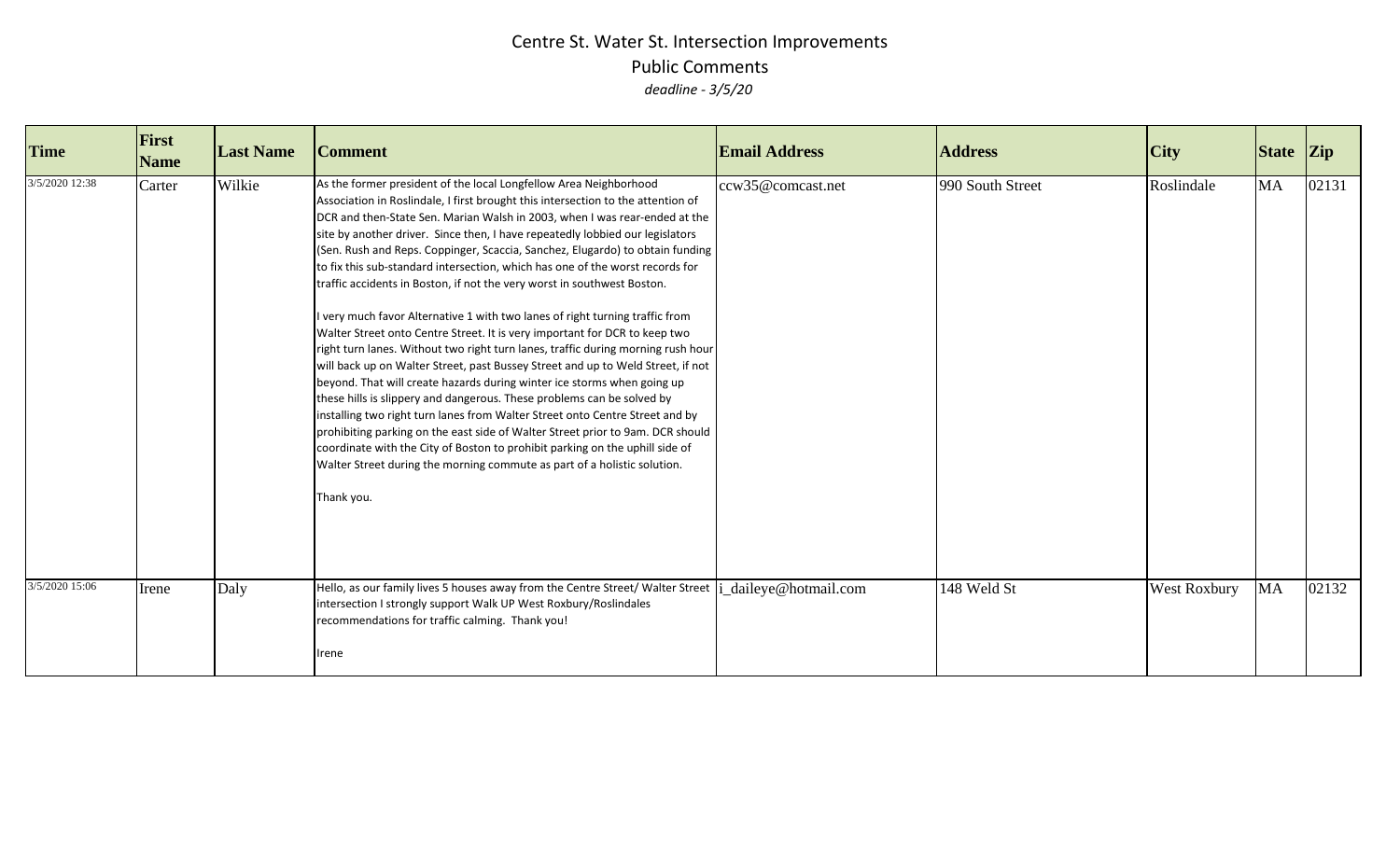| <b>Time</b>    | First<br><b>Name</b> | <b>Last Name</b> | <b>Comment</b>                                                                                                                                                                                                                                                                                                                                                                                                                                                                                                                                                                                                                                                                                                                                                                                                                                                                                                                                                                                                                                                                                                                                                                                                                                                                                                                                                                                          | <b>Email Address</b>  | <b>Address</b>   | <b>City</b>  | State Zip |       |
|----------------|----------------------|------------------|---------------------------------------------------------------------------------------------------------------------------------------------------------------------------------------------------------------------------------------------------------------------------------------------------------------------------------------------------------------------------------------------------------------------------------------------------------------------------------------------------------------------------------------------------------------------------------------------------------------------------------------------------------------------------------------------------------------------------------------------------------------------------------------------------------------------------------------------------------------------------------------------------------------------------------------------------------------------------------------------------------------------------------------------------------------------------------------------------------------------------------------------------------------------------------------------------------------------------------------------------------------------------------------------------------------------------------------------------------------------------------------------------------|-----------------------|------------------|--------------|-----------|-------|
| 3/5/2020 12:38 | Carter               | Wilkie           | As the former president of the local Longfellow Area Neighborhood<br>Association in Roslindale, I first brought this intersection to the attention of<br>DCR and then-State Sen. Marian Walsh in 2003, when I was rear-ended at the<br>site by another driver. Since then, I have repeatedly lobbied our legislators<br>(Sen. Rush and Reps. Coppinger, Scaccia, Sanchez, Elugardo) to obtain funding<br>to fix this sub-standard intersection, which has one of the worst records for<br>traffic accidents in Boston, if not the very worst in southwest Boston.<br>I very much favor Alternative 1 with two lanes of right turning traffic from<br>Walter Street onto Centre Street. It is very important for DCR to keep two<br>right turn lanes. Without two right turn lanes, traffic during morning rush hour<br>will back up on Walter Street, past Bussey Street and up to Weld Street, if not<br>beyond. That will create hazards during winter ice storms when going up<br>these hills is slippery and dangerous. These problems can be solved by<br>installing two right turn lanes from Walter Street onto Centre Street and by<br>prohibiting parking on the east side of Walter Street prior to 9am. DCR should<br>coordinate with the City of Boston to prohibit parking on the uphill side of<br>Walter Street during the morning commute as part of a holistic solution.<br>Thank you. | ccw35@comcast.net     | 990 South Street | Roslindale   | <b>MA</b> | 02131 |
| 3/5/2020 15:06 | Irene                | Daly             | Hello, as our family lives 5 houses away from the Centre Street/ Walter Street<br>intersection I strongly support Walk UP West Roxbury/Roslindales<br>recommendations for traffic calming. Thank you!<br>Irene                                                                                                                                                                                                                                                                                                                                                                                                                                                                                                                                                                                                                                                                                                                                                                                                                                                                                                                                                                                                                                                                                                                                                                                          | i_daileye@hotmail.com | 148 Weld St      | West Roxbury | MA        | 02132 |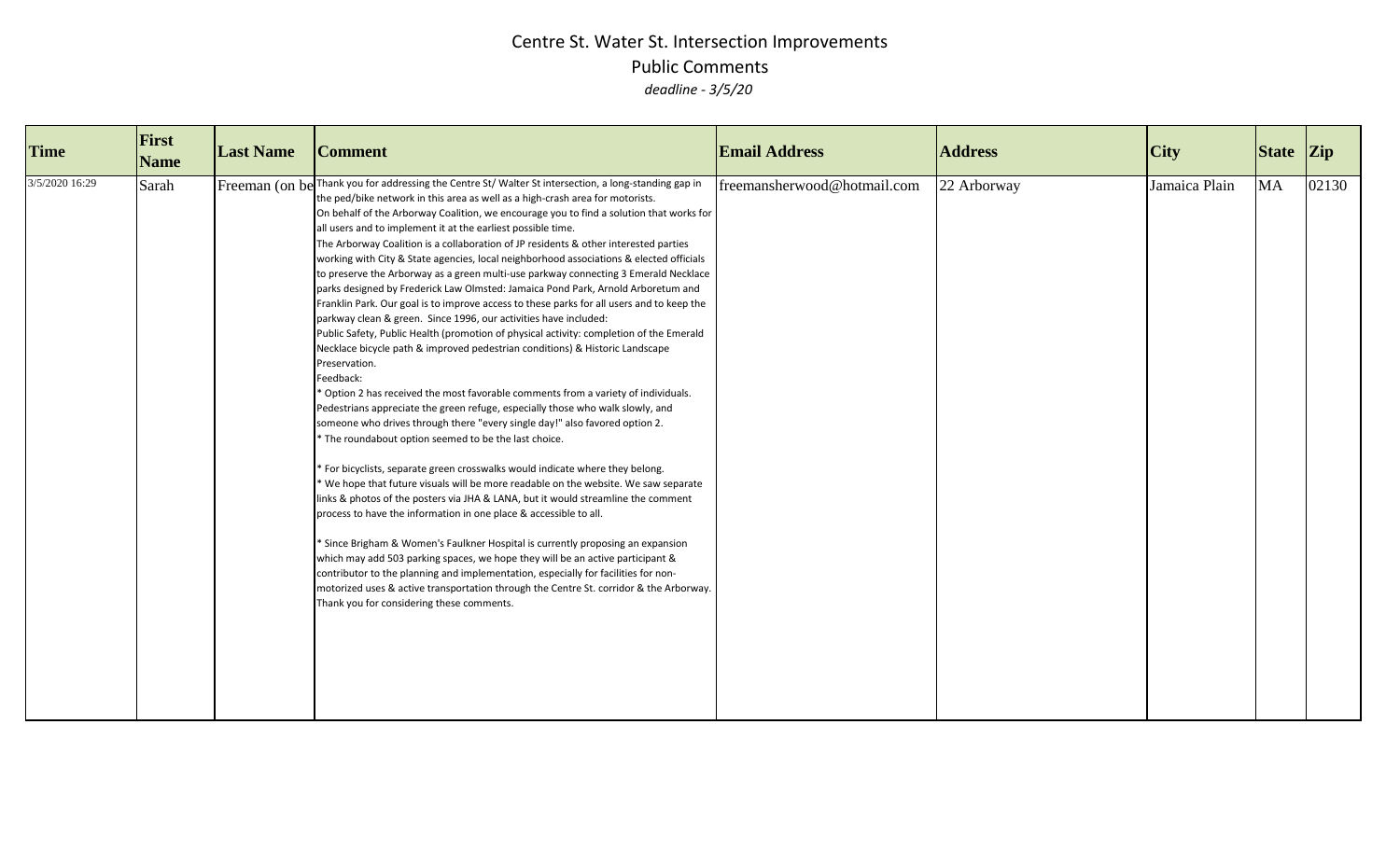| <b>Time</b>    | First<br><b>Name</b> | <b>Last Name</b> | <b>Comment</b>                                                                                                                                                                                                                                                                                                                                                                                                                                                                                                                                                                                                                                                                                                                                                                                                                                                                                                                                                                                                                                                                                                                                                                                                                                                                                                                                                                                                                                                                                                                                                                                                                                                                                                                                                                                                                                                                                                                                                                                                                                                                                                                         | <b>Email Address</b>        | <b>Address</b> | City          | State Zip |       |
|----------------|----------------------|------------------|----------------------------------------------------------------------------------------------------------------------------------------------------------------------------------------------------------------------------------------------------------------------------------------------------------------------------------------------------------------------------------------------------------------------------------------------------------------------------------------------------------------------------------------------------------------------------------------------------------------------------------------------------------------------------------------------------------------------------------------------------------------------------------------------------------------------------------------------------------------------------------------------------------------------------------------------------------------------------------------------------------------------------------------------------------------------------------------------------------------------------------------------------------------------------------------------------------------------------------------------------------------------------------------------------------------------------------------------------------------------------------------------------------------------------------------------------------------------------------------------------------------------------------------------------------------------------------------------------------------------------------------------------------------------------------------------------------------------------------------------------------------------------------------------------------------------------------------------------------------------------------------------------------------------------------------------------------------------------------------------------------------------------------------------------------------------------------------------------------------------------------------|-----------------------------|----------------|---------------|-----------|-------|
| 3/5/2020 16:29 | Sarah                |                  | Freeman (on be Thank you for addressing the Centre St/Walter St intersection, a long-standing gap in<br>the ped/bike network in this area as well as a high-crash area for motorists.<br>On behalf of the Arborway Coalition, we encourage you to find a solution that works for<br>all users and to implement it at the earliest possible time.<br>The Arborway Coalition is a collaboration of JP residents & other interested parties<br>working with City & State agencies, local neighborhood associations & elected officials<br>to preserve the Arborway as a green multi-use parkway connecting 3 Emerald Necklace<br>parks designed by Frederick Law Olmsted: Jamaica Pond Park, Arnold Arboretum and<br>Franklin Park. Our goal is to improve access to these parks for all users and to keep the<br>parkway clean & green. Since 1996, our activities have included:<br>Public Safety, Public Health (promotion of physical activity: completion of the Emerald<br>Necklace bicycle path & improved pedestrian conditions) & Historic Landscape<br>Preservation.<br>Feedback:<br>Option 2 has received the most favorable comments from a variety of individuals.<br>Pedestrians appreciate the green refuge, especially those who walk slowly, and<br>someone who drives through there "every single day!" also favored option 2.<br>* The roundabout option seemed to be the last choice.<br>For bicyclists, separate green crosswalks would indicate where they belong.<br>We hope that future visuals will be more readable on the website. We saw separate<br>links & photos of the posters via JHA & LANA, but it would streamline the comment<br>process to have the information in one place & accessible to all.<br>* Since Brigham & Women's Faulkner Hospital is currently proposing an expansion<br>which may add 503 parking spaces, we hope they will be an active participant &<br>contributor to the planning and implementation, especially for facilities for non-<br>motorized uses & active transportation through the Centre St. corridor & the Arborway.<br>Thank you for considering these comments. | freemansherwood@hotmail.com | 22 Arborway    | Jamaica Plain | <b>MA</b> | 02130 |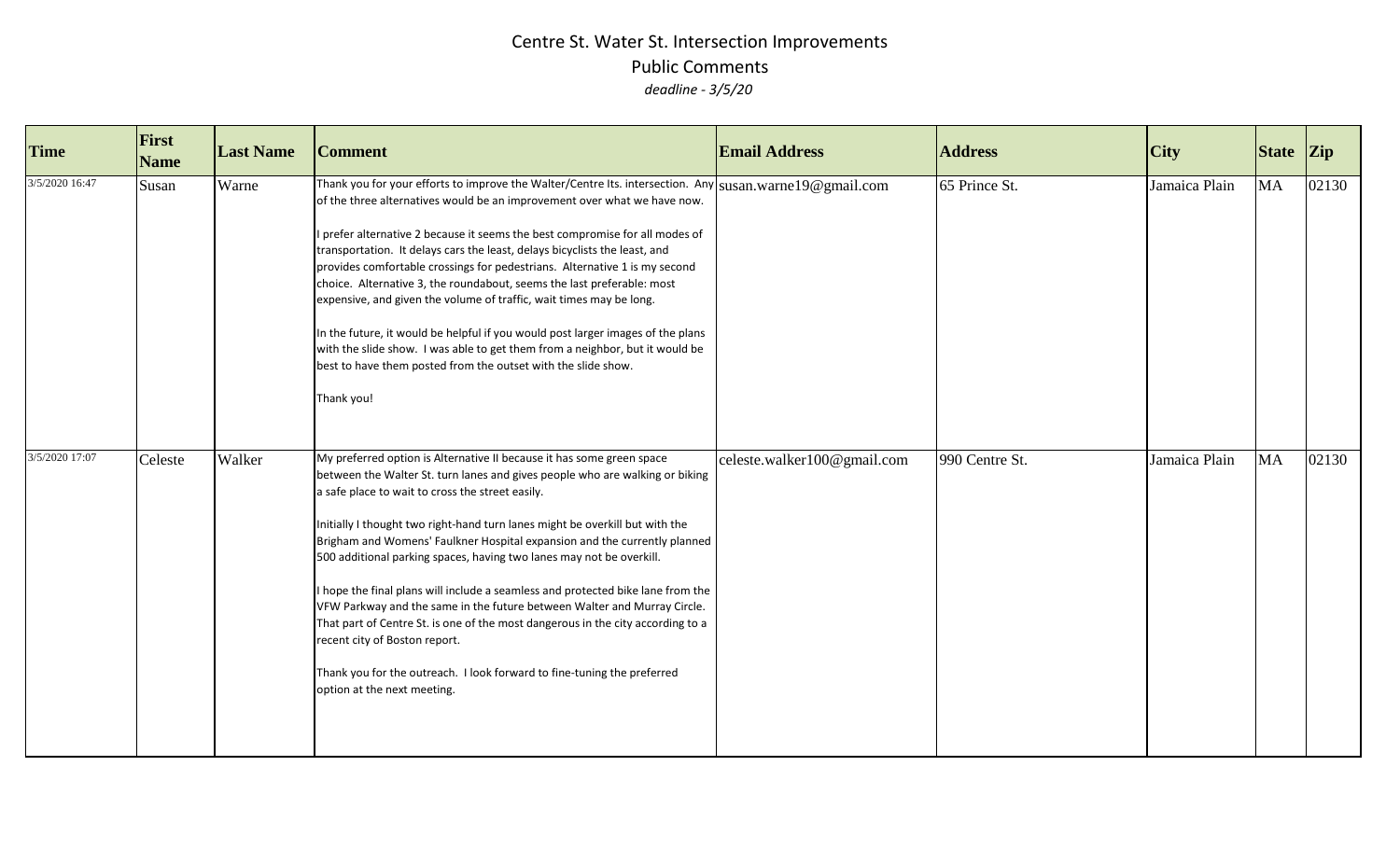| <b>Time</b>    | First<br><b>Name</b> | <b>Last Name</b> | <b>Comment</b>                                                                                                                                                                                                                                                                                                                                                                                                                                                                                                                                                                                                                                                                                                                                                                                                                            | <b>Email Address</b>        | <b>Address</b> | <b>City</b>   | <b>State</b> | <b>Zip</b> |
|----------------|----------------------|------------------|-------------------------------------------------------------------------------------------------------------------------------------------------------------------------------------------------------------------------------------------------------------------------------------------------------------------------------------------------------------------------------------------------------------------------------------------------------------------------------------------------------------------------------------------------------------------------------------------------------------------------------------------------------------------------------------------------------------------------------------------------------------------------------------------------------------------------------------------|-----------------------------|----------------|---------------|--------------|------------|
| 3/5/2020 16:47 | Susan                | Warne            | Thank you for your efforts to improve the Walter/Centre Its. intersection. Any susan warne 19@gmail.com<br>of the three alternatives would be an improvement over what we have now.<br>prefer alternative 2 because it seems the best compromise for all modes of<br>transportation. It delays cars the least, delays bicyclists the least, and<br>provides comfortable crossings for pedestrians. Alternative 1 is my second<br>choice. Alternative 3, the roundabout, seems the last preferable: most<br>expensive, and given the volume of traffic, wait times may be long.<br>In the future, it would be helpful if you would post larger images of the plans<br>with the slide show. I was able to get them from a neighbor, but it would be<br>best to have them posted from the outset with the slide show.<br>Thank you!          |                             | 65 Prince St.  | Jamaica Plain | <b>MA</b>    | 02130      |
| 3/5/2020 17:07 | Celeste              | Walker           | My preferred option is Alternative II because it has some green space<br>between the Walter St. turn lanes and gives people who are walking or biking<br>a safe place to wait to cross the street easily.<br>Initially I thought two right-hand turn lanes might be overkill but with the<br>Brigham and Womens' Faulkner Hospital expansion and the currently planned<br>500 additional parking spaces, having two lanes may not be overkill.<br>hope the final plans will include a seamless and protected bike lane from the<br>VFW Parkway and the same in the future between Walter and Murray Circle.<br>That part of Centre St. is one of the most dangerous in the city according to a<br>recent city of Boston report.<br>Thank you for the outreach. I look forward to fine-tuning the preferred<br>option at the next meeting. | celeste.walker100@gmail.com | 990 Centre St. | Jamaica Plain | <b>MA</b>    | 02130      |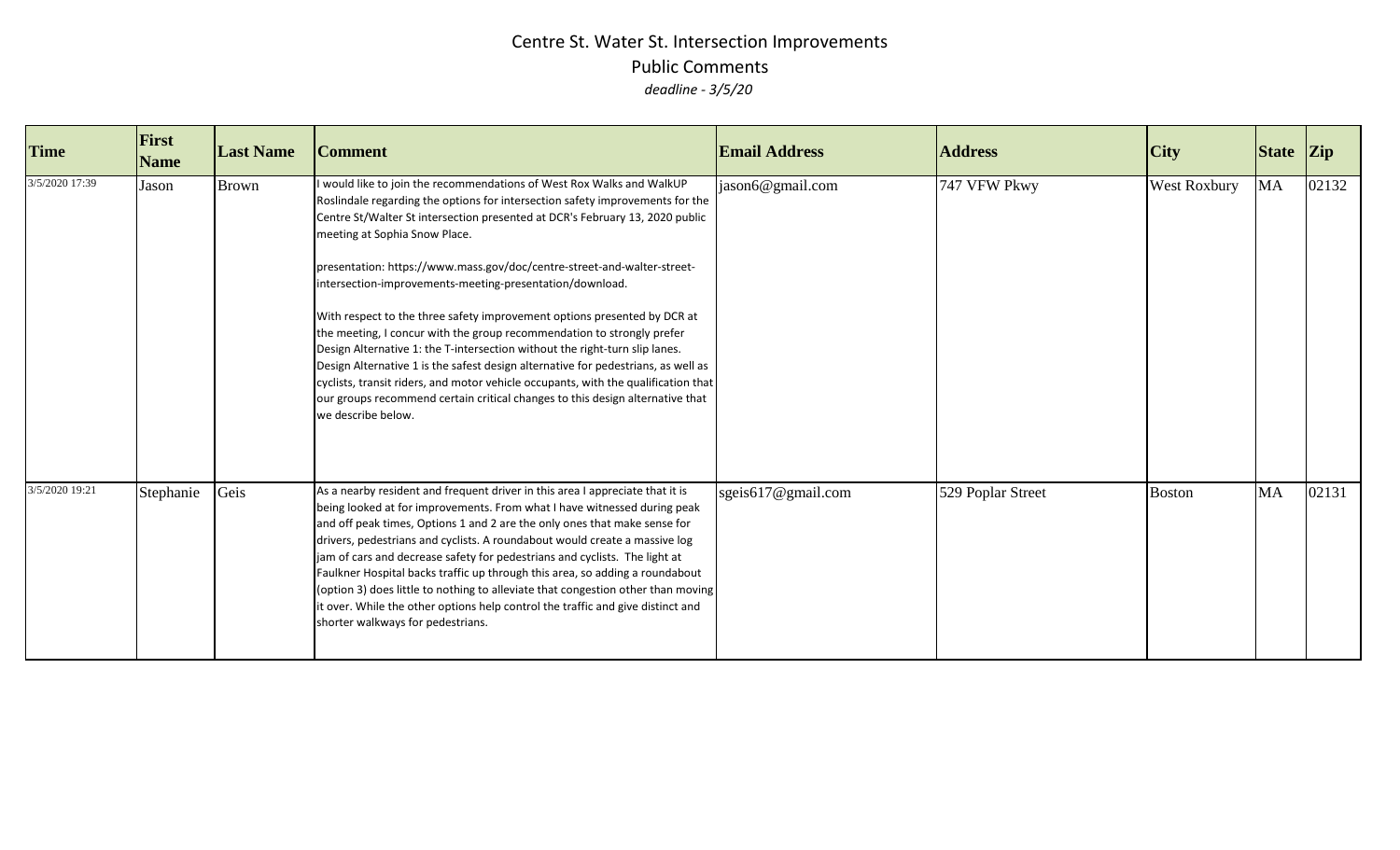| <b>Time</b>    | First<br><b>Name</b> | <b>Last Name</b> | <b>Comment</b>                                                                                                                                                                                                                                                                                                                                                                                                                                                                                                                                                                                                                                                                                                                                                                                                                                                                                                                      | <b>Email Address</b> | <b>Address</b>    | City          | State Zip |       |
|----------------|----------------------|------------------|-------------------------------------------------------------------------------------------------------------------------------------------------------------------------------------------------------------------------------------------------------------------------------------------------------------------------------------------------------------------------------------------------------------------------------------------------------------------------------------------------------------------------------------------------------------------------------------------------------------------------------------------------------------------------------------------------------------------------------------------------------------------------------------------------------------------------------------------------------------------------------------------------------------------------------------|----------------------|-------------------|---------------|-----------|-------|
| 3/5/2020 17:39 | Jason                | <b>Brown</b>     | would like to join the recommendations of West Rox Walks and WalkUP<br>Roslindale regarding the options for intersection safety improvements for the<br>Centre St/Walter St intersection presented at DCR's February 13, 2020 public<br>meeting at Sophia Snow Place.<br>presentation: https://www.mass.gov/doc/centre-street-and-walter-street-<br>intersection-improvements-meeting-presentation/download.<br>With respect to the three safety improvement options presented by DCR at<br>the meeting, I concur with the group recommendation to strongly prefer<br>Design Alternative 1: the T-intersection without the right-turn slip lanes.<br>Design Alternative 1 is the safest design alternative for pedestrians, as well as<br>cyclists, transit riders, and motor vehicle occupants, with the qualification that<br>our groups recommend certain critical changes to this design alternative that<br>we describe below. | jason6@gmail.com     | 747 VFW Pkwy      | West Roxbury  | MA        | 02132 |
| 3/5/2020 19:21 | Stephanie            | Geis             | As a nearby resident and frequent driver in this area I appreciate that it is<br>being looked at for improvements. From what I have witnessed during peak<br>and off peak times, Options 1 and 2 are the only ones that make sense for<br>drivers, pedestrians and cyclists. A roundabout would create a massive log<br>jam of cars and decrease safety for pedestrians and cyclists. The light at<br>Faulkner Hospital backs traffic up through this area, so adding a roundabout<br>(option 3) does little to nothing to alleviate that congestion other than moving<br>it over. While the other options help control the traffic and give distinct and<br>shorter walkways for pedestrians.                                                                                                                                                                                                                                      | sgeis617@gmail.com   | 529 Poplar Street | <b>Boston</b> | <b>MA</b> | 02131 |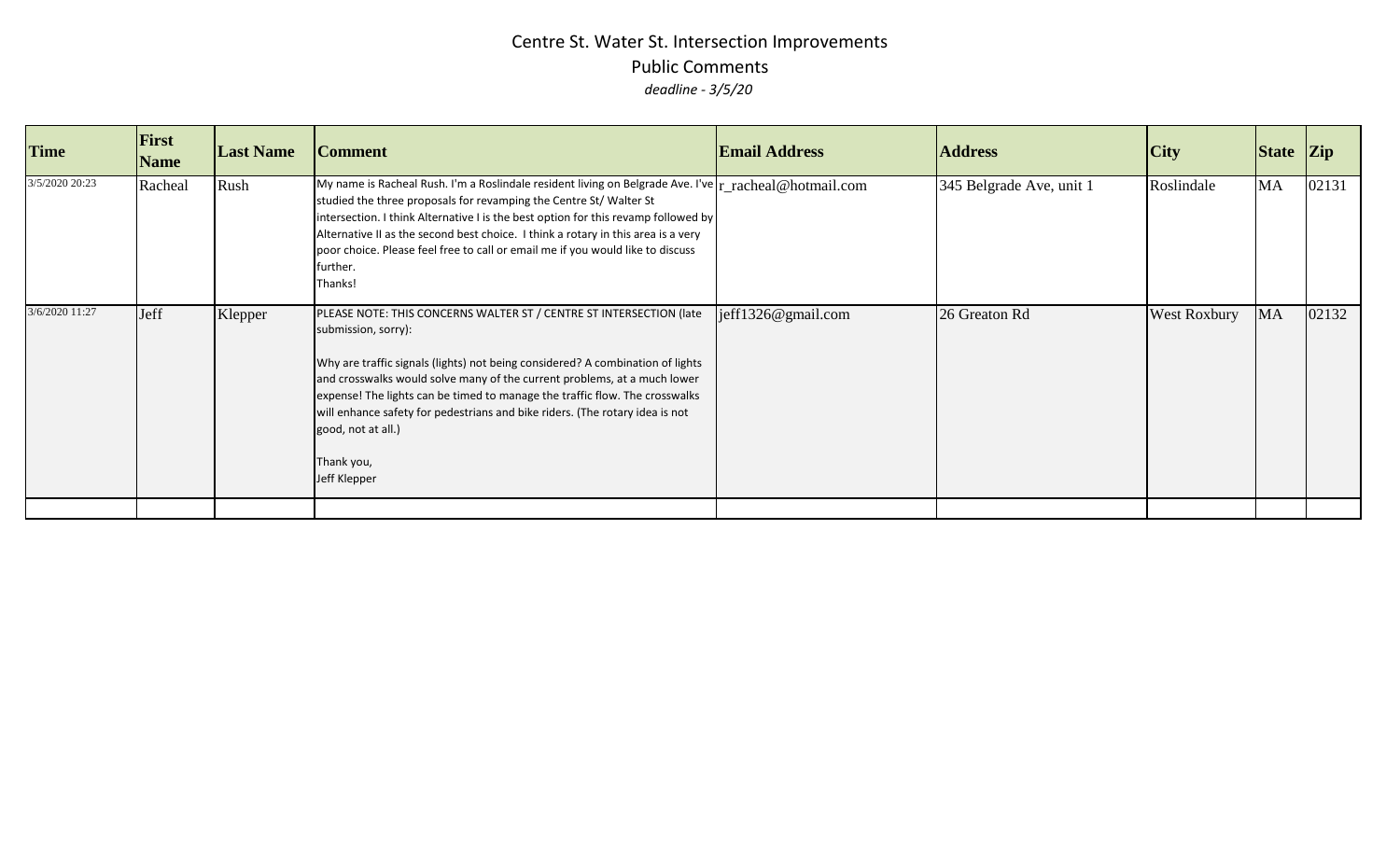| <b>Time</b>    | <b>First</b><br><b>Name</b> | <b>Last Name</b> | <b>Comment</b>                                                                                                                                                                                                                                                                                                                                                                                                                                                                | <b>Email Address</b>  | <b>Address</b>           | <b>City</b>         | State Zip |       |
|----------------|-----------------------------|------------------|-------------------------------------------------------------------------------------------------------------------------------------------------------------------------------------------------------------------------------------------------------------------------------------------------------------------------------------------------------------------------------------------------------------------------------------------------------------------------------|-----------------------|--------------------------|---------------------|-----------|-------|
| 3/5/2020 20:23 | Racheal                     | Rush             | My name is Racheal Rush. I'm a Roslindale resident living on Belgrade Ave. I've $r_{\text{r\_rached}}$ @hotmail.com<br>studied the three proposals for revamping the Centre St/ Walter St<br>intersection. I think Alternative I is the best option for this revamp followed by<br>Alternative II as the second best choice. I think a rotary in this area is a very<br>poor choice. Please feel free to call or email me if you would like to discuss<br>further.<br>Thanks! |                       | 345 Belgrade Ave, unit 1 | Roslindale          | <b>MA</b> | 02131 |
| 3/6/2020 11:27 | Jeff                        | Klepper          | PLEASE NOTE: THIS CONCERNS WALTER ST / CENTRE ST INTERSECTION (late<br>submission, sorry):<br>Why are traffic signals (lights) not being considered? A combination of lights<br>and crosswalks would solve many of the current problems, at a much lower<br>expense! The lights can be timed to manage the traffic flow. The crosswalks<br>will enhance safety for pedestrians and bike riders. (The rotary idea is not<br>good, not at all.)<br>Thank you,<br>Jeff Klepper   | $j$ eff1326@gmail.com | 26 Greaton Rd            | <b>West Roxbury</b> | <b>MA</b> | 02132 |
|                |                             |                  |                                                                                                                                                                                                                                                                                                                                                                                                                                                                               |                       |                          |                     |           |       |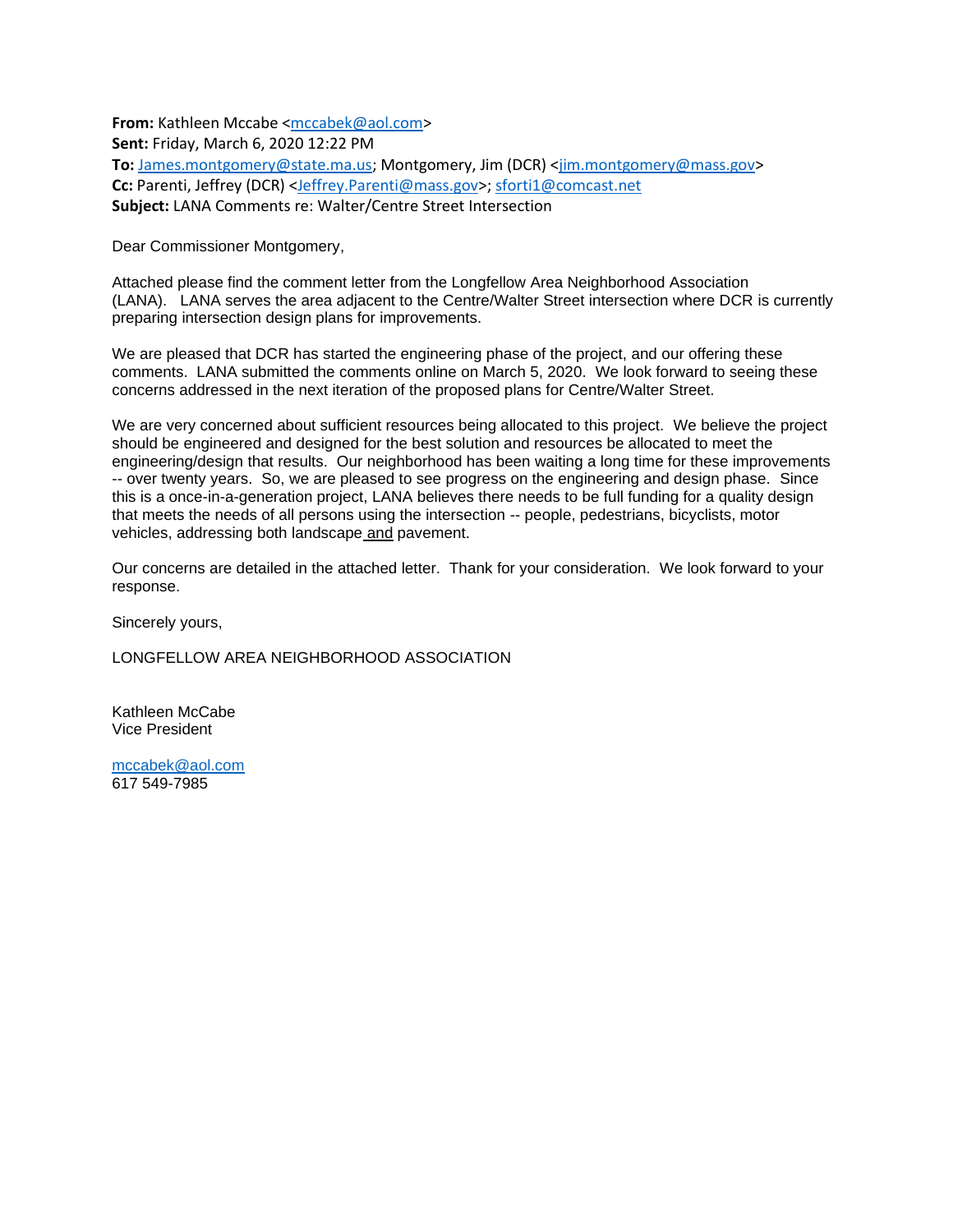**From:** Kathleen Mccabe [<mccabek@aol.com>](mailto:mccabek@aol.com) **Sent:** Friday, March 6, 2020 12:22 PM **To:** [James.montgomery@state.ma.us;](mailto:James.montgomery@state.ma.us) Montgomery, Jim (DCR) [<jim.montgomery@mass.gov>](mailto:jim.montgomery@mass.gov) **Cc:** Parenti, Jeffrey (DCR) [<Jeffrey.Parenti@mass.gov>](mailto:Jeffrey.Parenti@mass.gov); [sforti1@comcast.net](mailto:sforti1@comcast.net) **Subject:** LANA Comments re: Walter/Centre Street Intersection

Dear Commissioner Montgomery,

Attached please find the comment letter from the Longfellow Area Neighborhood Association (LANA). LANA serves the area adjacent to the Centre/Walter Street intersection where DCR is currently preparing intersection design plans for improvements.

We are pleased that DCR has started the engineering phase of the project, and our offering these comments. LANA submitted the comments online on March 5, 2020. We look forward to seeing these concerns addressed in the next iteration of the proposed plans for Centre/Walter Street.

We are very concerned about sufficient resources being allocated to this project. We believe the project should be engineered and designed for the best solution and resources be allocated to meet the engineering/design that results. Our neighborhood has been waiting a long time for these improvements -- over twenty years. So, we are pleased to see progress on the engineering and design phase. Since this is a once-in-a-generation project, LANA believes there needs to be full funding for a quality design that meets the needs of all persons using the intersection -- people, pedestrians, bicyclists, motor vehicles, addressing both landscape and pavement.

Our concerns are detailed in the attached letter. Thank for your consideration. We look forward to your response.

Sincerely yours,

LONGFELLOW AREA NEIGHBORHOOD ASSOCIATION

Kathleen McCabe Vice President

[mccabek@aol.com](mailto:mccabek@aol.com) 617 549-7985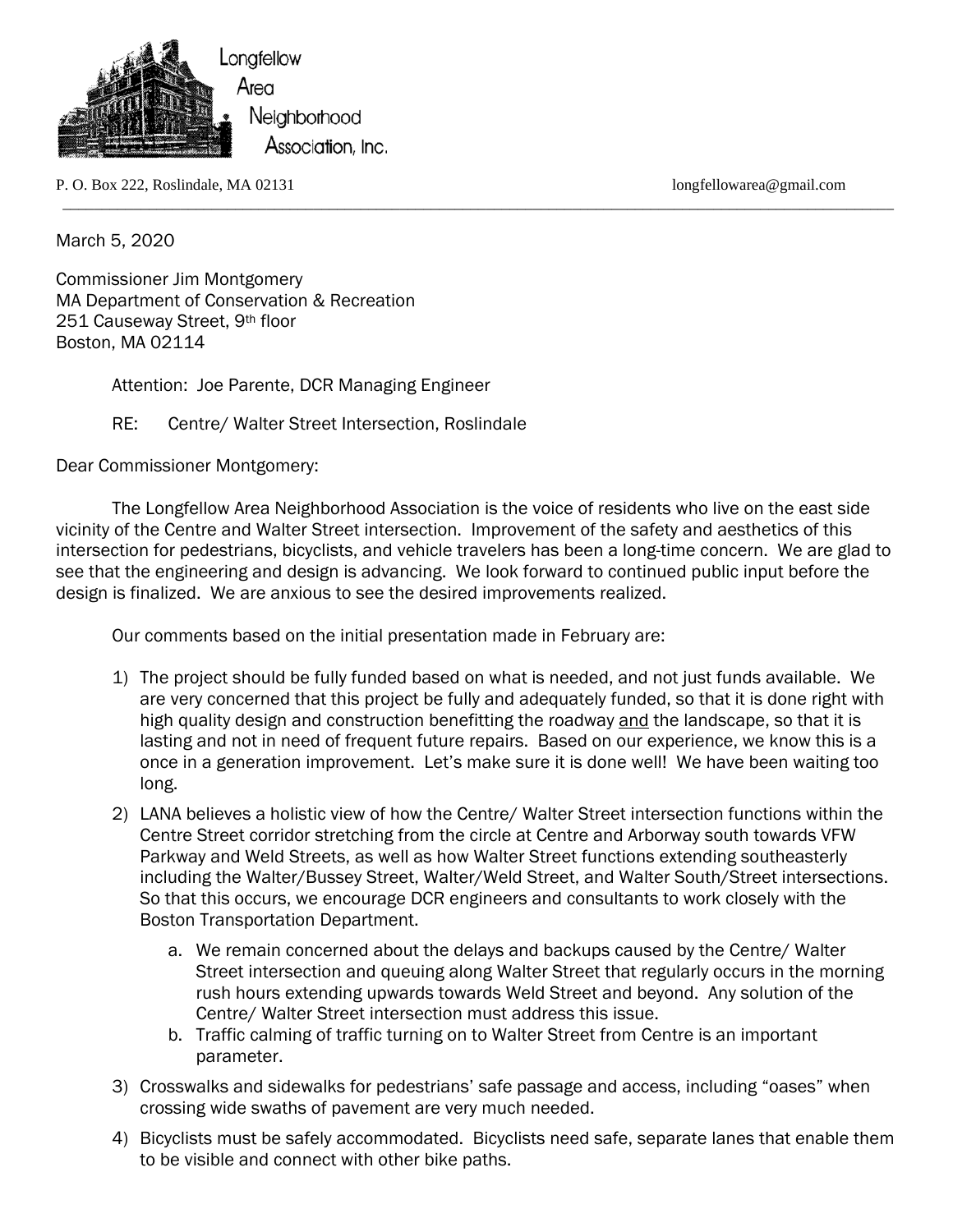

P. O. Box 222, Roslindale, MA 02131 longfellowarea@gmail.com

March 5, 2020

Commissioner Jim Montgomery MA Department of Conservation & Recreation 251 Causeway Street, 9th floor Boston, MA 02114

Attention: Joe Parente, DCR Managing Engineer

RE: Centre/ Walter Street Intersection, Roslindale

Dear Commissioner Montgomery:

 The Longfellow Area Neighborhood Association is the voice of residents who live on the east side vicinity of the Centre and Walter Street intersection. Improvement of the safety and aesthetics of this intersection for pedestrians, bicyclists, and vehicle travelers has been a long-time concern. We are glad to see that the engineering and design is advancing. We look forward to continued public input before the design is finalized. We are anxious to see the desired improvements realized.

\_\_\_\_\_\_\_\_\_\_\_\_\_\_\_\_\_\_\_\_\_\_\_\_\_\_\_\_\_\_\_\_\_\_\_\_\_\_\_\_\_\_\_\_\_\_\_\_\_\_\_\_\_\_\_\_\_\_\_\_\_\_\_\_\_\_\_\_\_\_\_\_\_\_\_\_\_\_\_\_\_\_\_\_\_\_\_\_\_\_\_\_\_\_\_\_\_\_\_\_\_\_\_\_\_\_

Our comments based on the initial presentation made in February are:

- 1) The project should be fully funded based on what is needed, and not just funds available. We are very concerned that this project be fully and adequately funded, so that it is done right with high quality design and construction benefitting the roadway and the landscape, so that it is lasting and not in need of frequent future repairs. Based on our experience, we know this is a once in a generation improvement. Let's make sure it is done well! We have been waiting too long.
- 2) LANA believes a holistic view of how the Centre/ Walter Street intersection functions within the Centre Street corridor stretching from the circle at Centre and Arborway south towards VFW Parkway and Weld Streets, as well as how Walter Street functions extending southeasterly including the Walter/Bussey Street, Walter/Weld Street, and Walter South/Street intersections. So that this occurs, we encourage DCR engineers and consultants to work closely with the Boston Transportation Department.
	- a. We remain concerned about the delays and backups caused by the Centre/ Walter Street intersection and queuing along Walter Street that regularly occurs in the morning rush hours extending upwards towards Weld Street and beyond. Any solution of the Centre/ Walter Street intersection must address this issue.
	- b. Traffic calming of traffic turning on to Walter Street from Centre is an important parameter.
- 3) Crosswalks and sidewalks for pedestrians' safe passage and access, including "oases" when crossing wide swaths of pavement are very much needed.
- 4) Bicyclists must be safely accommodated. Bicyclists need safe, separate lanes that enable them to be visible and connect with other bike paths.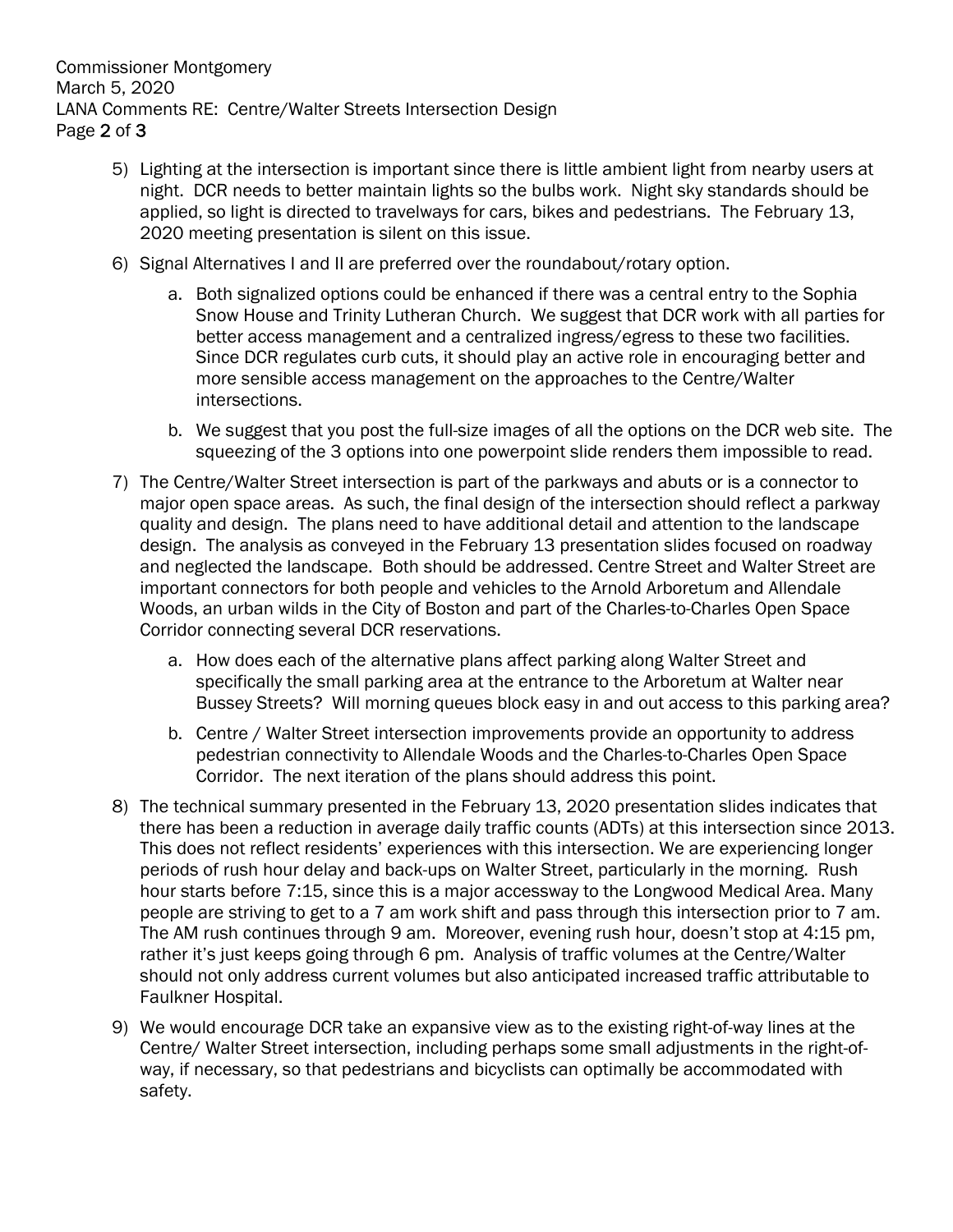Commissioner Montgomery March 5, 2020 LANA Comments RE: Centre/Walter Streets Intersection Design Page 2 of 3

- 5) Lighting at the intersection is important since there is little ambient light from nearby users at night. DCR needs to better maintain lights so the bulbs work. Night sky standards should be applied, so light is directed to travelways for cars, bikes and pedestrians. The February 13, 2020 meeting presentation is silent on this issue.
- 6) Signal Alternatives I and II are preferred over the roundabout/rotary option.
	- a. Both signalized options could be enhanced if there was a central entry to the Sophia Snow House and Trinity Lutheran Church. We suggest that DCR work with all parties for better access management and a centralized ingress/egress to these two facilities. Since DCR regulates curb cuts, it should play an active role in encouraging better and more sensible access management on the approaches to the Centre/Walter intersections.
	- b. We suggest that you post the full-size images of all the options on the DCR web site. The squeezing of the 3 options into one powerpoint slide renders them impossible to read.
- 7) The Centre/Walter Street intersection is part of the parkways and abuts or is a connector to major open space areas. As such, the final design of the intersection should reflect a parkway quality and design. The plans need to have additional detail and attention to the landscape design. The analysis as conveyed in the February 13 presentation slides focused on roadway and neglected the landscape. Both should be addressed. Centre Street and Walter Street are important connectors for both people and vehicles to the Arnold Arboretum and Allendale Woods, an urban wilds in the City of Boston and part of the Charles-to-Charles Open Space Corridor connecting several DCR reservations.
	- a. How does each of the alternative plans affect parking along Walter Street and specifically the small parking area at the entrance to the Arboretum at Walter near Bussey Streets? Will morning queues block easy in and out access to this parking area?
	- b. Centre / Walter Street intersection improvements provide an opportunity to address pedestrian connectivity to Allendale Woods and the Charles-to-Charles Open Space Corridor. The next iteration of the plans should address this point.
- 8) The technical summary presented in the February 13, 2020 presentation slides indicates that there has been a reduction in average daily traffic counts (ADTs) at this intersection since 2013. This does not reflect residents' experiences with this intersection. We are experiencing longer periods of rush hour delay and back-ups on Walter Street, particularly in the morning. Rush hour starts before 7:15, since this is a major accessway to the Longwood Medical Area. Many people are striving to get to a 7 am work shift and pass through this intersection prior to 7 am. The AM rush continues through 9 am. Moreover, evening rush hour, doesn't stop at 4:15 pm, rather it's just keeps going through 6 pm. Analysis of traffic volumes at the Centre/Walter should not only address current volumes but also anticipated increased traffic attributable to Faulkner Hospital.
- 9) We would encourage DCR take an expansive view as to the existing right-of-way lines at the Centre/ Walter Street intersection, including perhaps some small adjustments in the right-ofway, if necessary, so that pedestrians and bicyclists can optimally be accommodated with safety.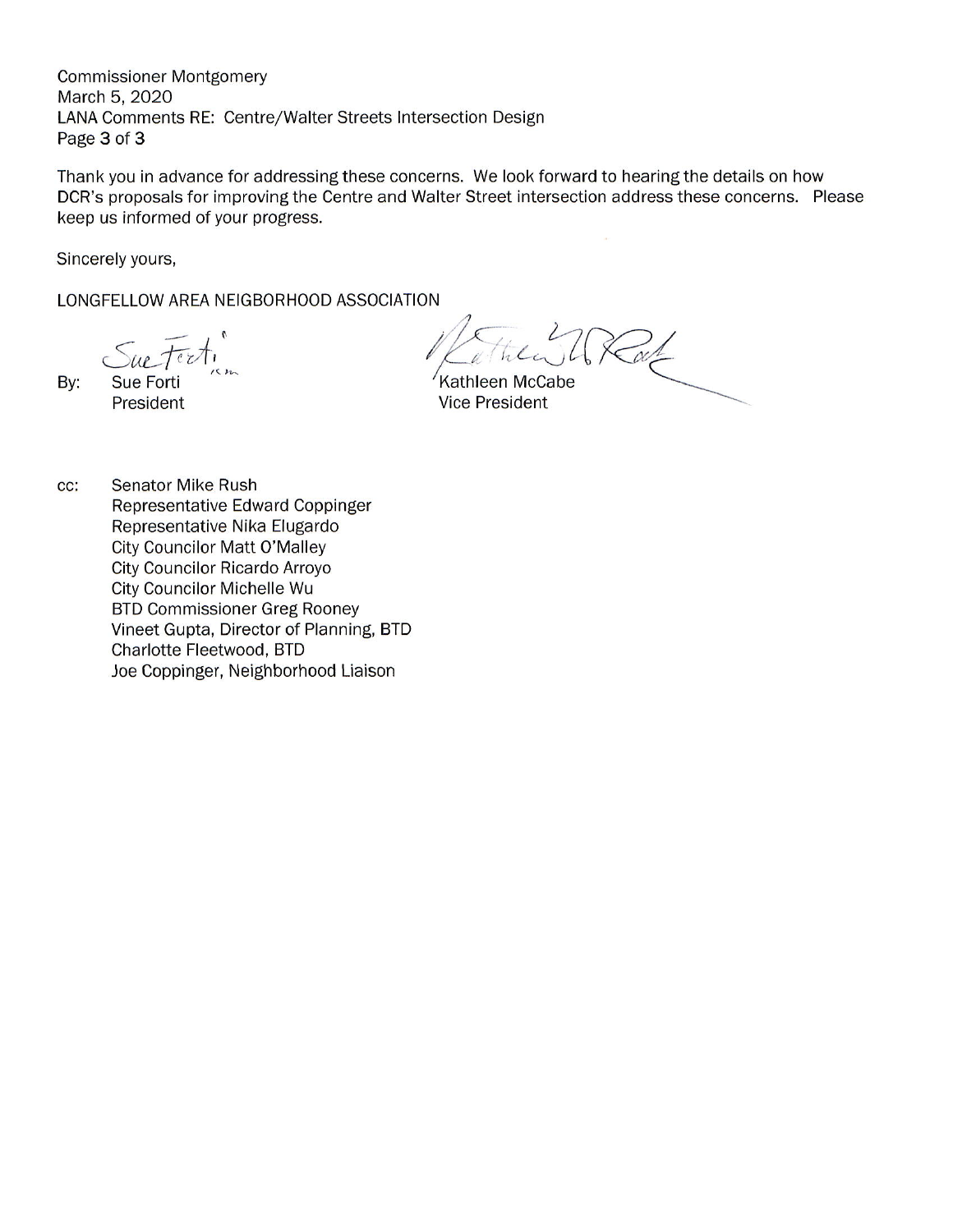**Commissioner Montgomery** March 5, 2020 LANA Comments RE: Centre/Walter Streets Intersection Design Page 3 of 3

Thank you in advance for addressing these concerns. We look forward to hearing the details on how DCR's proposals for improving the Centre and Walter Street intersection address these concerns. Please keep us informed of your progress.

Sincerely yours,

LONGFELLOW AREA NEIGBORHOOD ASSOCIATION

ue texti

By:

**Sue Forti** President

Kathleen McCabe **Vice President** 

**Senator Mike Rush** cc: Representative Edward Coppinger Representative Nika Elugardo **City Councilor Matt O'Malley** City Councilor Ricardo Arroyo City Councilor Michelle Wu **BTD Commissioner Greg Rooney** Vineet Gupta, Director of Planning, BTD Charlotte Fleetwood, BTD Joe Coppinger, Neighborhood Liaison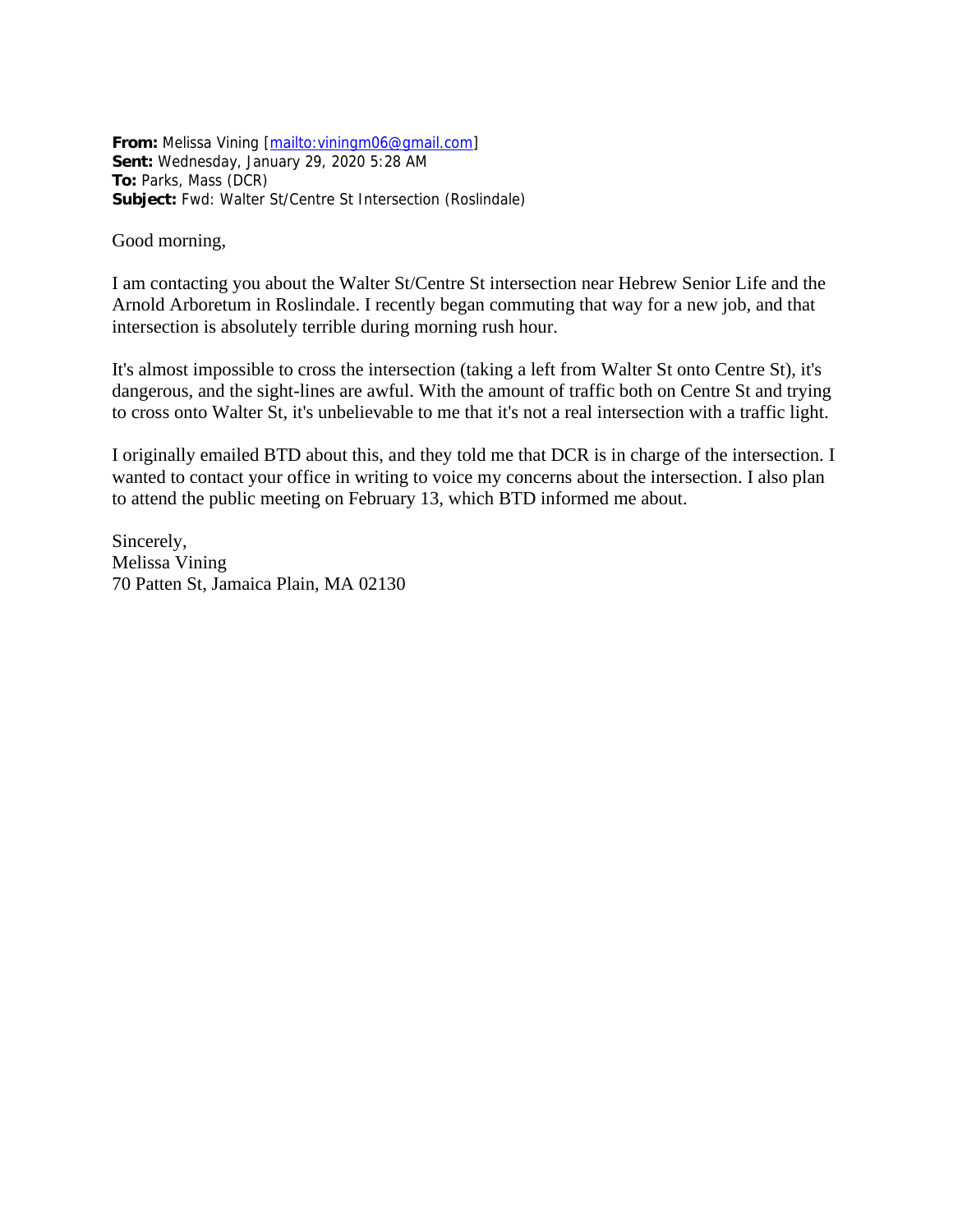**From:** Melissa Vining [\[mailto:viningm06@gmail.com\]](mailto:viningm06@gmail.com) **Sent:** Wednesday, January 29, 2020 5:28 AM **To:** Parks, Mass (DCR) **Subject:** Fwd: Walter St/Centre St Intersection (Roslindale)

#### Good morning,

I am contacting you about the Walter St/Centre St intersection near Hebrew Senior Life and the Arnold Arboretum in Roslindale. I recently began commuting that way for a new job, and that intersection is absolutely terrible during morning rush hour.

It's almost impossible to cross the intersection (taking a left from Walter St onto Centre St), it's dangerous, and the sight-lines are awful. With the amount of traffic both on Centre St and trying to cross onto Walter St, it's unbelievable to me that it's not a real intersection with a traffic light.

I originally emailed BTD about this, and they told me that DCR is in charge of the intersection. I wanted to contact your office in writing to voice my concerns about the intersection. I also plan to attend the public meeting on February 13, which BTD informed me about.

Sincerely, Melissa Vining 70 Patten St, Jamaica Plain, MA 02130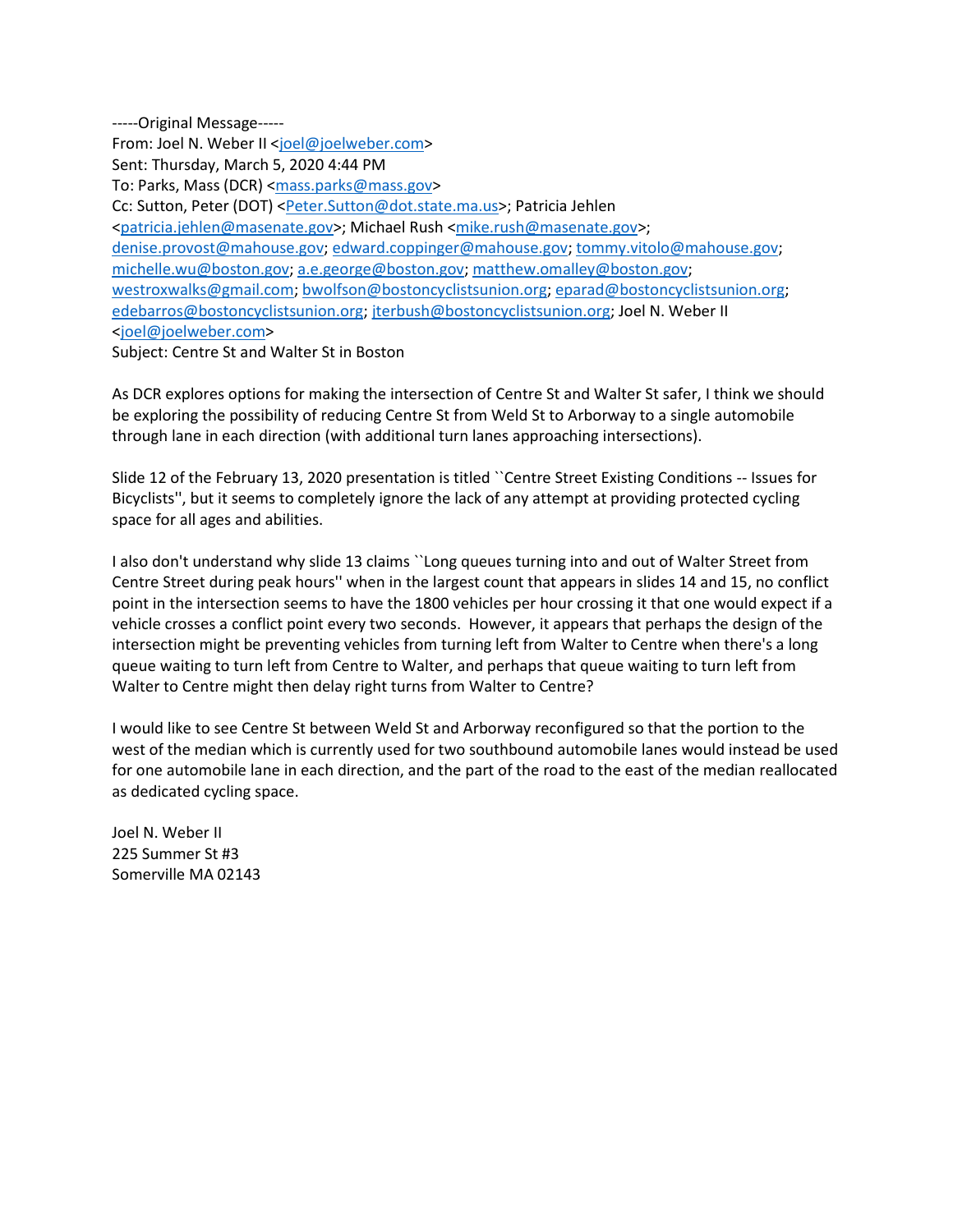-----Original Message-----

From: Joel N. Weber II [<joel@joelweber.com>](mailto:joel@joelweber.com)

Sent: Thursday, March 5, 2020 4:44 PM

To: Parks, Mass (DCR) [<mass.parks@mass.gov>](mailto:mass.parks@mass.gov)

Cc: Sutton, Peter (DOT) [<Peter.Sutton@dot.state.ma.us>](mailto:Peter.Sutton@dot.state.ma.us); Patricia Jehlen

[<patricia.jehlen@masenate.gov>](mailto:patricia.jehlen@masenate.gov); Michael Rush [<mike.rush@masenate.gov>](mailto:mike.rush@masenate.gov);

[denise.provost@mahouse.gov;](mailto:denise.provost@mahouse.gov) [edward.coppinger@mahouse.gov;](mailto:edward.coppinger@mahouse.gov) [tommy.vitolo@mahouse.gov;](mailto:tommy.vitolo@mahouse.gov)

[michelle.wu@boston.gov;](mailto:michelle.wu@boston.gov) [a.e.george@boston.gov;](mailto:a.e.george@boston.gov) [matthew.omalley@boston.gov;](mailto:matthew.omalley@boston.gov)

[westroxwalks@gmail.com;](mailto:westroxwalks@gmail.com) [bwolfson@bostoncyclistsunion.org;](mailto:bwolfson@bostoncyclistsunion.org) [eparad@bostoncyclistsunion.org;](mailto:eparad@bostoncyclistsunion.org) [edebarros@bostoncyclistsunion.org;](mailto:edebarros@bostoncyclistsunion.org) [jterbush@bostoncyclistsunion.org;](mailto:jterbush@bostoncyclistsunion.org) Joel N. Weber II [<joel@joelweber.com>](mailto:joel@joelweber.com)

Subject: Centre St and Walter St in Boston

As DCR explores options for making the intersection of Centre St and Walter St safer, I think we should be exploring the possibility of reducing Centre St from Weld St to Arborway to a single automobile through lane in each direction (with additional turn lanes approaching intersections).

Slide 12 of the February 13, 2020 presentation is titled ``Centre Street Existing Conditions -- Issues for Bicyclists'', but it seems to completely ignore the lack of any attempt at providing protected cycling space for all ages and abilities.

I also don't understand why slide 13 claims ``Long queues turning into and out of Walter Street from Centre Street during peak hours'' when in the largest count that appears in slides 14 and 15, no conflict point in the intersection seems to have the 1800 vehicles per hour crossing it that one would expect if a vehicle crosses a conflict point every two seconds. However, it appears that perhaps the design of the intersection might be preventing vehicles from turning left from Walter to Centre when there's a long queue waiting to turn left from Centre to Walter, and perhaps that queue waiting to turn left from Walter to Centre might then delay right turns from Walter to Centre?

I would like to see Centre St between Weld St and Arborway reconfigured so that the portion to the west of the median which is currently used for two southbound automobile lanes would instead be used for one automobile lane in each direction, and the part of the road to the east of the median reallocated as dedicated cycling space.

Joel N. Weber II 225 Summer St #3 Somerville MA 02143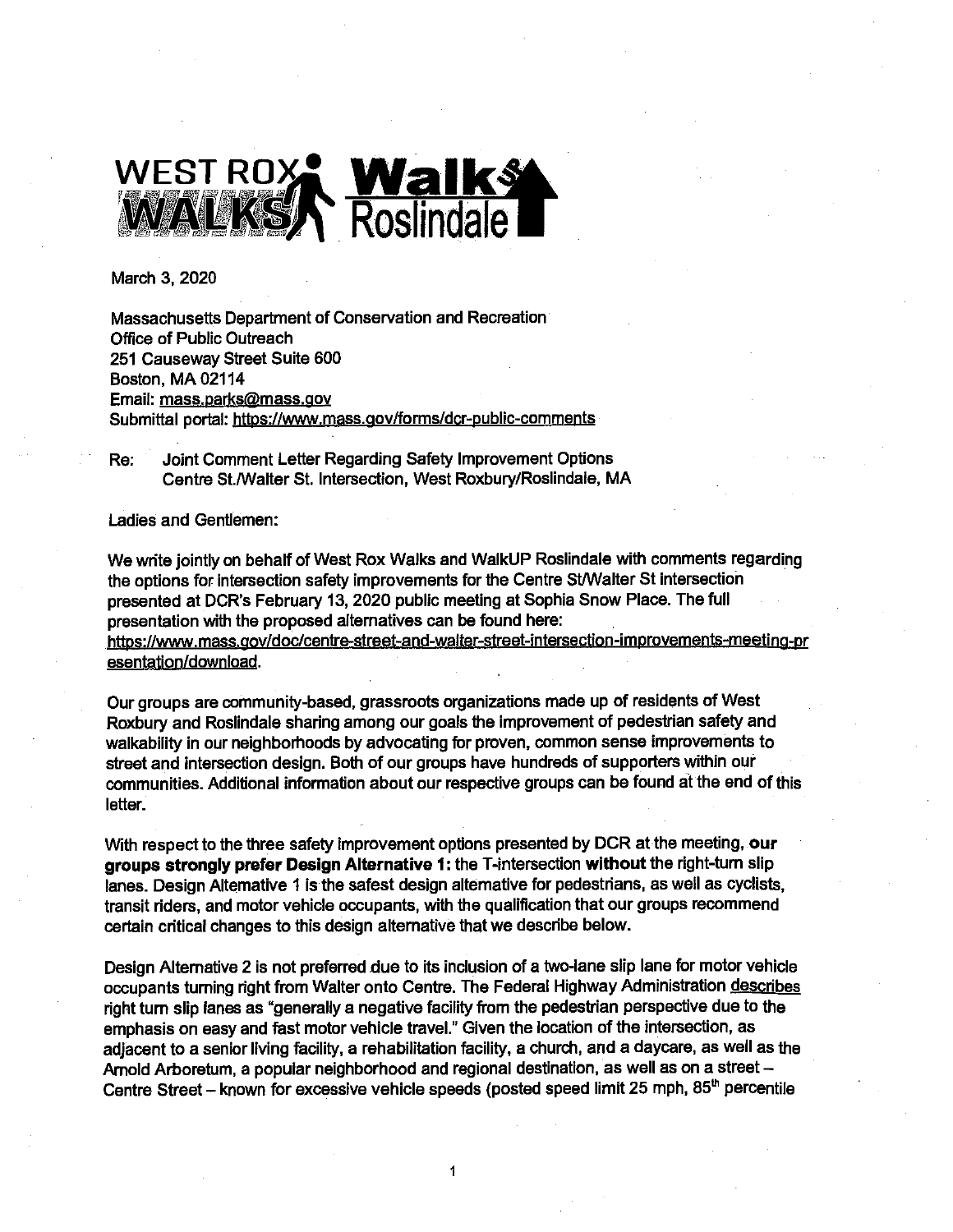

March 3, 2020

Massachusetts Department of Conservation and Recreation Office of Public Outreach 251 Causeway Street Suite 600 Boston, MA 02114 Email: mass.parks@mass.gov Submittal portal: https://www.mass.gov/forms/dcr-public-comments

Joint Comment Letter Regarding Safety Improvement Options Re: Centre St./Walter St. Intersection, West Roxbury/Roslindale, MA

Ladies and Gentlemen:

We write jointly on behalf of West Rox Walks and WalkUP Roslindale with comments regarding the options for intersection safety improvements for the Centre St/Walter St intersection presented at DCR's February 13, 2020 public meeting at Sophia Snow Place. The full presentation with the proposed alternatives can be found here: https://www.mass.gov/doc/centre-street-and-walter-street-intersection-improvements-meeting-pr esentation/download.

Our groups are community-based, grassroots organizations made up of residents of West Roxbury and Roslindale sharing among our goals the improvement of pedestrian safety and walkability in our neighborhoods by advocating for proven, common sense improvements to street and intersection design. Both of our groups have hundreds of supporters within our communities. Additional information about our respective groups can be found at the end of this letter.

With respect to the three safety improvement options presented by DCR at the meeting, our groups strongly prefer Design Alternative 1: the T-intersection without the right-turn slip lanes. Design Altemative 1 is the safest design altemative for pedestrians, as well as cyclists, transit riders, and motor vehicle occupants, with the qualification that our groups recommend certain critical changes to this design alternative that we describe below.

Design Alternative 2 is not preferred due to its inclusion of a two-lane slip lane for motor vehicle occupants turning right from Walter onto Centre. The Federal Highway Administration describes right turn slip lanes as "generally a negative facility from the pedestrian perspective due to the emphasis on easy and fast motor vehicle travel." Given the location of the intersection, as adjacent to a senior living facility, a rehabilitation facility, a church, and a daycare, as well as the Arnold Arboretum, a popular neighborhood and regional destination, as well as on a street -Centre Street - known for excessive vehicle speeds (posted speed limit 25 mph, 85<sup>th</sup> percentile

1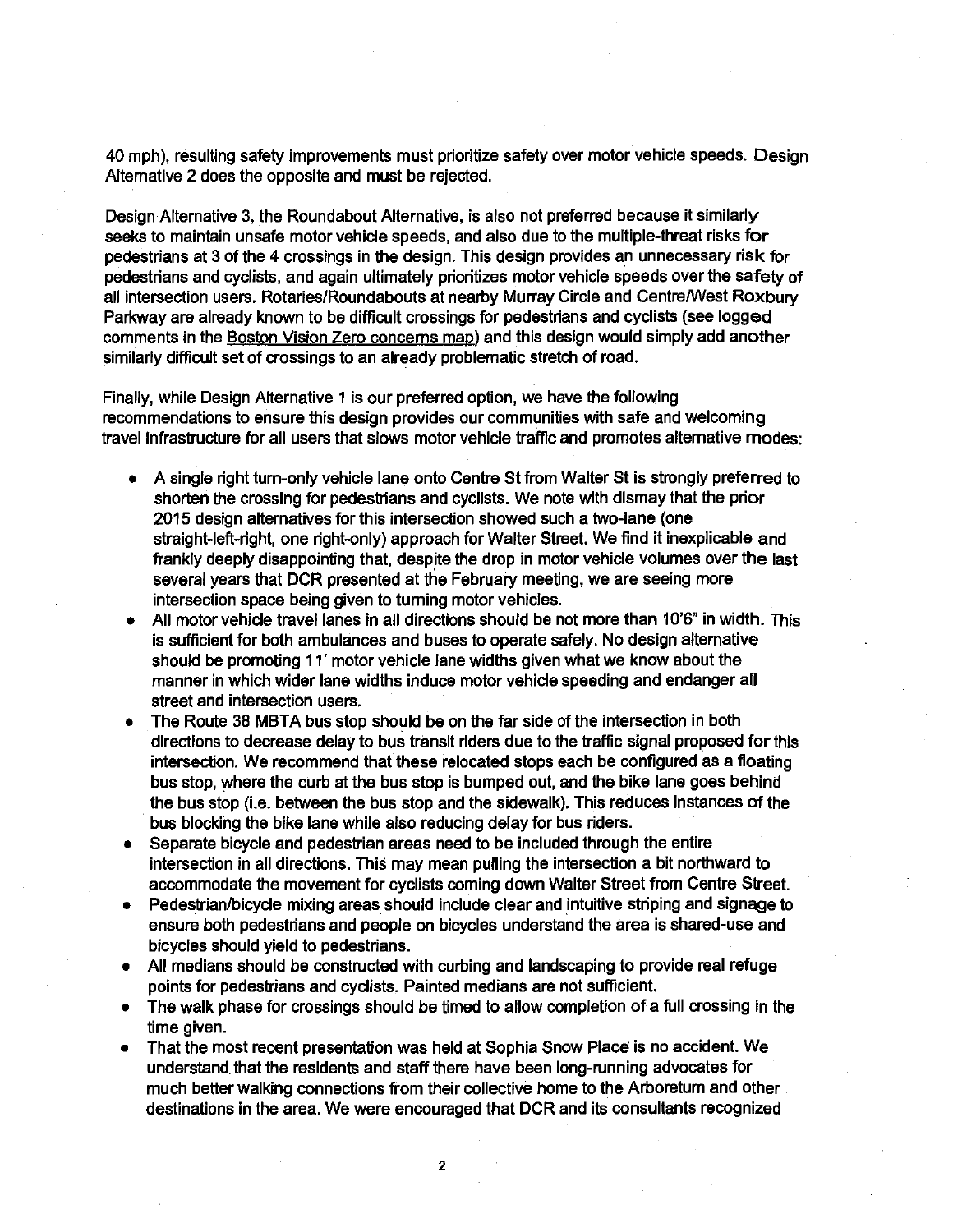40 mph), resulting safety improvements must prioritize safety over motor vehicle speeds. Design Alternative 2 does the opposite and must be rejected.

Design Alternative 3, the Roundabout Alternative, is also not preferred because it similarly seeks to maintain unsafe motor vehicle speeds, and also due to the multiple-threat risks for pedestrians at 3 of the 4 crossings in the design. This design provides an unnecessary risk for pedestrians and cyclists, and again ultimately prioritizes motor vehicle speeds over the safety of all intersection users. Rotaries/Roundabouts at nearby Murray Circle and Centre/West Roxbury Parkway are already known to be difficult crossings for pedestrians and cyclists (see logged comments in the Boston Vision Zero concerns map) and this design would simply add another similarly difficult set of crossings to an already problematic stretch of road.

Finally, while Design Alternative 1 is our preferred option, we have the following recommendations to ensure this design provides our communities with safe and welcoming travel infrastructure for all users that slows motor vehicle traffic and promotes alternative modes:

- A single right turn-only vehicle lane onto Centre St from Walter St is strongly preferred to shorten the crossing for pedestrians and cyclists. We note with dismay that the prior 2015 design alternatives for this intersection showed such a two-lane (one straight-left-right, one right-only) approach for Walter Street. We find it inexplicable and frankly deeply disappointing that, despite the drop in motor vehicle volumes over the last several years that DCR presented at the February meeting, we are seeing more intersection space being given to turning motor vehicles.
- All motor vehicle travel lanes in all directions should be not more than 10'6" in width. This is sufficient for both ambulances and buses to operate safely. No design alternative should be promoting 11' motor vehicle lane widths given what we know about the manner in which wider lane widths induce motor vehicle speeding and endanger all street and intersection users.
- The Route 38 MBTA bus stop should be on the far side of the intersection in both directions to decrease delay to bus transit riders due to the traffic signal proposed for this intersection. We recommend that these relocated stops each be configured as a floating bus stop, where the curb at the bus stop is bumped out, and the bike lane goes behind the bus stop (i.e. between the bus stop and the sidewalk). This reduces instances of the bus blocking the bike lane while also reducing delay for bus riders.
- Separate bicycle and pedestrian areas need to be included through the entire  $\bullet$ intersection in all directions. This may mean pulling the intersection a bit northward to accommodate the movement for cyclists coming down Walter Street from Centre Street.
- Pedestrian/bicycle mixing areas should include clear and intuitive striping and signage to ensure both pedestrians and people on bicycles understand the area is shared-use and bicycles should yield to pedestrians.
- All medians should be constructed with curbing and landscaping to provide real refuge points for pedestrians and cyclists. Painted medians are not sufficient.
- The walk phase for crossings should be timed to allow completion of a full crossing in the  $\bullet$ time given.
- That the most recent presentation was held at Sophia Snow Place is no accident. We understand that the residents and staff there have been long-running advocates for much better walking connections from their collective home to the Arboretum and other destinations in the area. We were encouraged that DCR and its consultants recognized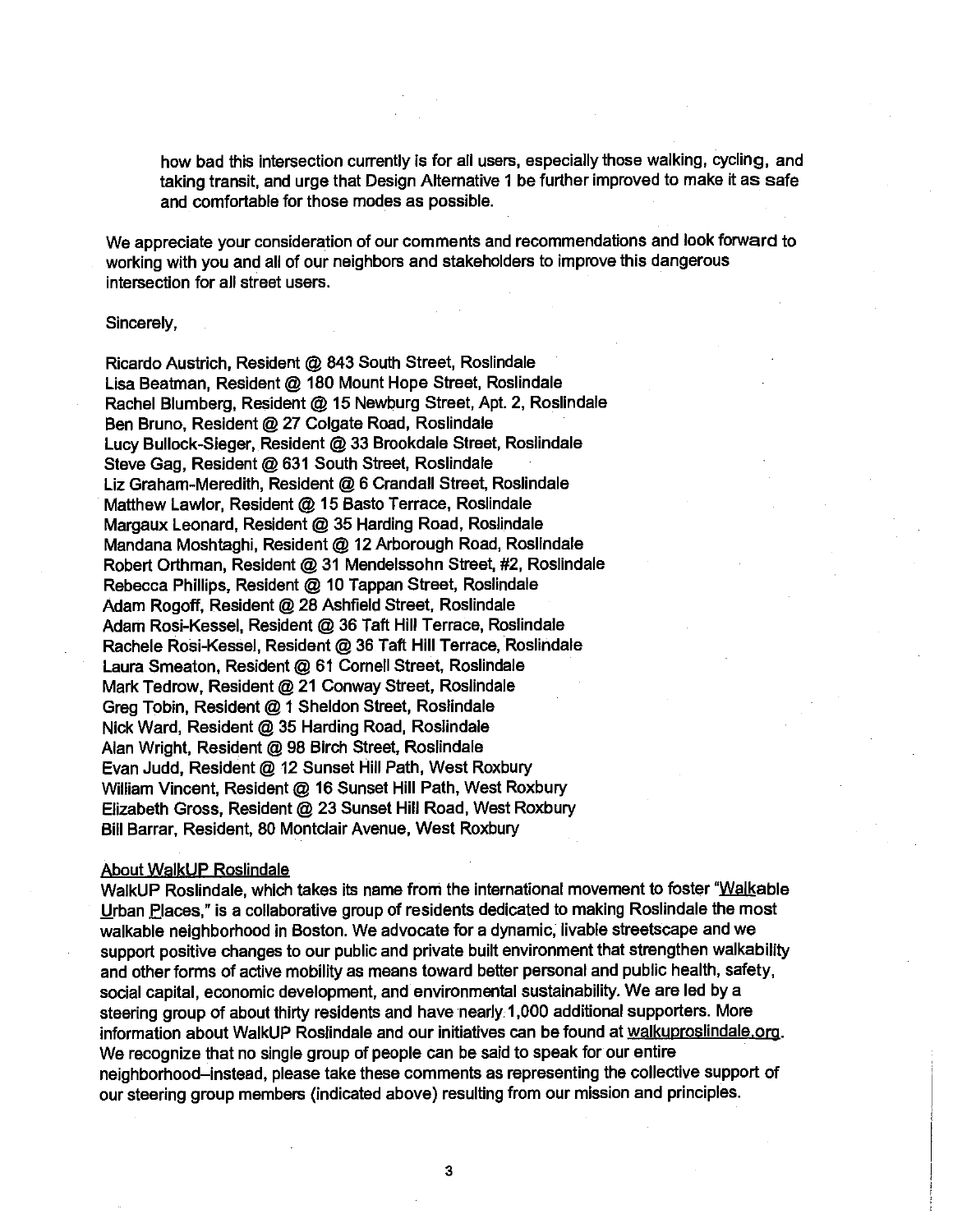how bad this intersection currently is for all users, especially those walking, cycling, and taking transit, and urge that Design Alternative 1 be further improved to make it as safe and comfortable for those modes as possible.

We appreciate your consideration of our comments and recommendations and look forward to working with you and all of our neighbors and stakeholders to improve this dangerous intersection for all street users.

#### Sincerely,

Ricardo Austrich, Resident @ 843 South Street, Roslindale Lisa Beatman, Resident @ 180 Mount Hope Street, Roslindale Rachel Blumberg, Resident @ 15 Newburg Street, Apt. 2, Roslindale Ben Bruno, Resident @ 27 Colgate Road, Roslindale Lucy Bullock-Sieger, Resident @ 33 Brookdale Street, Roslindale Steve Gag, Resident @ 631 South Street, Roslindale Liz Graham-Meredith, Resident @ 6 Crandall Street, Roslindale Matthew Lawlor, Resident @ 15 Basto Terrace, Roslindale Margaux Leonard, Resident @ 35 Harding Road, Roslindale Mandana Moshtaghi, Resident @ 12 Arborough Road, Roslindale Robert Orthman, Resident @ 31 Mendelssohn Street, #2, Roslindale Rebecca Phillips, Resident @ 10 Tappan Street, Roslindale Adam Rogoff, Resident @ 28 Ashfield Street, Roslindale Adam Rosi-Kessel, Resident @ 36 Taft Hill Terrace, Roslindale Rachele Rosi-Kessel, Resident @ 36 Taft Hill Terrace, Roslindale Laura Smeaton, Resident @ 61 Cornell Street, Roslindale Mark Tedrow, Resident @ 21 Conway Street, Roslindale Greg Tobin, Resident @ 1 Sheldon Street, Roslindale Nick Ward, Resident @ 35 Harding Road, Roslindale Alan Wright, Resident @ 98 Birch Street, Roslindale Evan Judd, Resident @ 12 Sunset Hill Path, West Roxbury William Vincent, Resident @ 16 Sunset Hill Path, West Roxbury Elizabeth Gross, Resident @ 23 Sunset Hill Road, West Roxbury Bill Barrar, Resident, 80 Montclair Avenue, West Roxbury

#### **About WalkUP Roslindale**

WalkUP Roslindale, which takes its name from the international movement to foster "Walkable" Urban Places," is a collaborative group of residents dedicated to making Roslindale the most walkable neighborhood in Boston. We advocate for a dynamic, livable streetscape and we support positive changes to our public and private built environment that strengthen walkability and other forms of active mobility as means toward better personal and public health, safety, social capital, economic development, and environmental sustainability. We are led by a steering group of about thirty residents and have nearly 1,000 additional supporters. More information about WalkUP Roslindale and our initiatives can be found at walkuproslindale.org. We recognize that no single group of people can be said to speak for our entire neighborhood-instead, please take these comments as representing the collective support of our steering group members (indicated above) resulting from our mission and principles.

3